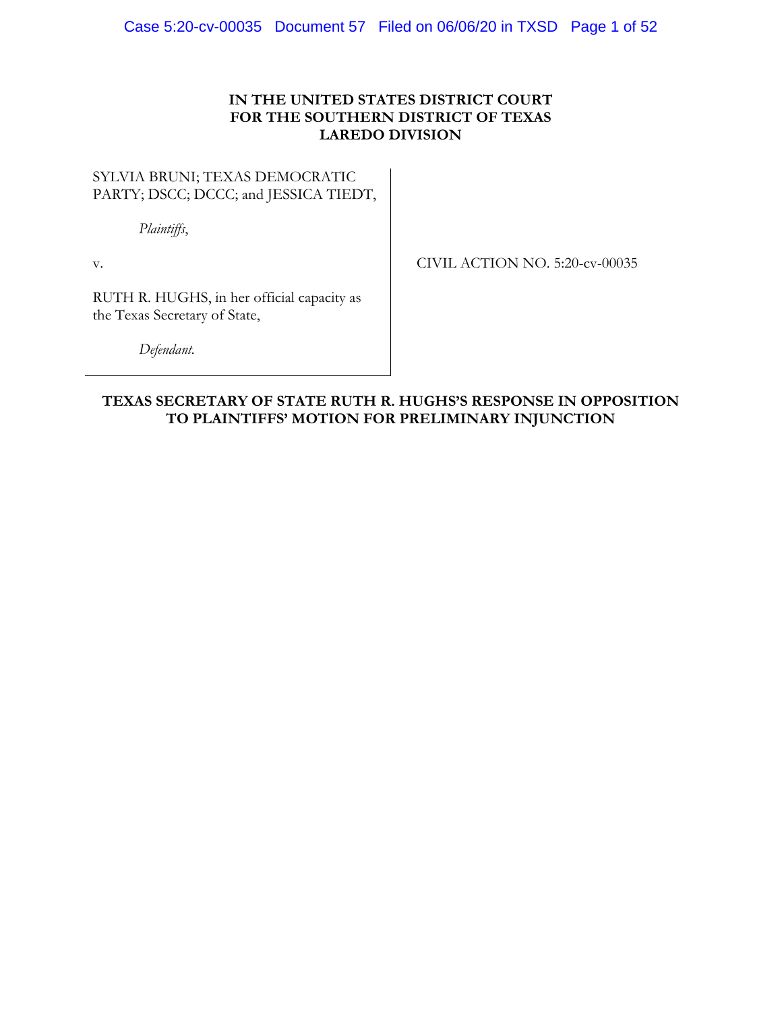# **IN THE UNITED STATES DISTRICT COURT FOR THE SOUTHERN DISTRICT OF TEXAS LAREDO DIVISION**

# SYLVIA BRUNI; TEXAS DEMOCRATIC PARTY; DSCC; DCCC; and JESSICA TIEDT,

*Plaintiffs*,

v.

CIVIL ACTION NO. 5:20-cv-00035

RUTH R. HUGHS, in her official capacity as the Texas Secretary of State,

*Defendant.*

# **TEXAS SECRETARY OF STATE RUTH R. HUGHS'S RESPONSE IN OPPOSITION TO PLAINTIFFS' MOTION FOR PRELIMINARY INJUNCTION**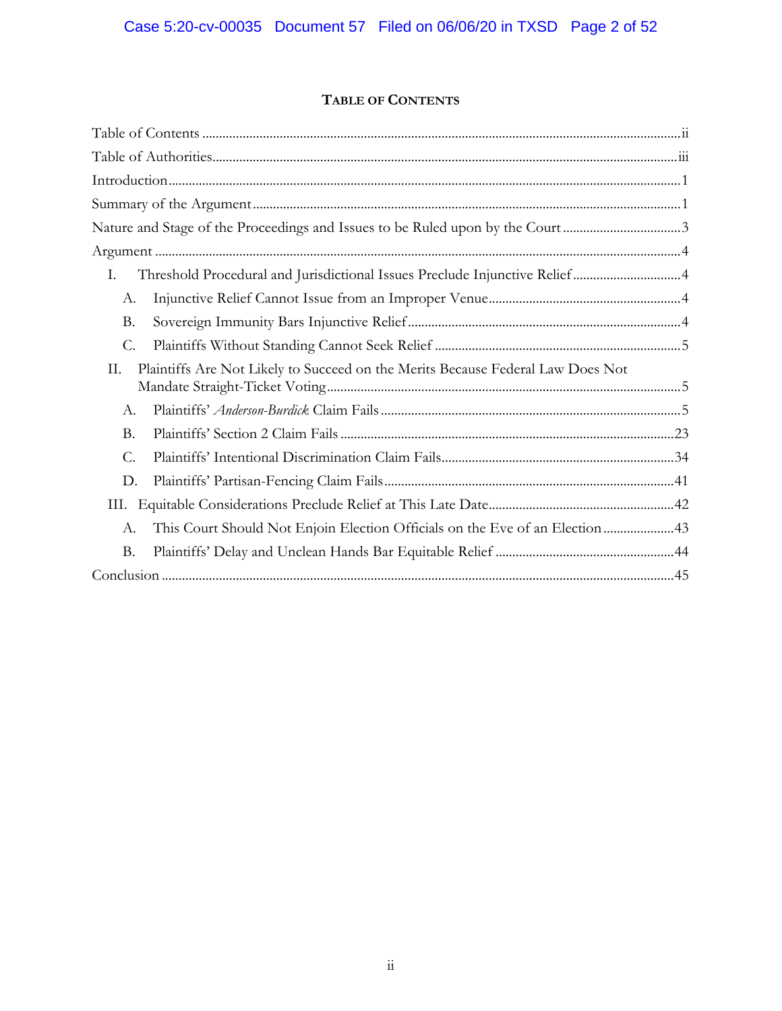# **TABLE OF CONTENTS**

| Nature and Stage of the Proceedings and Issues to be Ruled upon by the Court3         |  |
|---------------------------------------------------------------------------------------|--|
|                                                                                       |  |
| Ι.                                                                                    |  |
| А.                                                                                    |  |
| <b>B.</b>                                                                             |  |
| $\mathcal{C}$ .                                                                       |  |
| Plaintiffs Are Not Likely to Succeed on the Merits Because Federal Law Does Not<br>Π. |  |
| А.                                                                                    |  |
| <b>B.</b>                                                                             |  |
| C.                                                                                    |  |
| D.                                                                                    |  |
| III.                                                                                  |  |
| This Court Should Not Enjoin Election Officials on the Eve of an Election43<br>А.     |  |
| <b>B.</b>                                                                             |  |
|                                                                                       |  |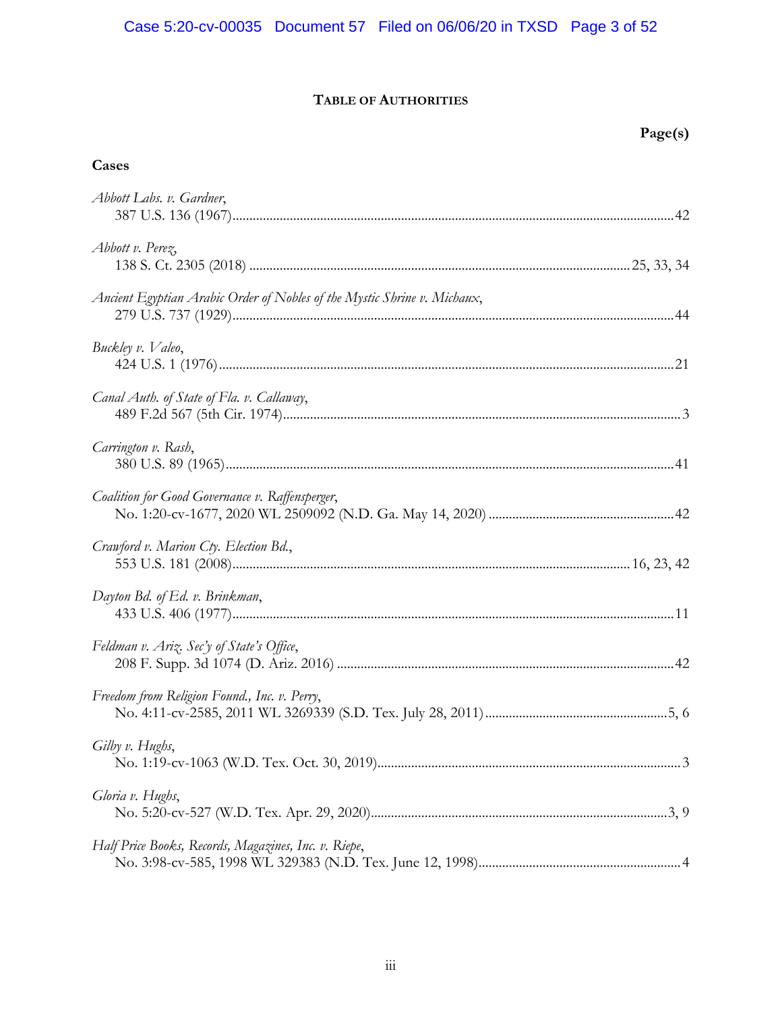# Case 5:20-cv-00035 Document 57 Filed on 06/06/20 in TXSD Page 3 of 52

# **TABLE OF AUTHORITIES**

# **Cases**

| Abbott Labs. v. Gardner,                                                 |  |
|--------------------------------------------------------------------------|--|
| Abbott v. Perez,                                                         |  |
| Ancient Egyptian Arabic Order of Nobles of the Mystic Shrine v. Michaux, |  |
| Buckley v. Valeo,                                                        |  |
| Canal Auth. of State of Fla. v. Callaway,                                |  |
| Carrington v. Rash,                                                      |  |
| Coalition for Good Governance v. Raffensperger,                          |  |
| Crawford v. Marion Cty. Election Bd.,                                    |  |
| Dayton Bd. of Ed. v. Brinkman,                                           |  |
| Feldman v. Ariz. Sec'y of State's Office,                                |  |
| Freedom from Religion Found., Inc. v. Perry,                             |  |
| Gilby v. Hughs,                                                          |  |
| Gloria v. Hughs,                                                         |  |
| Half Price Books, Records, Magazines, Inc. v. Riepe,                     |  |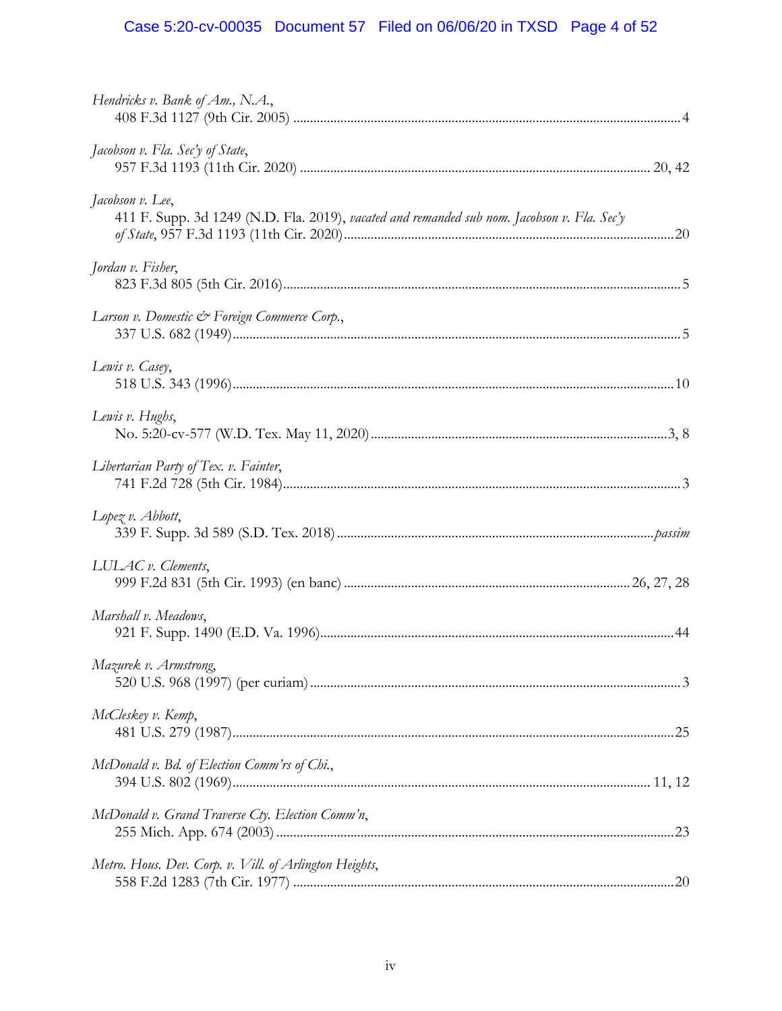# Case 5:20-cv-00035 Document 57 Filed on 06/06/20 in TXSD Page 4 of 52

| Hendricks v. Bank of Am., N.A.,                                                                                 |  |
|-----------------------------------------------------------------------------------------------------------------|--|
| Jacobson v. Fla. Sec'y of State,                                                                                |  |
| Jacobson v. Lee,<br>411 F. Supp. 3d 1249 (N.D. Fla. 2019), vacated and remanded sub nom. Jacobson v. Fla. Sec'y |  |
| Jordan v. Fisher,                                                                                               |  |
| Larson v. Domestic & Foreign Commerce Corp.,                                                                    |  |
| Lewis v. Casey,                                                                                                 |  |
| Lewis v. Hughs,                                                                                                 |  |
| Libertarian Party of Tex. v. Fainter,                                                                           |  |
| Lopez $v$ . Abbott,                                                                                             |  |
| LULAC v. Clements,                                                                                              |  |
| Marshall v. Meadows,                                                                                            |  |
| Mazurek v. Armstrong,                                                                                           |  |
| McCleskey v. Kemp,                                                                                              |  |
| McDonald v. Bd. of Election Comm'rs of Chi.,                                                                    |  |
| McDonald v. Grand Traverse Cty. Election Comm'n,                                                                |  |
| Metro. Hous. Dev. Corp. v. Vill. of Arlington Heights,                                                          |  |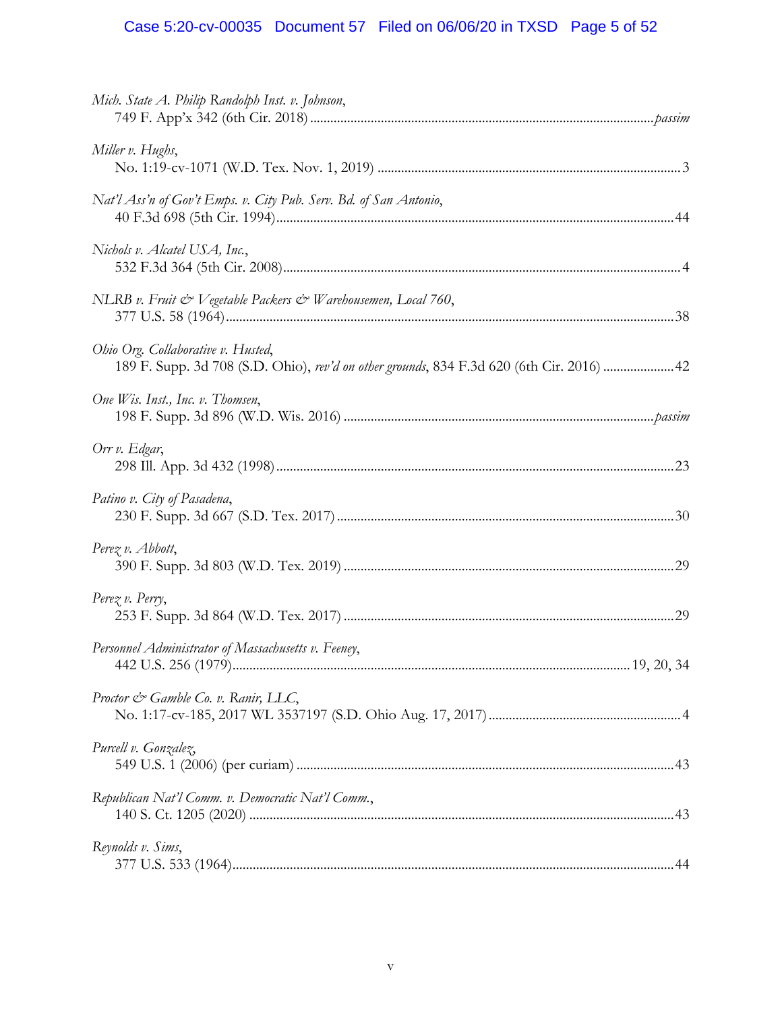# Case 5:20-cv-00035 Document 57 Filed on 06/06/20 in TXSD Page 5 of 52

| Mich. State A. Philip Randolph Inst. v. Johnson,                                                                                |  |
|---------------------------------------------------------------------------------------------------------------------------------|--|
| Miller v. Hughs,                                                                                                                |  |
| Nat'l Ass'n of Gov't Emps. v. City Pub. Serv. Bd. of San Antonio,                                                               |  |
| Nichols v. Alcatel USA, Inc.,                                                                                                   |  |
| NLRB v. Fruit & Vegetable Packers & Warehousemen, Local 760,                                                                    |  |
| Ohio Org. Collaborative v. Husted,<br>189 F. Supp. 3d 708 (S.D. Ohio), rev'd on other grounds, 834 F.3d 620 (6th Cir. 2016)  42 |  |
| One Wis. Inst., Inc. v. Thomsen,                                                                                                |  |
| Orr v. Edgar,                                                                                                                   |  |
| Patino v. City of Pasadena,                                                                                                     |  |
| Perez v. Abbott,                                                                                                                |  |
| $Perez v.$ $Pervy$ ,                                                                                                            |  |
| Personnel Administrator of Massachusetts v. Feeney,                                                                             |  |
| Proctor & Gamble Co. v. Ranir, LLC,                                                                                             |  |
| Purcell v. Gonzalez,                                                                                                            |  |
| Republican Nat'l Comm. v. Democratic Nat'l Comm.,                                                                               |  |
| Reynolds v. Sims,                                                                                                               |  |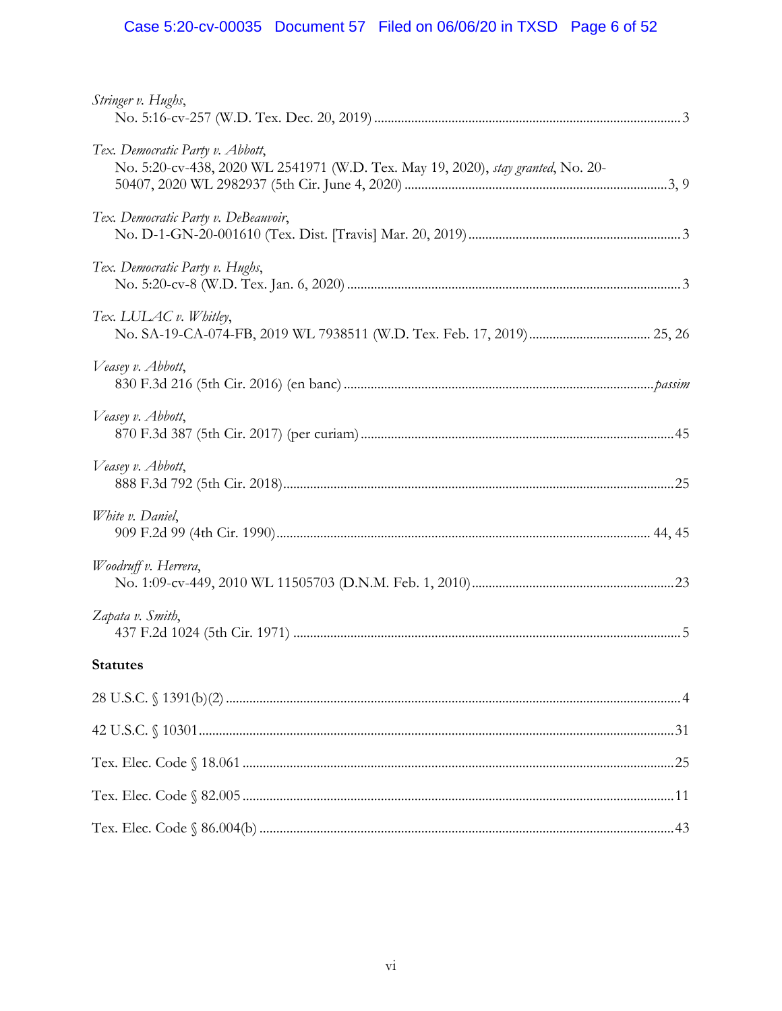# Case 5:20-cv-00035 Document 57 Filed on 06/06/20 in TXSD Page 6 of 52

| Stringer v. Hughs,                                                                                                   |  |
|----------------------------------------------------------------------------------------------------------------------|--|
| Tex. Democratic Party v. Abbott,<br>No. 5:20-cv-438, 2020 WL 2541971 (W.D. Tex. May 19, 2020), stay granted, No. 20- |  |
| Tex. Democratic Party v. DeBeauvoir,                                                                                 |  |
| Tex. Democratic Party v. Hughs,                                                                                      |  |
| Tex. LULAC v. Whitley,                                                                                               |  |
| Veasey v. Abbott,                                                                                                    |  |
| Veasey v. Abbott,                                                                                                    |  |
| Veasey v. Abbott,                                                                                                    |  |
| White v. Daniel,                                                                                                     |  |
| Woodruff v. Herrera,                                                                                                 |  |
| Zapata v. Smith,                                                                                                     |  |
| <b>Statutes</b> Statutes                                                                                             |  |
|                                                                                                                      |  |
|                                                                                                                      |  |
|                                                                                                                      |  |
|                                                                                                                      |  |
|                                                                                                                      |  |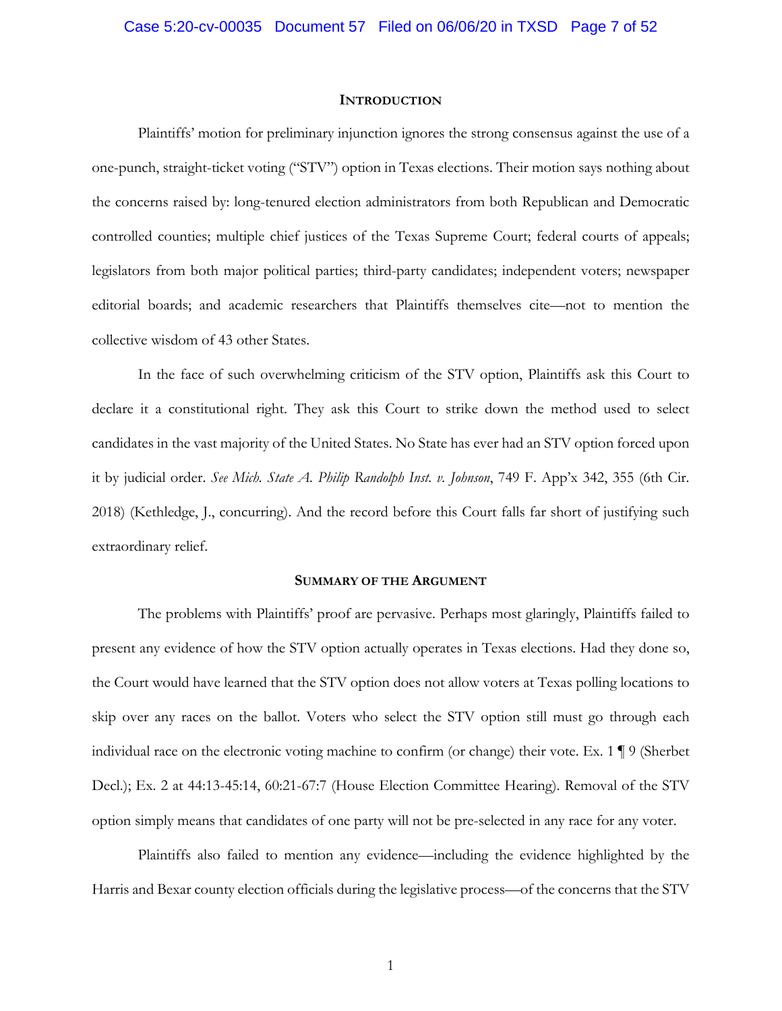#### **INTRODUCTION**

Plaintiffs' motion for preliminary injunction ignores the strong consensus against the use of a one-punch, straight-ticket voting ("STV") option in Texas elections. Their motion says nothing about the concerns raised by: long-tenured election administrators from both Republican and Democratic controlled counties; multiple chief justices of the Texas Supreme Court; federal courts of appeals; legislators from both major political parties; third-party candidates; independent voters; newspaper editorial boards; and academic researchers that Plaintiffs themselves cite—not to mention the collective wisdom of 43 other States.

In the face of such overwhelming criticism of the STV option, Plaintiffs ask this Court to declare it a constitutional right. They ask this Court to strike down the method used to select candidates in the vast majority of the United States. No State has ever had an STV option forced upon it by judicial order. *See Mich. State A. Philip Randolph Inst. v. Johnson*, 749 F. App'x 342, 355 (6th Cir. 2018) (Kethledge, J., concurring). And the record before this Court falls far short of justifying such extraordinary relief.

#### **SUMMARY OF THE ARGUMENT**

The problems with Plaintiffs' proof are pervasive. Perhaps most glaringly, Plaintiffs failed to present any evidence of how the STV option actually operates in Texas elections. Had they done so, the Court would have learned that the STV option does not allow voters at Texas polling locations to skip over any races on the ballot. Voters who select the STV option still must go through each individual race on the electronic voting machine to confirm (or change) their vote. Ex. 1 ¶ 9 (Sherbet Decl.); Ex. 2 at 44:13-45:14, 60:21-67:7 (House Election Committee Hearing). Removal of the STV option simply means that candidates of one party will not be pre-selected in any race for any voter.

Plaintiffs also failed to mention any evidence—including the evidence highlighted by the Harris and Bexar county election officials during the legislative process—of the concerns that the STV

1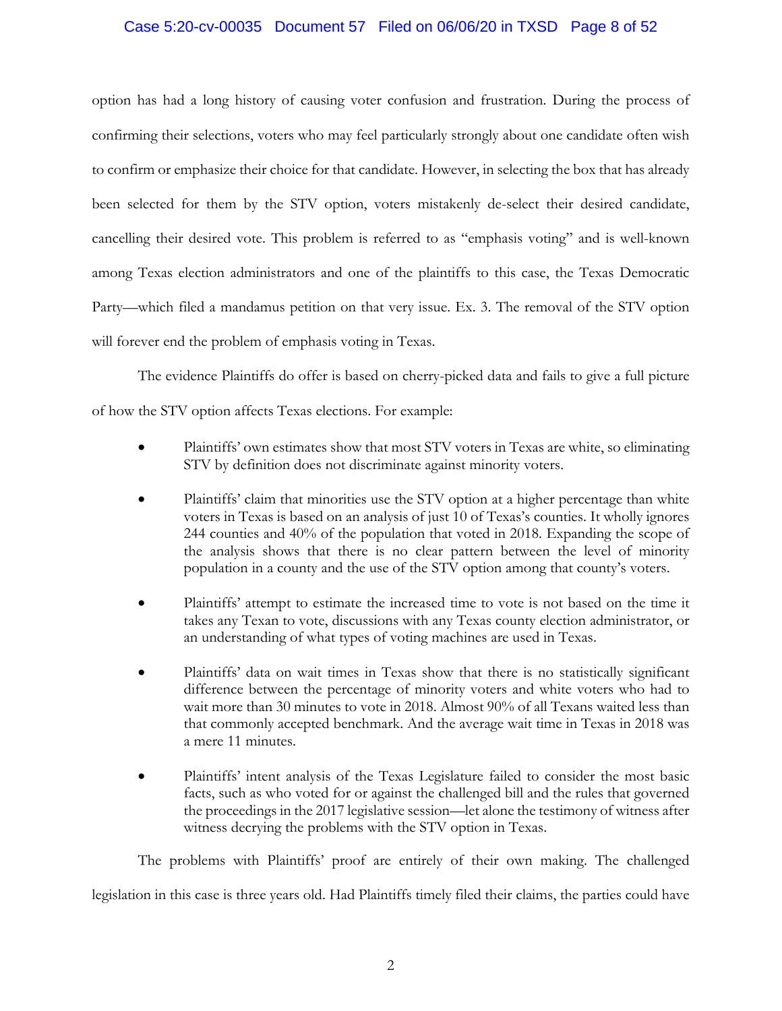# Case 5:20-cv-00035 Document 57 Filed on 06/06/20 in TXSD Page 8 of 52

option has had a long history of causing voter confusion and frustration. During the process of confirming their selections, voters who may feel particularly strongly about one candidate often wish to confirm or emphasize their choice for that candidate. However, in selecting the box that has already been selected for them by the STV option, voters mistakenly de-select their desired candidate, cancelling their desired vote. This problem is referred to as "emphasis voting" and is well-known among Texas election administrators and one of the plaintiffs to this case, the Texas Democratic Party—which filed a mandamus petition on that very issue. Ex. 3. The removal of the STV option will forever end the problem of emphasis voting in Texas.

The evidence Plaintiffs do offer is based on cherry-picked data and fails to give a full picture of how the STV option affects Texas elections. For example:

- Plaintiffs' own estimates show that most STV voters in Texas are white, so eliminating STV by definition does not discriminate against minority voters.
- Plaintiffs' claim that minorities use the STV option at a higher percentage than white voters in Texas is based on an analysis of just 10 of Texas's counties. It wholly ignores 244 counties and 40% of the population that voted in 2018. Expanding the scope of the analysis shows that there is no clear pattern between the level of minority population in a county and the use of the STV option among that county's voters.
- Plaintiffs' attempt to estimate the increased time to vote is not based on the time it takes any Texan to vote, discussions with any Texas county election administrator, or an understanding of what types of voting machines are used in Texas.
- Plaintiffs' data on wait times in Texas show that there is no statistically significant difference between the percentage of minority voters and white voters who had to wait more than 30 minutes to vote in 2018. Almost 90% of all Texans waited less than that commonly accepted benchmark. And the average wait time in Texas in 2018 was a mere 11 minutes.
- Plaintiffs' intent analysis of the Texas Legislature failed to consider the most basic facts, such as who voted for or against the challenged bill and the rules that governed the proceedings in the 2017 legislative session—let alone the testimony of witness after witness decrying the problems with the STV option in Texas.

The problems with Plaintiffs' proof are entirely of their own making. The challenged

legislation in this case is three years old. Had Plaintiffs timely filed their claims, the parties could have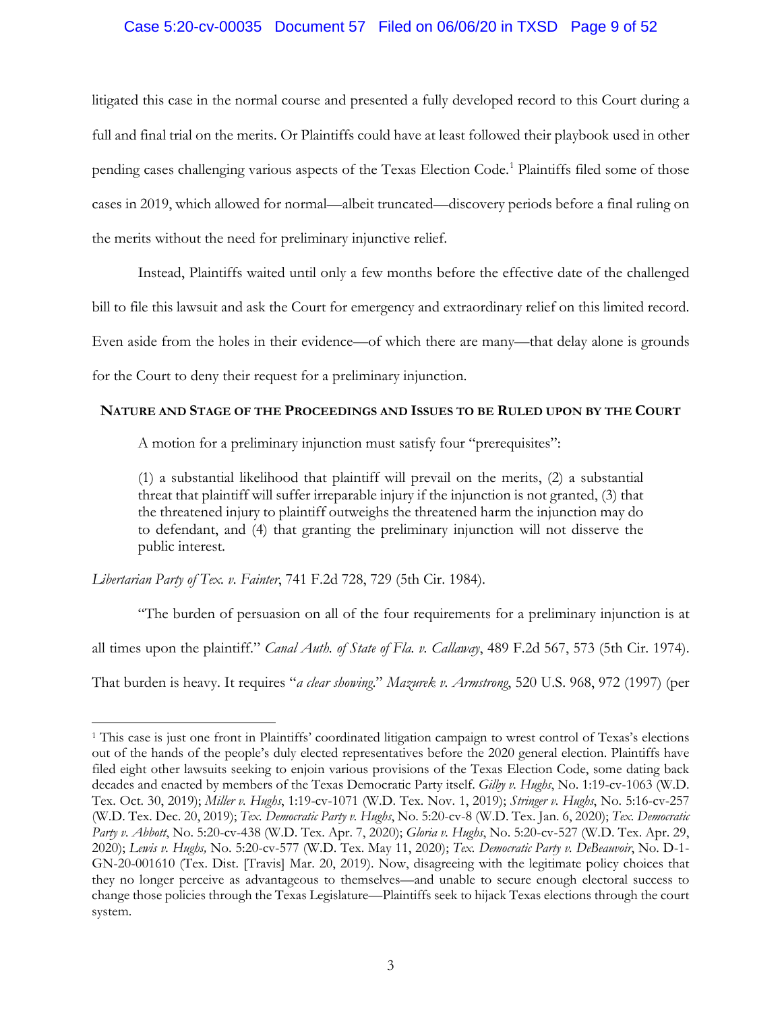# Case 5:20-cv-00035 Document 57 Filed on 06/06/20 in TXSD Page 9 of 52

litigated this case in the normal course and presented a fully developed record to this Court during a full and final trial on the merits. Or Plaintiffs could have at least followed their playbook used in other pending cases challenging various aspects of the Texas Election Code.<sup>1</sup> Plaintiffs filed some of those cases in 2019, which allowed for normal—albeit truncated—discovery periods before a final ruling on the merits without the need for preliminary injunctive relief.

Instead, Plaintiffs waited until only a few months before the effective date of the challenged

bill to file this lawsuit and ask the Court for emergency and extraordinary relief on this limited record.

Even aside from the holes in their evidence—of which there are many—that delay alone is grounds

for the Court to deny their request for a preliminary injunction.

## **NATURE AND STAGE OF THE PROCEEDINGS AND ISSUES TO BE RULED UPON BY THE COURT**

A motion for a preliminary injunction must satisfy four "prerequisites":

(1) a substantial likelihood that plaintiff will prevail on the merits, (2) a substantial threat that plaintiff will suffer irreparable injury if the injunction is not granted, (3) that the threatened injury to plaintiff outweighs the threatened harm the injunction may do to defendant, and (4) that granting the preliminary injunction will not disserve the public interest.

*Libertarian Party of Tex. v. Fainter*, 741 F.2d 728, 729 (5th Cir. 1984).

 $\overline{a}$ 

"The burden of persuasion on all of the four requirements for a preliminary injunction is at

all times upon the plaintiff." *Canal Auth. of State of Fla. v. Callaway*, 489 F.2d 567, 573 (5th Cir. 1974).

That burden is heavy. It requires "*a clear showing*." *Mazurek v. Armstrong*, 520 U.S. 968, 972 (1997) (per

<sup>1</sup> This case is just one front in Plaintiffs' coordinated litigation campaign to wrest control of Texas's elections out of the hands of the people's duly elected representatives before the 2020 general election. Plaintiffs have filed eight other lawsuits seeking to enjoin various provisions of the Texas Election Code, some dating back decades and enacted by members of the Texas Democratic Party itself. *Gilby v. Hughs*, No. 1:19-cv-1063 (W.D. Tex. Oct. 30, 2019); *Miller v. Hughs*, 1:19-cv-1071 (W.D. Tex. Nov. 1, 2019); *Stringer v. Hughs*, No. 5:16-cv-257 (W.D. Tex. Dec. 20, 2019); *Tex. Democratic Party v. Hughs*, No. 5:20-cv-8 (W.D. Tex. Jan. 6, 2020); *Tex. Democratic Party v. Abbott*, No. 5:20-cv-438 (W.D. Tex. Apr. 7, 2020); *Gloria v. Hughs*, No. 5:20-cv-527 (W.D. Tex. Apr. 29, 2020); *Lewis v. Hughs,* No. 5:20-cv-577 (W.D. Tex. May 11, 2020); *Tex. Democratic Party v. DeBeauvoir*, No. D-1- GN-20-001610 (Tex. Dist. [Travis] Mar. 20, 2019). Now, disagreeing with the legitimate policy choices that they no longer perceive as advantageous to themselves—and unable to secure enough electoral success to change those policies through the Texas Legislature—Plaintiffs seek to hijack Texas elections through the court system.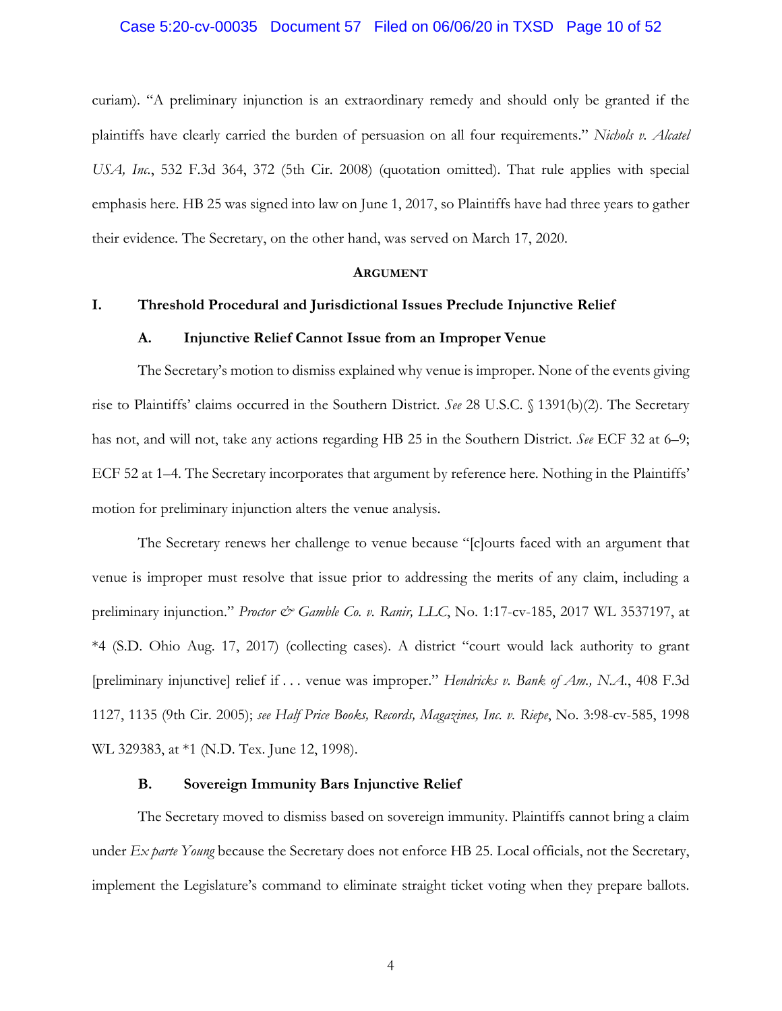#### Case 5:20-cv-00035 Document 57 Filed on 06/06/20 in TXSD Page 10 of 52

curiam). "A preliminary injunction is an extraordinary remedy and should only be granted if the plaintiffs have clearly carried the burden of persuasion on all four requirements." *Nichols v. Alcatel USA, Inc.*, 532 F.3d 364, 372 (5th Cir. 2008) (quotation omitted). That rule applies with special emphasis here. HB 25 was signed into law on June 1, 2017, so Plaintiffs have had three years to gather their evidence. The Secretary, on the other hand, was served on March 17, 2020.

#### **ARGUMENT**

## **I. Threshold Procedural and Jurisdictional Issues Preclude Injunctive Relief**

#### **A. Injunctive Relief Cannot Issue from an Improper Venue**

The Secretary's motion to dismiss explained why venue is improper. None of the events giving rise to Plaintiffs' claims occurred in the Southern District. *See* 28 U.S.C. § 1391(b)(2). The Secretary has not, and will not, take any actions regarding HB 25 in the Southern District. *See* ECF 32 at 6–9; ECF 52 at 1–4. The Secretary incorporates that argument by reference here. Nothing in the Plaintiffs' motion for preliminary injunction alters the venue analysis.

The Secretary renews her challenge to venue because "[c]ourts faced with an argument that venue is improper must resolve that issue prior to addressing the merits of any claim, including a preliminary injunction." *Proctor & Gamble Co. v. Ranir, LLC*, No. 1:17-cv-185, 2017 WL 3537197, at \*4 (S.D. Ohio Aug. 17, 2017) (collecting cases). A district "court would lack authority to grant [preliminary injunctive] relief if . . . venue was improper." *Hendricks v. Bank of Am., N.A.*, 408 F.3d 1127, 1135 (9th Cir. 2005); *see Half Price Books, Records, Magazines, Inc. v. Riepe*, No. 3:98-cv-585, 1998 WL 329383, at \*1 (N.D. Tex. June 12, 1998).

#### **B. Sovereign Immunity Bars Injunctive Relief**

The Secretary moved to dismiss based on sovereign immunity. Plaintiffs cannot bring a claim under *Ex parte Young* because the Secretary does not enforce HB 25. Local officials, not the Secretary, implement the Legislature's command to eliminate straight ticket voting when they prepare ballots.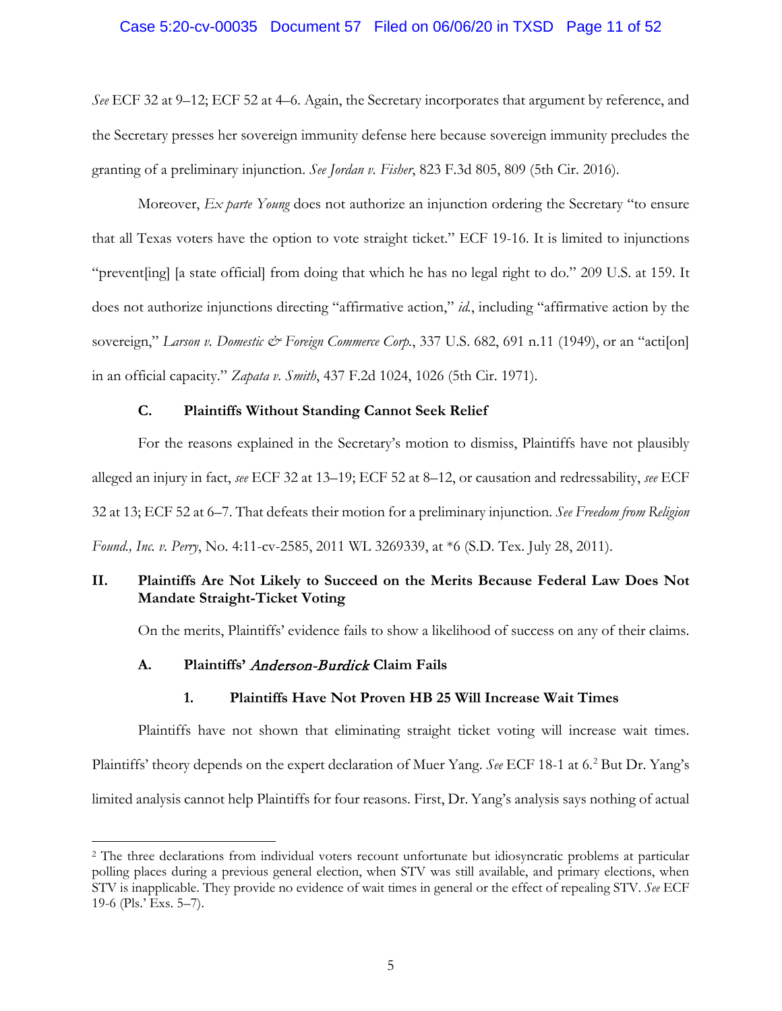## Case 5:20-cv-00035 Document 57 Filed on 06/06/20 in TXSD Page 11 of 52

*See* ECF 32 at 9–12; ECF 52 at 4–6. Again, the Secretary incorporates that argument by reference, and the Secretary presses her sovereign immunity defense here because sovereign immunity precludes the granting of a preliminary injunction. *See Jordan v. Fisher*, 823 F.3d 805, 809 (5th Cir. 2016).

Moreover, *Ex parte Young* does not authorize an injunction ordering the Secretary "to ensure that all Texas voters have the option to vote straight ticket." ECF 19-16. It is limited to injunctions "prevent[ing] [a state official] from doing that which he has no legal right to do." 209 U.S. at 159. It does not authorize injunctions directing "affirmative action," *id.*, including "affirmative action by the sovereign," *Larson v. Domestic & Foreign Commerce Corp.*, 337 U.S. 682, 691 n.11 (1949), or an "acti<sup>[</sup>on] in an official capacity." *Zapata v. Smith*, 437 F.2d 1024, 1026 (5th Cir. 1971).

# **C. Plaintiffs Without Standing Cannot Seek Relief**

For the reasons explained in the Secretary's motion to dismiss, Plaintiffs have not plausibly alleged an injury in fact, *see* ECF 32 at 13–19; ECF 52 at 8–12, or causation and redressability, *see* ECF 32 at 13; ECF 52 at 6–7. That defeats their motion for a preliminary injunction. *See Freedom from Religion Found., Inc. v. Perry*, No. 4:11-cv-2585, 2011 WL 3269339, at \*6 (S.D. Tex. July 28, 2011).

# **II. Plaintiffs Are Not Likely to Succeed on the Merits Because Federal Law Does Not Mandate Straight-Ticket Voting**

On the merits, Plaintiffs' evidence fails to show a likelihood of success on any of their claims.

## **A. Plaintiffs'** Anderson-Burdick **Claim Fails**

 $\overline{a}$ 

## **1. Plaintiffs Have Not Proven HB 25 Will Increase Wait Times**

Plaintiffs have not shown that eliminating straight ticket voting will increase wait times. Plaintiffs' theory depends on the expert declaration of Muer Yang. *See* ECF 18-1 at 6.2 But Dr. Yang's limited analysis cannot help Plaintiffs for four reasons. First, Dr. Yang's analysis says nothing of actual

<sup>&</sup>lt;sup>2</sup> The three declarations from individual voters recount unfortunate but idiosyncratic problems at particular polling places during a previous general election, when STV was still available, and primary elections, when STV is inapplicable. They provide no evidence of wait times in general or the effect of repealing STV. *See* ECF 19-6 (Pls.' Exs. 5–7).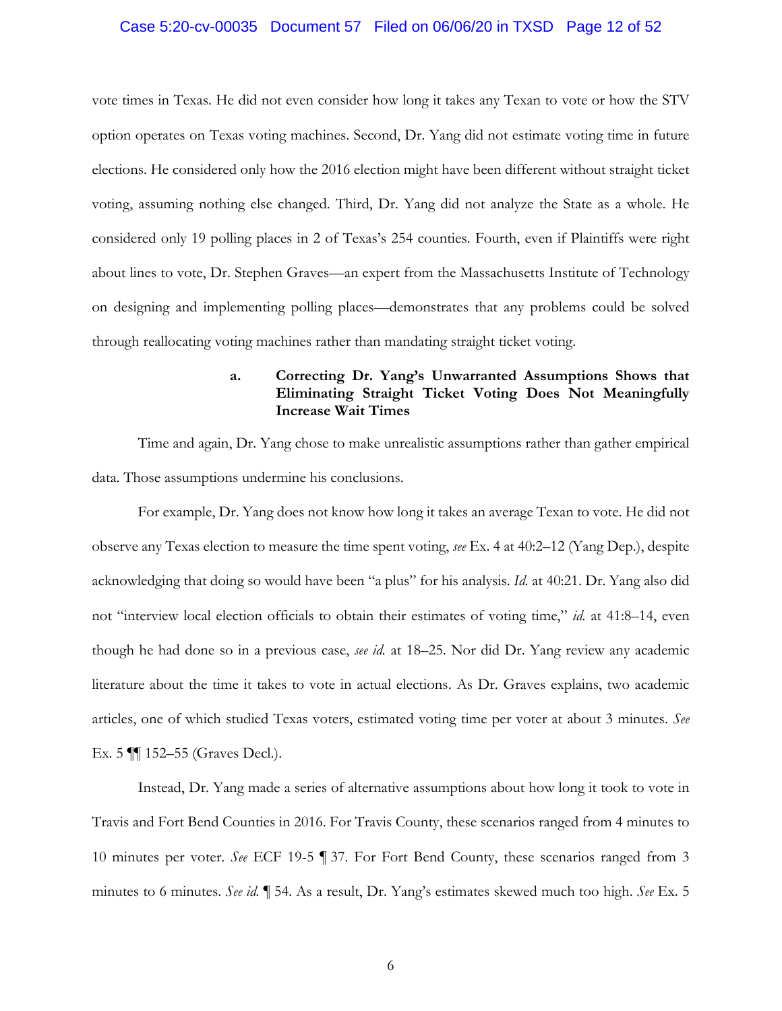#### Case 5:20-cv-00035 Document 57 Filed on 06/06/20 in TXSD Page 12 of 52

vote times in Texas. He did not even consider how long it takes any Texan to vote or how the STV option operates on Texas voting machines. Second, Dr. Yang did not estimate voting time in future elections. He considered only how the 2016 election might have been different without straight ticket voting, assuming nothing else changed. Third, Dr. Yang did not analyze the State as a whole. He considered only 19 polling places in 2 of Texas's 254 counties. Fourth, even if Plaintiffs were right about lines to vote, Dr. Stephen Graves—an expert from the Massachusetts Institute of Technology on designing and implementing polling places—demonstrates that any problems could be solved through reallocating voting machines rather than mandating straight ticket voting.

# **a. Correcting Dr. Yang's Unwarranted Assumptions Shows that Eliminating Straight Ticket Voting Does Not Meaningfully Increase Wait Times**

Time and again, Dr. Yang chose to make unrealistic assumptions rather than gather empirical data. Those assumptions undermine his conclusions.

For example, Dr. Yang does not know how long it takes an average Texan to vote. He did not observe any Texas election to measure the time spent voting, *see* Ex. 4 at 40:2–12 (Yang Dep.), despite acknowledging that doing so would have been "a plus" for his analysis. *Id.* at 40:21. Dr. Yang also did not "interview local election officials to obtain their estimates of voting time," *id.* at 41:8–14, even though he had done so in a previous case, *see id.* at 18–25. Nor did Dr. Yang review any academic literature about the time it takes to vote in actual elections. As Dr. Graves explains, two academic articles, one of which studied Texas voters, estimated voting time per voter at about 3 minutes. *See* Ex. 5 ¶¶ 152–55 (Graves Decl.).

Instead, Dr. Yang made a series of alternative assumptions about how long it took to vote in Travis and Fort Bend Counties in 2016. For Travis County, these scenarios ranged from 4 minutes to 10 minutes per voter. *See* ECF 19-5 ¶ 37. For Fort Bend County, these scenarios ranged from 3 minutes to 6 minutes. *See id.* ¶ 54. As a result, Dr. Yang's estimates skewed much too high. *See* Ex. 5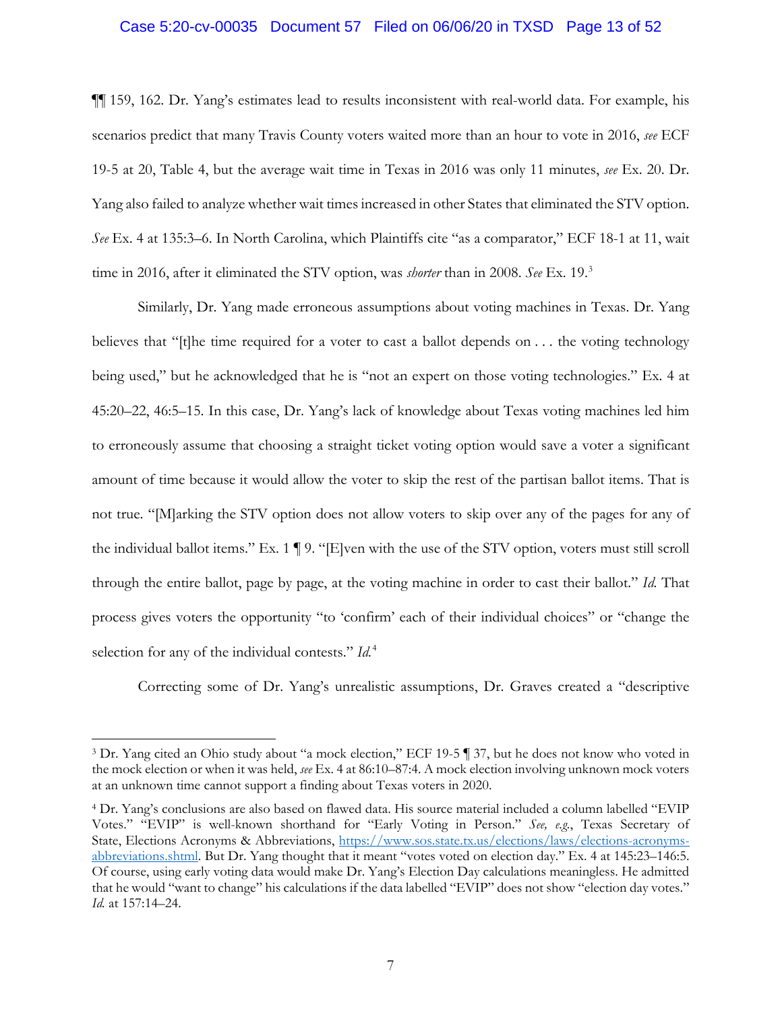#### Case 5:20-cv-00035 Document 57 Filed on 06/06/20 in TXSD Page 13 of 52

¶¶ 159, 162. Dr. Yang's estimates lead to results inconsistent with real-world data. For example, his scenarios predict that many Travis County voters waited more than an hour to vote in 2016, *see* ECF 19-5 at 20, Table 4, but the average wait time in Texas in 2016 was only 11 minutes, *see* Ex. 20. Dr. Yang also failed to analyze whether wait times increased in other States that eliminated the STV option. *See* Ex. 4 at 135:3–6. In North Carolina, which Plaintiffs cite "as a comparator," ECF 18-1 at 11, wait time in 2016, after it eliminated the STV option, was *shorter* than in 2008. *See* Ex. 19. 3

Similarly, Dr. Yang made erroneous assumptions about voting machines in Texas. Dr. Yang believes that "[t]he time required for a voter to cast a ballot depends on . . . the voting technology being used," but he acknowledged that he is "not an expert on those voting technologies." Ex. 4 at 45:20–22, 46:5–15. In this case, Dr. Yang's lack of knowledge about Texas voting machines led him to erroneously assume that choosing a straight ticket voting option would save a voter a significant amount of time because it would allow the voter to skip the rest of the partisan ballot items. That is not true. "[M]arking the STV option does not allow voters to skip over any of the pages for any of the individual ballot items." Ex. 1  $\P$  9. "[E]ven with the use of the STV option, voters must still scroll through the entire ballot, page by page, at the voting machine in order to cast their ballot." *Id.* That process gives voters the opportunity "to 'confirm' each of their individual choices" or "change the selection for any of the individual contests." *Id.*<sup>4</sup>

Correcting some of Dr. Yang's unrealistic assumptions, Dr. Graves created a "descriptive

<sup>3</sup> Dr. Yang cited an Ohio study about "a mock election," ECF 19-5 ¶ 37, but he does not know who voted in the mock election or when it was held, *see* Ex. 4 at 86:10–87:4. A mock election involving unknown mock voters at an unknown time cannot support a finding about Texas voters in 2020.

<sup>4</sup> Dr. Yang's conclusions are also based on flawed data. His source material included a column labelled "EVIP Votes." "EVIP" is well-known shorthand for "Early Voting in Person." *See, e.g.*, Texas Secretary of State, Elections Acronyms & Abbreviations, https://www.sos.state.tx.us/elections/laws/elections-acronymsabbreviations.shtml. But Dr. Yang thought that it meant "votes voted on election day." Ex. 4 at 145:23–146:5. Of course, using early voting data would make Dr. Yang's Election Day calculations meaningless. He admitted that he would "want to change" his calculations if the data labelled "EVIP" does not show "election day votes." *Id.* at 157:14–24.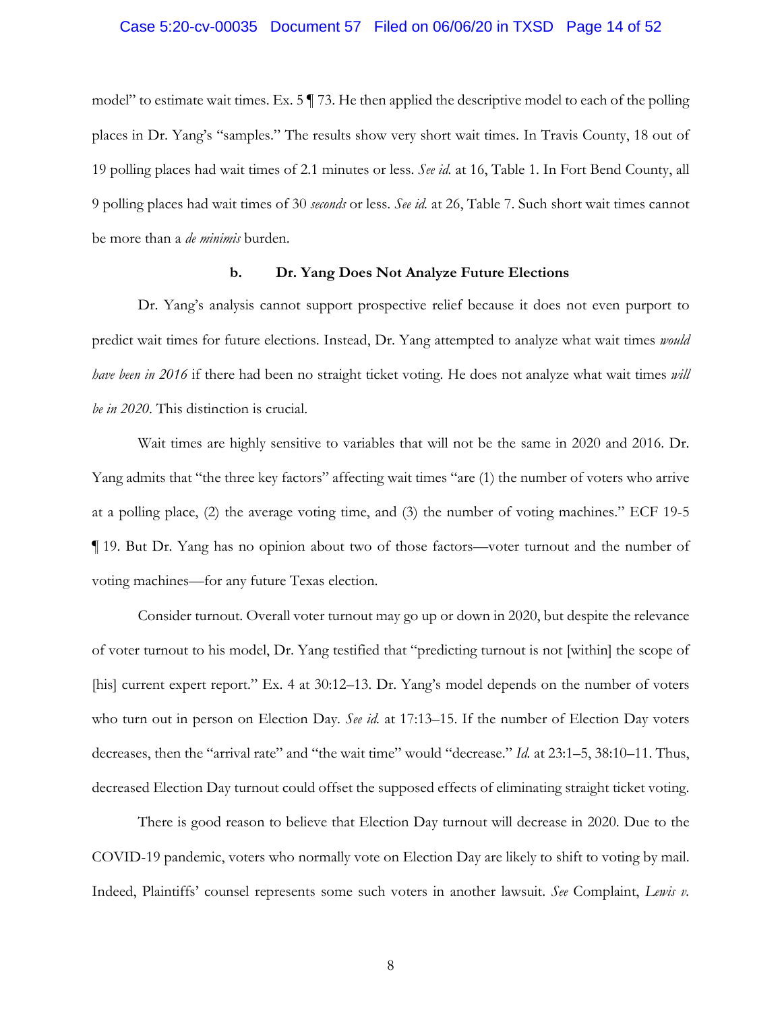#### Case 5:20-cv-00035 Document 57 Filed on 06/06/20 in TXSD Page 14 of 52

model" to estimate wait times. Ex. 5 ¶ 73. He then applied the descriptive model to each of the polling places in Dr. Yang's "samples." The results show very short wait times. In Travis County, 18 out of 19 polling places had wait times of 2.1 minutes or less. *See id.* at 16, Table 1. In Fort Bend County, all 9 polling places had wait times of 30 *seconds* or less. *See id.* at 26, Table 7. Such short wait times cannot be more than a *de minimis* burden.

## **b. Dr. Yang Does Not Analyze Future Elections**

Dr. Yang's analysis cannot support prospective relief because it does not even purport to predict wait times for future elections. Instead, Dr. Yang attempted to analyze what wait times *would have been in 2016* if there had been no straight ticket voting. He does not analyze what wait times *will be in 2020*. This distinction is crucial.

Wait times are highly sensitive to variables that will not be the same in 2020 and 2016. Dr. Yang admits that "the three key factors" affecting wait times "are (1) the number of voters who arrive at a polling place, (2) the average voting time, and (3) the number of voting machines." ECF 19-5 ¶ 19. But Dr. Yang has no opinion about two of those factors—voter turnout and the number of voting machines—for any future Texas election.

Consider turnout. Overall voter turnout may go up or down in 2020, but despite the relevance of voter turnout to his model, Dr. Yang testified that "predicting turnout is not [within] the scope of [his] current expert report." Ex. 4 at 30:12–13. Dr. Yang's model depends on the number of voters who turn out in person on Election Day. *See id.* at 17:13–15. If the number of Election Day voters decreases, then the "arrival rate" and "the wait time" would "decrease." *Id.* at 23:1–5, 38:10–11. Thus, decreased Election Day turnout could offset the supposed effects of eliminating straight ticket voting.

There is good reason to believe that Election Day turnout will decrease in 2020. Due to the COVID-19 pandemic, voters who normally vote on Election Day are likely to shift to voting by mail. Indeed, Plaintiffs' counsel represents some such voters in another lawsuit. *See* Complaint, *Lewis v.*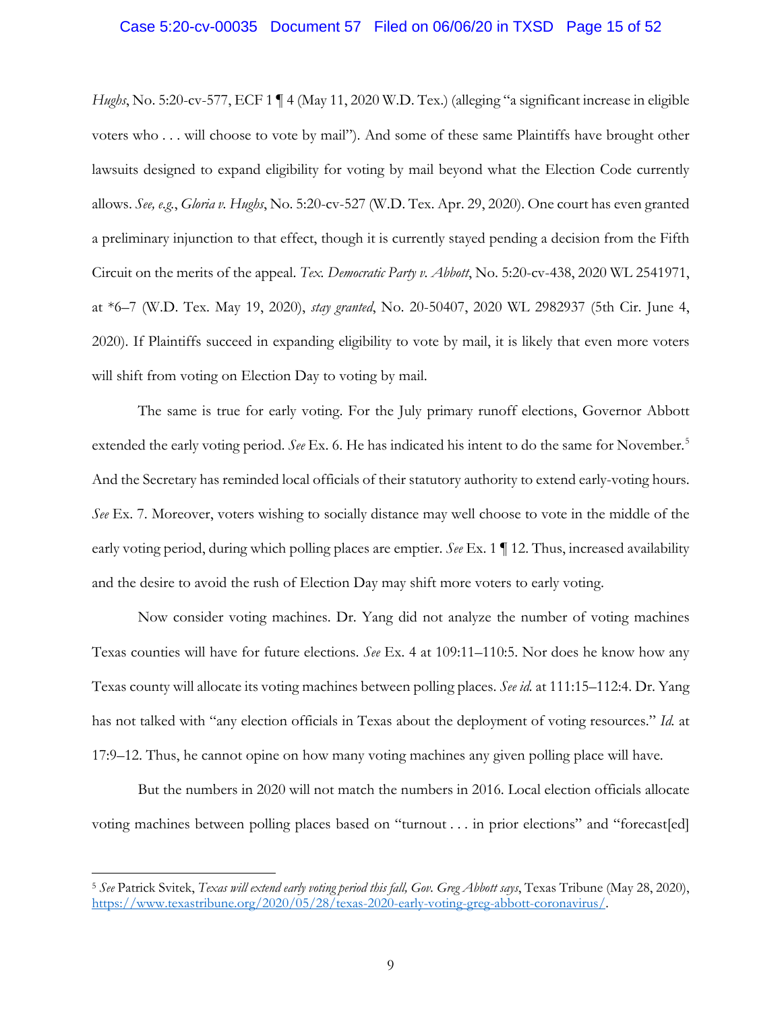#### Case 5:20-cv-00035 Document 57 Filed on 06/06/20 in TXSD Page 15 of 52

*Hughs*, No. 5:20-cv-577, ECF 1 | 4 (May 11, 2020 W.D. Tex.) (alleging "a significant increase in eligible voters who . . . will choose to vote by mail"). And some of these same Plaintiffs have brought other lawsuits designed to expand eligibility for voting by mail beyond what the Election Code currently allows. *See, e.g.*, *Gloria v. Hughs*, No. 5:20-cv-527 (W.D. Tex. Apr. 29, 2020). One court has even granted a preliminary injunction to that effect, though it is currently stayed pending a decision from the Fifth Circuit on the merits of the appeal. *Tex. Democratic Party v. Abbott*, No. 5:20-cv-438, 2020 WL 2541971, at \*6–7 (W.D. Tex. May 19, 2020), *stay granted*, No. 20-50407, 2020 WL 2982937 (5th Cir. June 4, 2020). If Plaintiffs succeed in expanding eligibility to vote by mail, it is likely that even more voters will shift from voting on Election Day to voting by mail.

The same is true for early voting. For the July primary runoff elections, Governor Abbott extended the early voting period. *See* Ex. 6. He has indicated his intent to do the same for November.<sup>5</sup> And the Secretary has reminded local officials of their statutory authority to extend early-voting hours. *See* Ex. 7. Moreover, voters wishing to socially distance may well choose to vote in the middle of the early voting period, during which polling places are emptier. *See* Ex. 1 ¶ 12. Thus, increased availability and the desire to avoid the rush of Election Day may shift more voters to early voting.

Now consider voting machines. Dr. Yang did not analyze the number of voting machines Texas counties will have for future elections. *See* Ex. 4 at 109:11–110:5. Nor does he know how any Texas county will allocate its voting machines between polling places. *See id.* at 111:15–112:4. Dr. Yang has not talked with "any election officials in Texas about the deployment of voting resources." *Id.* at 17:9–12. Thus, he cannot opine on how many voting machines any given polling place will have.

But the numbers in 2020 will not match the numbers in 2016. Local election officials allocate voting machines between polling places based on "turnout . . . in prior elections" and "forecast[ed]

<sup>5</sup> *See* Patrick Svitek, *Texas will extend early voting period this fall, Gov. Greg Abbott says*, Texas Tribune (May 28, 2020), https://www.texastribune.org/2020/05/28/texas-2020-early-voting-greg-abbott-coronavirus/.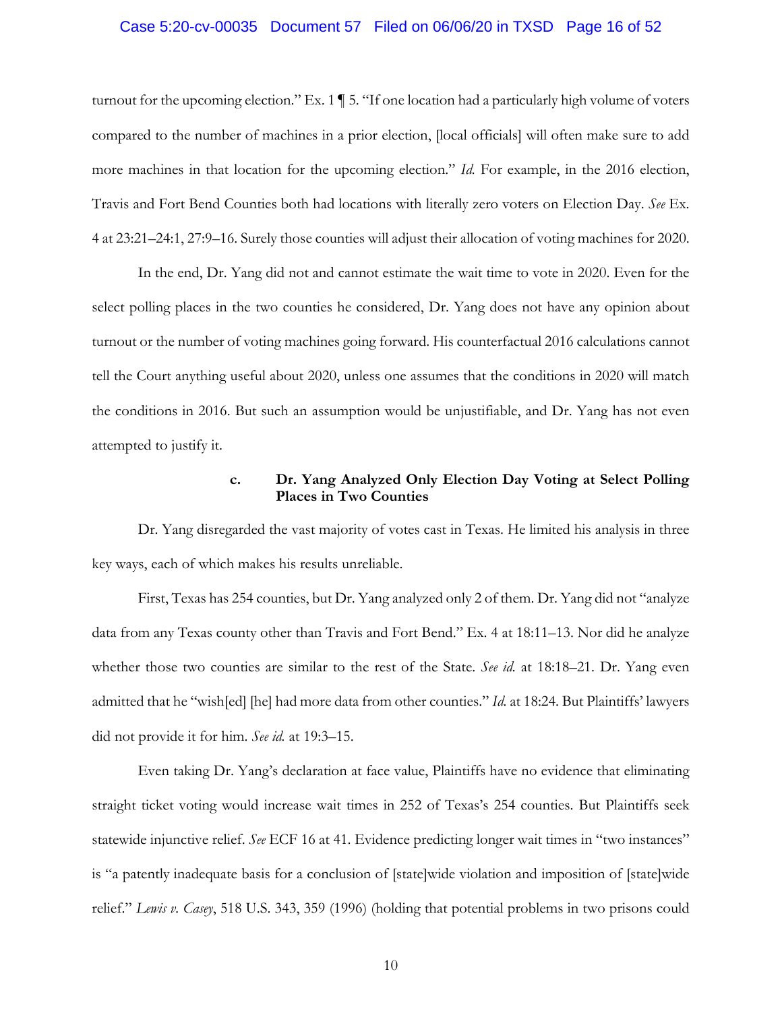#### Case 5:20-cv-00035 Document 57 Filed on 06/06/20 in TXSD Page 16 of 52

turnout for the upcoming election." Ex. 1 ¶ 5. "If one location had a particularly high volume of voters compared to the number of machines in a prior election, [local officials] will often make sure to add more machines in that location for the upcoming election." *Id.* For example, in the 2016 election, Travis and Fort Bend Counties both had locations with literally zero voters on Election Day. *See* Ex. 4 at 23:21–24:1, 27:9–16. Surely those counties will adjust their allocation of voting machines for 2020.

In the end, Dr. Yang did not and cannot estimate the wait time to vote in 2020. Even for the select polling places in the two counties he considered, Dr. Yang does not have any opinion about turnout or the number of voting machines going forward. His counterfactual 2016 calculations cannot tell the Court anything useful about 2020, unless one assumes that the conditions in 2020 will match the conditions in 2016. But such an assumption would be unjustifiable, and Dr. Yang has not even attempted to justify it.

## **c. Dr. Yang Analyzed Only Election Day Voting at Select Polling Places in Two Counties**

Dr. Yang disregarded the vast majority of votes cast in Texas. He limited his analysis in three key ways, each of which makes his results unreliable.

First, Texas has 254 counties, but Dr. Yang analyzed only 2 of them. Dr. Yang did not "analyze data from any Texas county other than Travis and Fort Bend." Ex. 4 at 18:11–13. Nor did he analyze whether those two counties are similar to the rest of the State. *See id.* at 18:18–21. Dr. Yang even admitted that he "wish[ed] [he] had more data from other counties." *Id.* at 18:24. But Plaintiffs' lawyers did not provide it for him. *See id.* at 19:3–15.

Even taking Dr. Yang's declaration at face value, Plaintiffs have no evidence that eliminating straight ticket voting would increase wait times in 252 of Texas's 254 counties. But Plaintiffs seek statewide injunctive relief. *See* ECF 16 at 41. Evidence predicting longer wait times in "two instances" is "a patently inadequate basis for a conclusion of [state]wide violation and imposition of [state]wide relief." *Lewis v. Casey*, 518 U.S. 343, 359 (1996) (holding that potential problems in two prisons could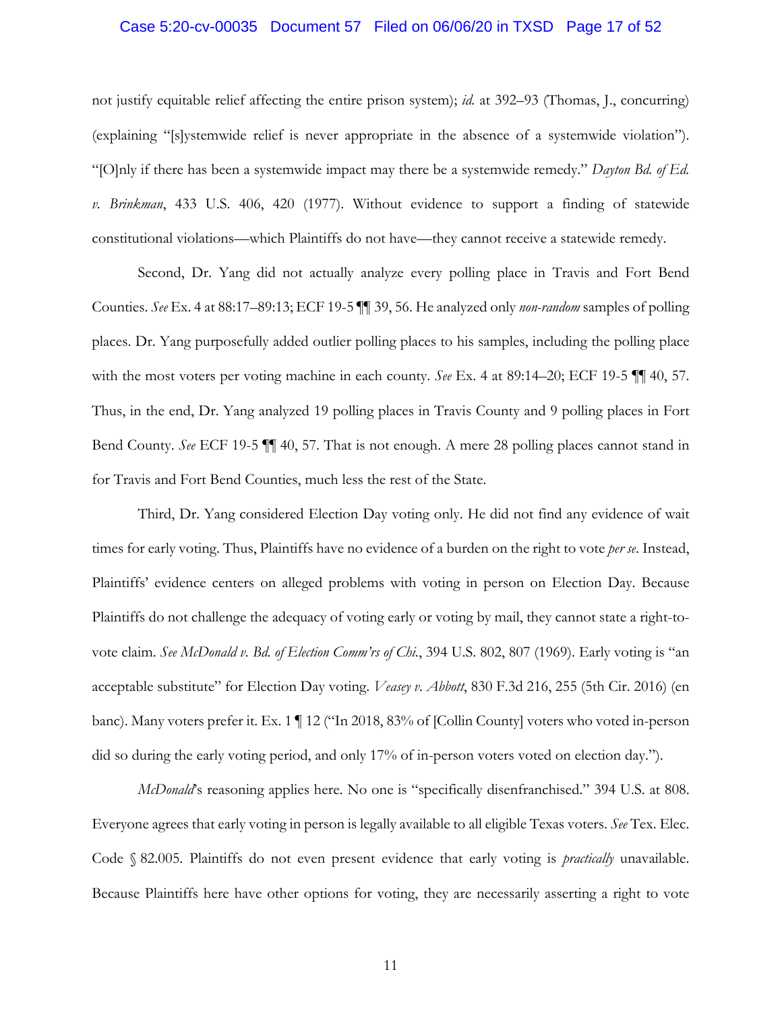#### Case 5:20-cv-00035 Document 57 Filed on 06/06/20 in TXSD Page 17 of 52

not justify equitable relief affecting the entire prison system); *id.* at 392–93 (Thomas, J., concurring) (explaining "[s]ystemwide relief is never appropriate in the absence of a systemwide violation"). "[O]nly if there has been a systemwide impact may there be a systemwide remedy." *Dayton Bd. of Ed. v. Brinkman*, 433 U.S. 406, 420 (1977). Without evidence to support a finding of statewide constitutional violations—which Plaintiffs do not have—they cannot receive a statewide remedy.

Second, Dr. Yang did not actually analyze every polling place in Travis and Fort Bend Counties. *See* Ex. 4 at 88:17–89:13; ECF 19-5 ¶¶ 39, 56. He analyzed only *non-random* samples of polling places. Dr. Yang purposefully added outlier polling places to his samples, including the polling place with the most voters per voting machine in each county. *See* Ex. 4 at 89:14–20; ECF 19-5 ¶¶ 40, 57. Thus, in the end, Dr. Yang analyzed 19 polling places in Travis County and 9 polling places in Fort Bend County. *See* ECF 19-5 ¶¶ 40, 57. That is not enough. A mere 28 polling places cannot stand in for Travis and Fort Bend Counties, much less the rest of the State.

Third, Dr. Yang considered Election Day voting only. He did not find any evidence of wait times for early voting. Thus, Plaintiffs have no evidence of a burden on the right to vote *per se*. Instead, Plaintiffs' evidence centers on alleged problems with voting in person on Election Day. Because Plaintiffs do not challenge the adequacy of voting early or voting by mail, they cannot state a right-tovote claim. *See McDonald v. Bd. of Election Comm'rs of Chi.*, 394 U.S. 802, 807 (1969). Early voting is "an acceptable substitute" for Election Day voting. *Veasey v. Abbott*, 830 F.3d 216, 255 (5th Cir. 2016) (en banc). Many voters prefer it. Ex. 1 ¶ 12 ("In 2018, 83% of [Collin County] voters who voted in-person did so during the early voting period, and only 17% of in-person voters voted on election day.").

*McDonald*'s reasoning applies here. No one is "specifically disenfranchised." 394 U.S. at 808. Everyone agrees that early voting in person is legally available to all eligible Texas voters. *See* Tex. Elec. Code § 82.005. Plaintiffs do not even present evidence that early voting is *practically* unavailable. Because Plaintiffs here have other options for voting, they are necessarily asserting a right to vote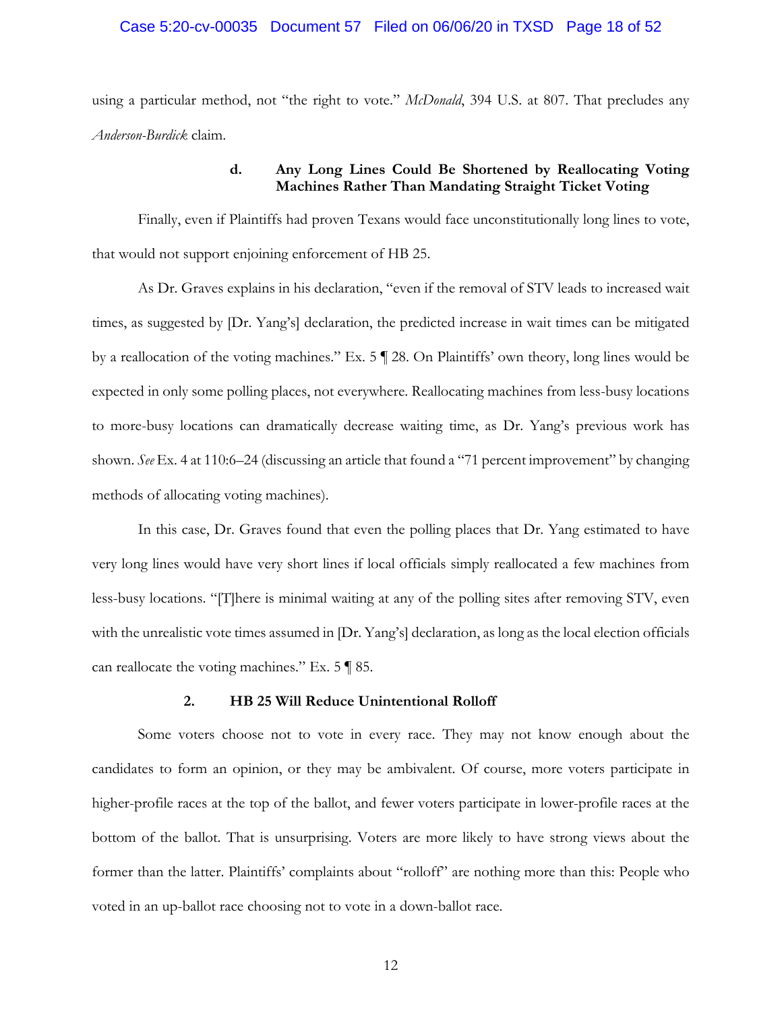#### Case 5:20-cv-00035 Document 57 Filed on 06/06/20 in TXSD Page 18 of 52

using a particular method, not "the right to vote." *McDonald*, 394 U.S. at 807. That precludes any *Anderson-Burdick* claim.

## **d. Any Long Lines Could Be Shortened by Reallocating Voting Machines Rather Than Mandating Straight Ticket Voting**

Finally, even if Plaintiffs had proven Texans would face unconstitutionally long lines to vote, that would not support enjoining enforcement of HB 25.

As Dr. Graves explains in his declaration, "even if the removal of STV leads to increased wait times, as suggested by [Dr. Yang's] declaration, the predicted increase in wait times can be mitigated by a reallocation of the voting machines." Ex. 5 ¶ 28. On Plaintiffs' own theory, long lines would be expected in only some polling places, not everywhere. Reallocating machines from less-busy locations to more-busy locations can dramatically decrease waiting time, as Dr. Yang's previous work has shown. *See* Ex. 4 at 110:6–24 (discussing an article that found a "71 percent improvement" by changing methods of allocating voting machines).

In this case, Dr. Graves found that even the polling places that Dr. Yang estimated to have very long lines would have very short lines if local officials simply reallocated a few machines from less-busy locations. "[T]here is minimal waiting at any of the polling sites after removing STV, even with the unrealistic vote times assumed in [Dr. Yang's] declaration, as long as the local election officials can reallocate the voting machines." Ex. 5 ¶ 85.

### **2. HB 25 Will Reduce Unintentional Rolloff**

Some voters choose not to vote in every race. They may not know enough about the candidates to form an opinion, or they may be ambivalent. Of course, more voters participate in higher-profile races at the top of the ballot, and fewer voters participate in lower-profile races at the bottom of the ballot. That is unsurprising. Voters are more likely to have strong views about the former than the latter. Plaintiffs' complaints about "rolloff" are nothing more than this: People who voted in an up-ballot race choosing not to vote in a down-ballot race.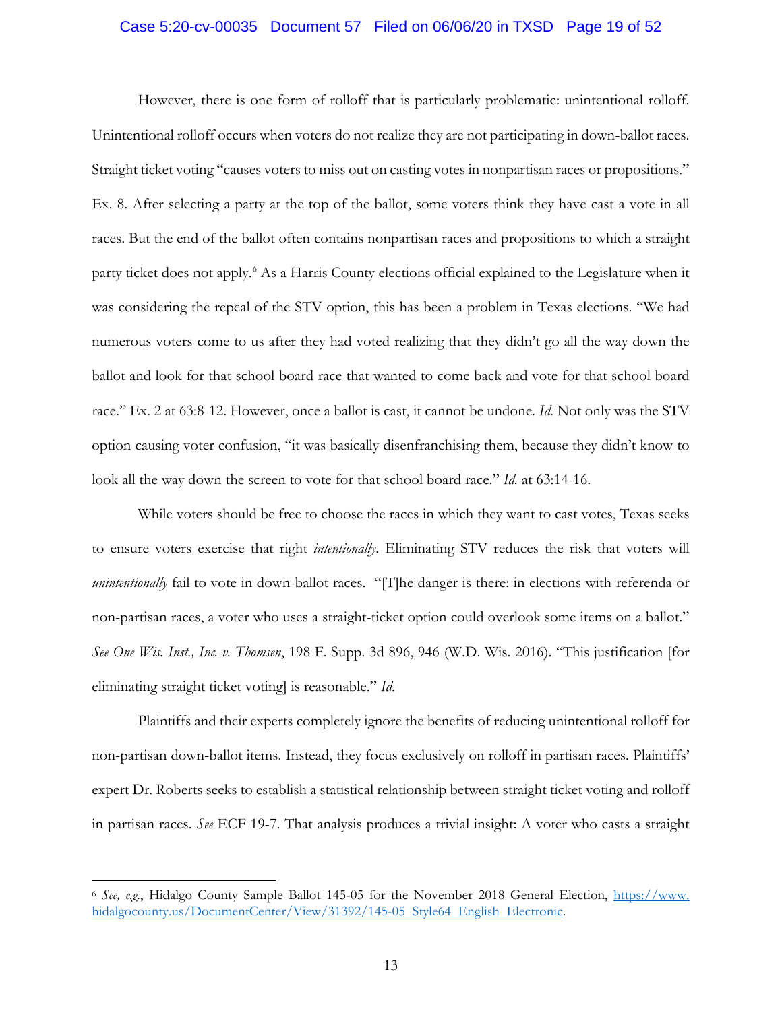#### Case 5:20-cv-00035 Document 57 Filed on 06/06/20 in TXSD Page 19 of 52

However, there is one form of rolloff that is particularly problematic: unintentional rolloff. Unintentional rolloff occurs when voters do not realize they are not participating in down-ballot races. Straight ticket voting "causes voters to miss out on casting votes in nonpartisan races or propositions." Ex. 8. After selecting a party at the top of the ballot, some voters think they have cast a vote in all races. But the end of the ballot often contains nonpartisan races and propositions to which a straight party ticket does not apply.<sup>6</sup> As a Harris County elections official explained to the Legislature when it was considering the repeal of the STV option, this has been a problem in Texas elections. "We had numerous voters come to us after they had voted realizing that they didn't go all the way down the ballot and look for that school board race that wanted to come back and vote for that school board race." Ex. 2 at 63:8-12. However, once a ballot is cast, it cannot be undone. *Id.* Not only was the STV option causing voter confusion, "it was basically disenfranchising them, because they didn't know to look all the way down the screen to vote for that school board race." *Id.* at 63:14-16.

While voters should be free to choose the races in which they want to cast votes, Texas seeks to ensure voters exercise that right *intentionally*. Eliminating STV reduces the risk that voters will *unintentionally* fail to vote in down-ballot races. "[T]he danger is there: in elections with referenda or non-partisan races, a voter who uses a straight-ticket option could overlook some items on a ballot." *See One Wis. Inst., Inc. v. Thomsen*, 198 F. Supp. 3d 896, 946 (W.D. Wis. 2016). "This justification [for eliminating straight ticket voting] is reasonable." *Id.*

Plaintiffs and their experts completely ignore the benefits of reducing unintentional rolloff for non-partisan down-ballot items. Instead, they focus exclusively on rolloff in partisan races. Plaintiffs' expert Dr. Roberts seeks to establish a statistical relationship between straight ticket voting and rolloff in partisan races. *See* ECF 19-7. That analysis produces a trivial insight: A voter who casts a straight

<sup>6</sup> *See, e.g.*, Hidalgo County Sample Ballot 145-05 for the November 2018 General Election, https://www. hidalgocounty.us/DocumentCenter/View/31392/145-05 Style64 English Electronic.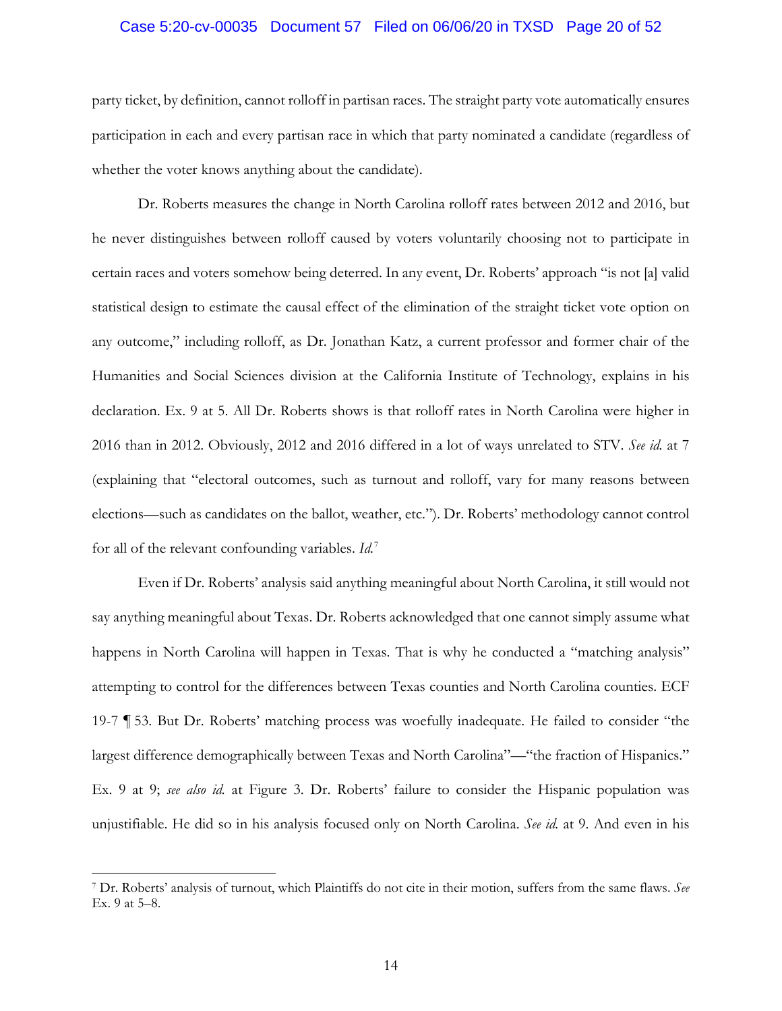#### Case 5:20-cv-00035 Document 57 Filed on 06/06/20 in TXSD Page 20 of 52

party ticket, by definition, cannot rolloff in partisan races. The straight party vote automatically ensures participation in each and every partisan race in which that party nominated a candidate (regardless of whether the voter knows anything about the candidate).

Dr. Roberts measures the change in North Carolina rolloff rates between 2012 and 2016, but he never distinguishes between rolloff caused by voters voluntarily choosing not to participate in certain races and voters somehow being deterred. In any event, Dr. Roberts' approach "is not [a] valid statistical design to estimate the causal effect of the elimination of the straight ticket vote option on any outcome," including rolloff, as Dr. Jonathan Katz, a current professor and former chair of the Humanities and Social Sciences division at the California Institute of Technology, explains in his declaration. Ex. 9 at 5. All Dr. Roberts shows is that rolloff rates in North Carolina were higher in 2016 than in 2012. Obviously, 2012 and 2016 differed in a lot of ways unrelated to STV. *See id.* at 7 (explaining that "electoral outcomes, such as turnout and rolloff, vary for many reasons between elections—such as candidates on the ballot, weather, etc."). Dr. Roberts' methodology cannot control for all of the relevant confounding variables. *Id.*<sup>7</sup>

Even if Dr. Roberts' analysis said anything meaningful about North Carolina, it still would not say anything meaningful about Texas. Dr. Roberts acknowledged that one cannot simply assume what happens in North Carolina will happen in Texas. That is why he conducted a "matching analysis" attempting to control for the differences between Texas counties and North Carolina counties. ECF 19-7 ¶ 53. But Dr. Roberts' matching process was woefully inadequate. He failed to consider "the largest difference demographically between Texas and North Carolina"—"the fraction of Hispanics." Ex. 9 at 9; *see also id.* at Figure 3. Dr. Roberts' failure to consider the Hispanic population was unjustifiable. He did so in his analysis focused only on North Carolina. *See id.* at 9. And even in his

<sup>7</sup> Dr. Roberts' analysis of turnout, which Plaintiffs do not cite in their motion, suffers from the same flaws. *See* Ex. 9 at 5–8.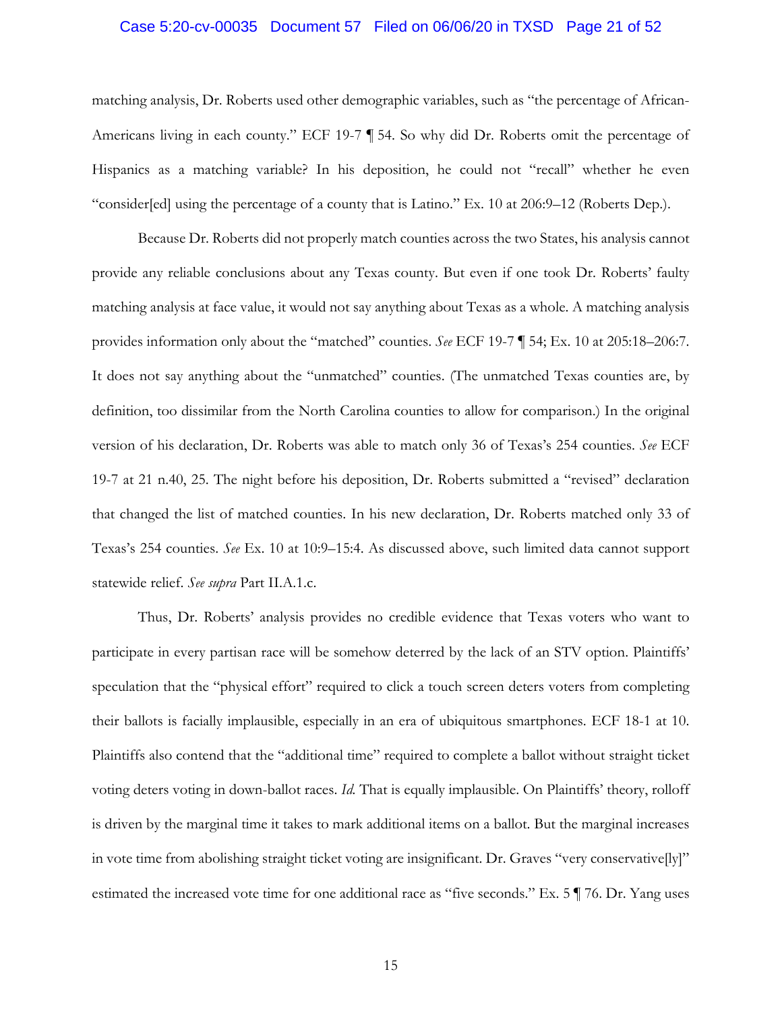#### Case 5:20-cv-00035 Document 57 Filed on 06/06/20 in TXSD Page 21 of 52

matching analysis, Dr. Roberts used other demographic variables, such as "the percentage of African-Americans living in each county." ECF 19-7 ¶ 54. So why did Dr. Roberts omit the percentage of Hispanics as a matching variable? In his deposition, he could not "recall" whether he even "consider[ed] using the percentage of a county that is Latino." Ex. 10 at 206:9–12 (Roberts Dep.).

Because Dr. Roberts did not properly match counties across the two States, his analysis cannot provide any reliable conclusions about any Texas county. But even if one took Dr. Roberts' faulty matching analysis at face value, it would not say anything about Texas as a whole. A matching analysis provides information only about the "matched" counties. *See* ECF 19-7 ¶ 54; Ex. 10 at 205:18–206:7. It does not say anything about the "unmatched" counties. (The unmatched Texas counties are, by definition, too dissimilar from the North Carolina counties to allow for comparison.) In the original version of his declaration, Dr. Roberts was able to match only 36 of Texas's 254 counties. *See* ECF 19-7 at 21 n.40, 25. The night before his deposition, Dr. Roberts submitted a "revised" declaration that changed the list of matched counties. In his new declaration, Dr. Roberts matched only 33 of Texas's 254 counties. *See* Ex. 10 at 10:9–15:4. As discussed above, such limited data cannot support statewide relief. *See supra* Part II.A.1.c.

Thus, Dr. Roberts' analysis provides no credible evidence that Texas voters who want to participate in every partisan race will be somehow deterred by the lack of an STV option. Plaintiffs' speculation that the "physical effort" required to click a touch screen deters voters from completing their ballots is facially implausible, especially in an era of ubiquitous smartphones. ECF 18-1 at 10. Plaintiffs also contend that the "additional time" required to complete a ballot without straight ticket voting deters voting in down-ballot races. *Id.* That is equally implausible. On Plaintiffs' theory, rolloff is driven by the marginal time it takes to mark additional items on a ballot. But the marginal increases in vote time from abolishing straight ticket voting are insignificant. Dr. Graves "very conservative[ly]" estimated the increased vote time for one additional race as "five seconds." Ex. 5 ¶ 76. Dr. Yang uses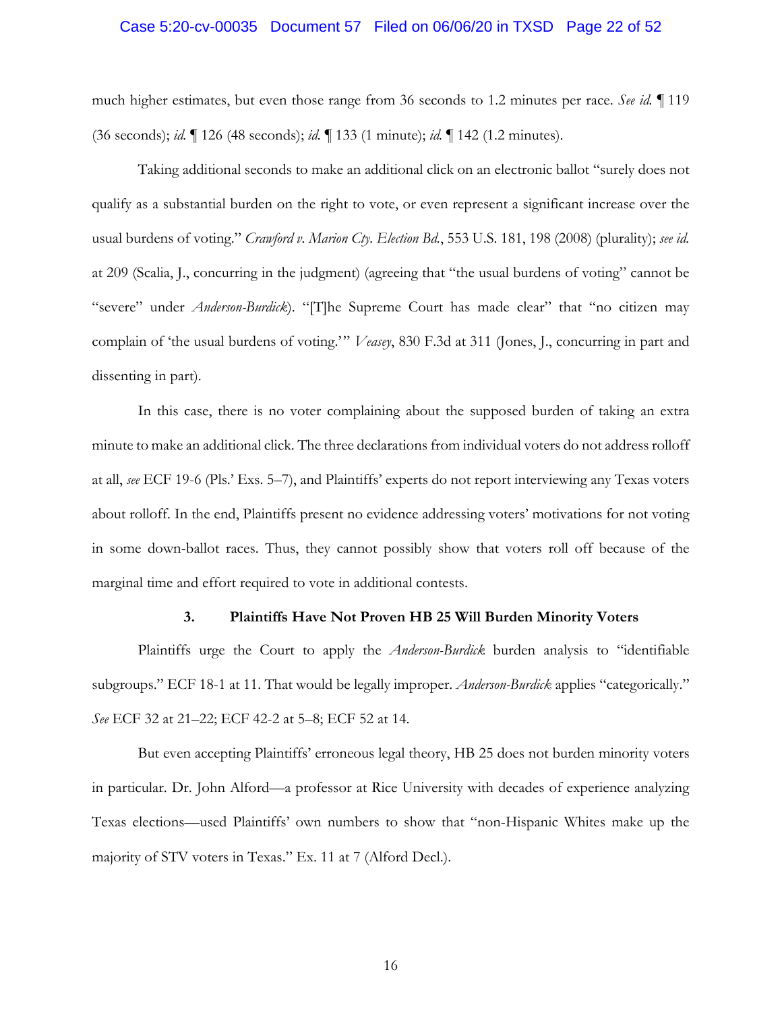#### Case 5:20-cv-00035 Document 57 Filed on 06/06/20 in TXSD Page 22 of 52

much higher estimates, but even those range from 36 seconds to 1.2 minutes per race. *See id.* ¶ 119 (36 seconds); *id.* ¶ 126 (48 seconds); *id.* ¶ 133 (1 minute); *id.* ¶ 142 (1.2 minutes).

Taking additional seconds to make an additional click on an electronic ballot "surely does not qualify as a substantial burden on the right to vote, or even represent a significant increase over the usual burdens of voting." *Crawford v. Marion Cty. Election Bd.*, 553 U.S. 181, 198 (2008) (plurality); *see id.* at 209 (Scalia, J., concurring in the judgment) (agreeing that "the usual burdens of voting" cannot be "severe" under *Anderson-Burdick*). "[T]he Supreme Court has made clear" that "no citizen may complain of 'the usual burdens of voting.'" *Veasey*, 830 F.3d at 311 (Jones, J., concurring in part and dissenting in part).

In this case, there is no voter complaining about the supposed burden of taking an extra minute to make an additional click. The three declarations from individual voters do not address rolloff at all, *see* ECF 19-6 (Pls.' Exs. 5–7), and Plaintiffs' experts do not report interviewing any Texas voters about rolloff. In the end, Plaintiffs present no evidence addressing voters' motivations for not voting in some down-ballot races. Thus, they cannot possibly show that voters roll off because of the marginal time and effort required to vote in additional contests.

#### **3. Plaintiffs Have Not Proven HB 25 Will Burden Minority Voters**

Plaintiffs urge the Court to apply the *Anderson-Burdick* burden analysis to "identifiable subgroups." ECF 18-1 at 11. That would be legally improper. *Anderson-Burdick* applies "categorically." *See* ECF 32 at 21–22; ECF 42-2 at 5–8; ECF 52 at 14.

But even accepting Plaintiffs' erroneous legal theory, HB 25 does not burden minority voters in particular. Dr. John Alford—a professor at Rice University with decades of experience analyzing Texas elections—used Plaintiffs' own numbers to show that "non-Hispanic Whites make up the majority of STV voters in Texas." Ex. 11 at 7 (Alford Decl.).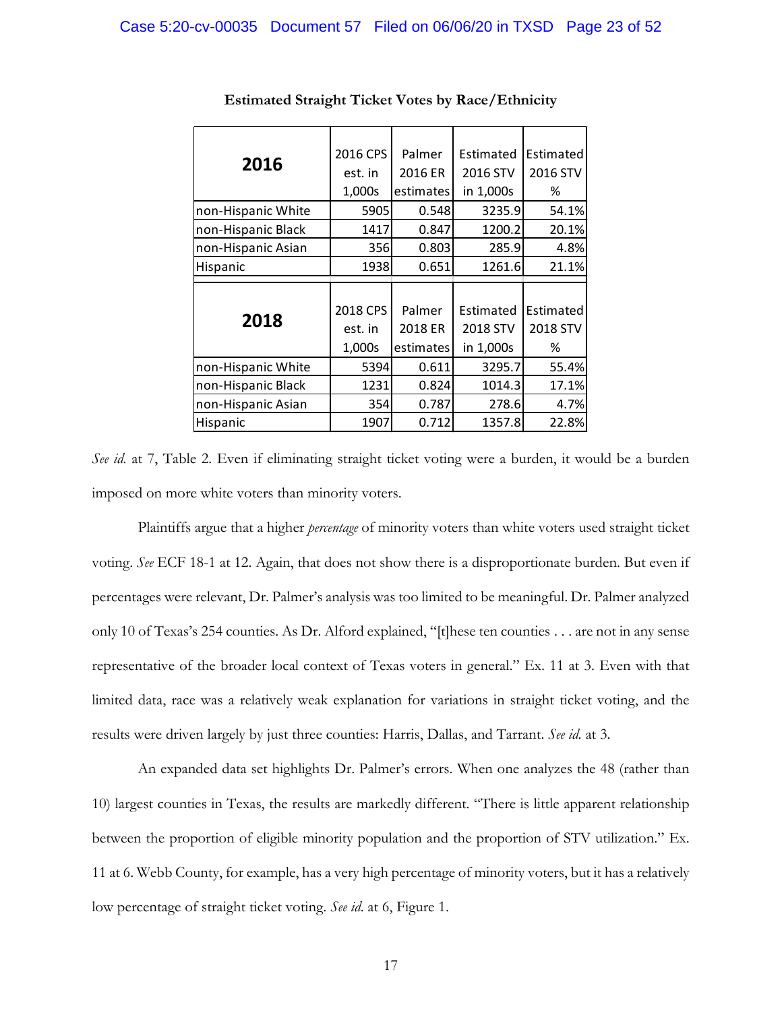| 2016               | 2016 CPS | Palmer    | Estimated | Estimated |
|--------------------|----------|-----------|-----------|-----------|
|                    | est. in  | 2016 ER   | 2016 STV  | 2016 STV  |
|                    | 1,000s   | estimates | in 1,000s | %         |
| non-Hispanic White | 5905     | 0.548     | 3235.9    | 54.1%     |
| non-Hispanic Black | 1417     | 0.847     | 1200.2    | 20.1%     |
| non-Hispanic Asian | 356      | 0.803     | 285.9     | 4.8%      |
| Hispanic           | 1938     | 0.651     | 1261.6    | 21.1%     |
|                    |          |           |           |           |
|                    |          |           |           |           |
|                    | 2018 CPS | Palmer    | Estimated | Estimated |
| 2018               | est. in  | 2018 ER   | 2018 STV  | 2018 STV  |
|                    | 1,000s   | estimates | in 1,000s | %         |
| non-Hispanic White | 5394     | 0.611     | 3295.7    | 55.4%     |
| non-Hispanic Black | 1231     | 0.824     | 1014.3    | 17.1%     |
| non-Hispanic Asian | 354      | 0.787     | 278.6     | 4.7%      |

#### **Estimated Straight Ticket Votes by Race/Ethnicity**

*See id.* at 7, Table 2. Even if eliminating straight ticket voting were a burden, it would be a burden imposed on more white voters than minority voters.

Plaintiffs argue that a higher *percentage* of minority voters than white voters used straight ticket voting. *See* ECF 18-1 at 12. Again, that does not show there is a disproportionate burden. But even if percentages were relevant, Dr. Palmer's analysis was too limited to be meaningful. Dr. Palmer analyzed only 10 of Texas's 254 counties. As Dr. Alford explained, "[t]hese ten counties . . . are not in any sense representative of the broader local context of Texas voters in general." Ex. 11 at 3. Even with that limited data, race was a relatively weak explanation for variations in straight ticket voting, and the results were driven largely by just three counties: Harris, Dallas, and Tarrant. *See id.* at 3.

An expanded data set highlights Dr. Palmer's errors. When one analyzes the 48 (rather than 10) largest counties in Texas, the results are markedly different. "There is little apparent relationship between the proportion of eligible minority population and the proportion of STV utilization." Ex. 11 at 6. Webb County, for example, has a very high percentage of minority voters, but it has a relatively low percentage of straight ticket voting. *See id*. at 6, Figure 1.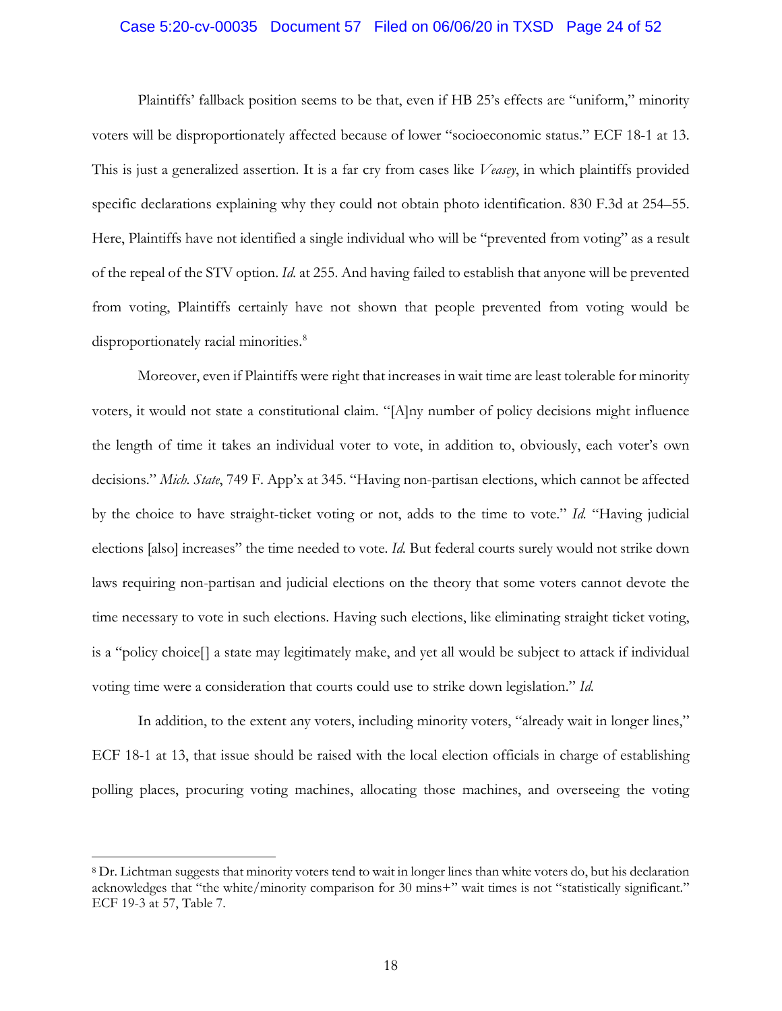#### Case 5:20-cv-00035 Document 57 Filed on 06/06/20 in TXSD Page 24 of 52

Plaintiffs' fallback position seems to be that, even if HB 25's effects are "uniform," minority voters will be disproportionately affected because of lower "socioeconomic status." ECF 18-1 at 13. This is just a generalized assertion. It is a far cry from cases like *Veasey*, in which plaintiffs provided specific declarations explaining why they could not obtain photo identification. 830 F.3d at 254–55. Here, Plaintiffs have not identified a single individual who will be "prevented from voting" as a result of the repeal of the STV option. *Id.* at 255. And having failed to establish that anyone will be prevented from voting, Plaintiffs certainly have not shown that people prevented from voting would be disproportionately racial minorities.<sup>8</sup>

Moreover, even if Plaintiffs were right that increases in wait time are least tolerable for minority voters, it would not state a constitutional claim. "[A]ny number of policy decisions might influence the length of time it takes an individual voter to vote, in addition to, obviously, each voter's own decisions." *Mich. State*, 749 F. App'x at 345. "Having non-partisan elections, which cannot be affected by the choice to have straight-ticket voting or not, adds to the time to vote." *Id.* "Having judicial elections [also] increases" the time needed to vote. *Id.* But federal courts surely would not strike down laws requiring non-partisan and judicial elections on the theory that some voters cannot devote the time necessary to vote in such elections. Having such elections, like eliminating straight ticket voting, is a "policy choice[] a state may legitimately make, and yet all would be subject to attack if individual voting time were a consideration that courts could use to strike down legislation." *Id.*

In addition, to the extent any voters, including minority voters, "already wait in longer lines," ECF 18-1 at 13, that issue should be raised with the local election officials in charge of establishing polling places, procuring voting machines, allocating those machines, and overseeing the voting

<sup>8</sup> Dr. Lichtman suggests that minority voters tend to wait in longer lines than white voters do, but his declaration acknowledges that "the white/minority comparison for 30 mins+" wait times is not "statistically significant." ECF 19-3 at 57, Table 7.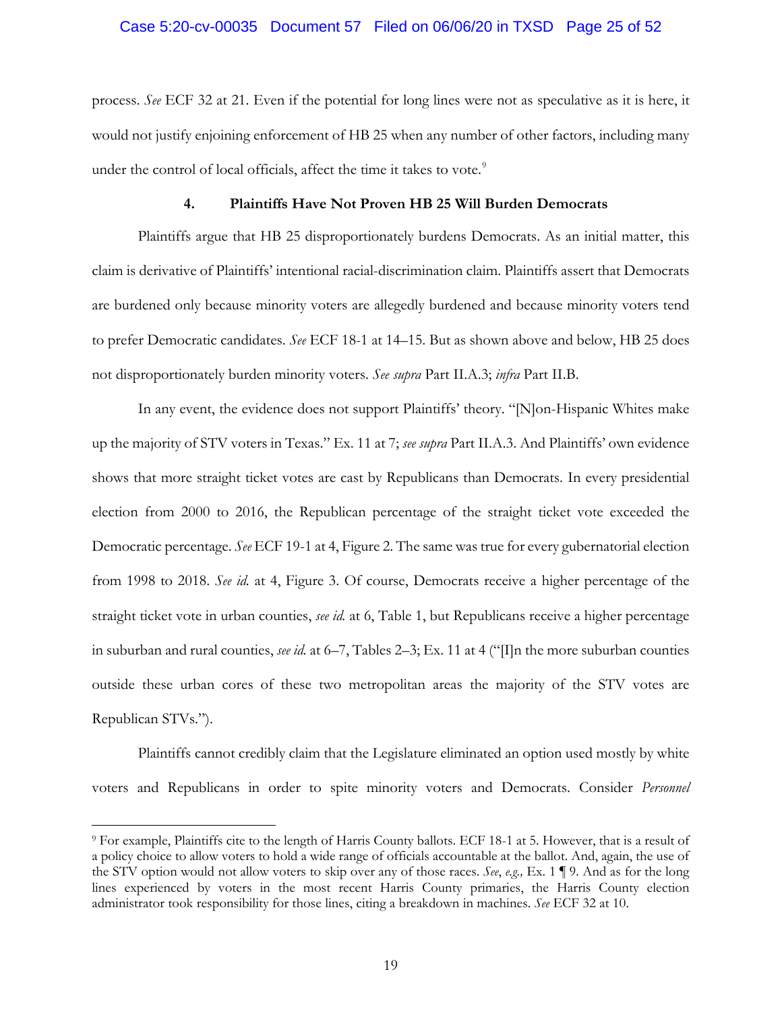## Case 5:20-cv-00035 Document 57 Filed on 06/06/20 in TXSD Page 25 of 52

process. *See* ECF 32 at 21. Even if the potential for long lines were not as speculative as it is here, it would not justify enjoining enforcement of HB 25 when any number of other factors, including many under the control of local officials, affect the time it takes to vote.<sup>9</sup>

#### **4. Plaintiffs Have Not Proven HB 25 Will Burden Democrats**

Plaintiffs argue that HB 25 disproportionately burdens Democrats. As an initial matter, this claim is derivative of Plaintiffs' intentional racial-discrimination claim. Plaintiffs assert that Democrats are burdened only because minority voters are allegedly burdened and because minority voters tend to prefer Democratic candidates. *See* ECF 18-1 at 14–15. But as shown above and below, HB 25 does not disproportionately burden minority voters. *See supra* Part II.A.3; *infra* Part II.B.

In any event, the evidence does not support Plaintiffs' theory. "[N]on-Hispanic Whites make up the majority of STV voters in Texas." Ex. 11 at 7; *see supra* Part II.A.3. And Plaintiffs' own evidence shows that more straight ticket votes are cast by Republicans than Democrats. In every presidential election from 2000 to 2016, the Republican percentage of the straight ticket vote exceeded the Democratic percentage. *See* ECF 19-1 at 4, Figure 2. The same was true for every gubernatorial election from 1998 to 2018. *See id.* at 4, Figure 3. Of course, Democrats receive a higher percentage of the straight ticket vote in urban counties, *see id.* at 6, Table 1, but Republicans receive a higher percentage in suburban and rural counties, *see id.* at 6–7, Tables 2–3; Ex. 11 at 4 (" $\Pi$ n the more suburban counties") outside these urban cores of these two metropolitan areas the majority of the STV votes are Republican STVs.").

Plaintiffs cannot credibly claim that the Legislature eliminated an option used mostly by white voters and Republicans in order to spite minority voters and Democrats. Consider *Personnel* 

<sup>9</sup> For example, Plaintiffs cite to the length of Harris County ballots. ECF 18-1 at 5. However, that is a result of a policy choice to allow voters to hold a wide range of officials accountable at the ballot. And, again, the use of the STV option would not allow voters to skip over any of those races. *See*, *e.g.,* Ex. 1 ¶ 9. And as for the long lines experienced by voters in the most recent Harris County primaries, the Harris County election administrator took responsibility for those lines, citing a breakdown in machines. *See* ECF 32 at 10.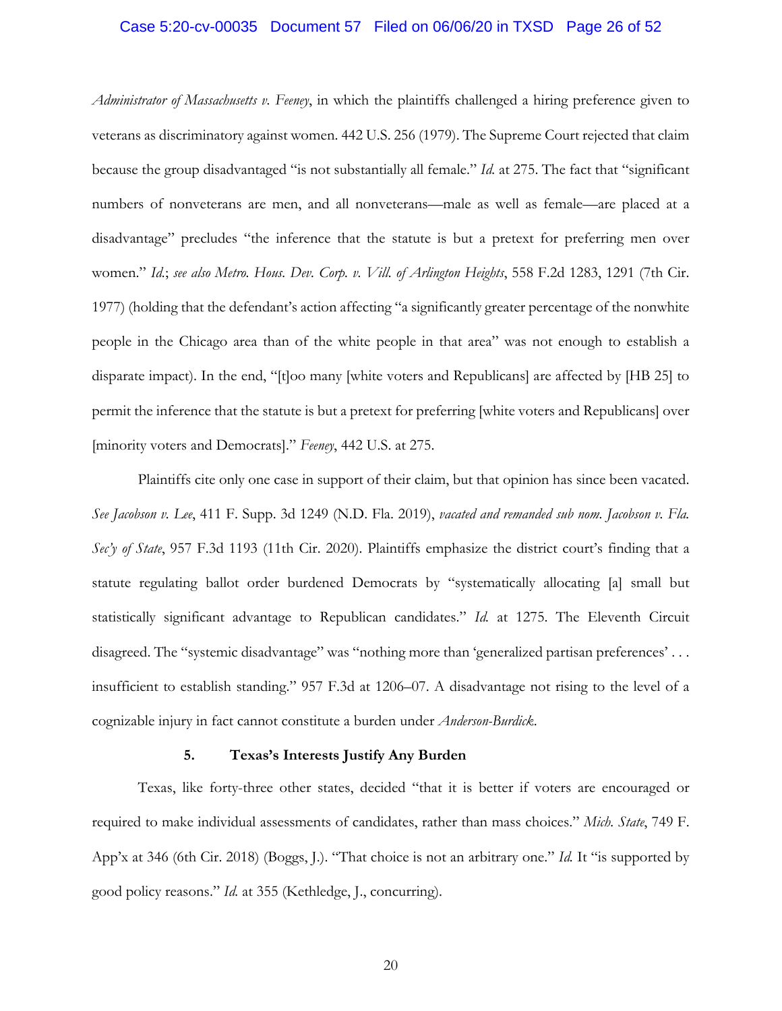#### Case 5:20-cv-00035 Document 57 Filed on 06/06/20 in TXSD Page 26 of 52

*Administrator of Massachusetts v. Feeney*, in which the plaintiffs challenged a hiring preference given to veterans as discriminatory against women. 442 U.S. 256 (1979). The Supreme Court rejected that claim because the group disadvantaged "is not substantially all female." *Id.* at 275. The fact that "significant numbers of nonveterans are men, and all nonveterans—male as well as female—are placed at a disadvantage" precludes "the inference that the statute is but a pretext for preferring men over women." *Id.*; *see also Metro. Hous. Dev. Corp. v. Vill. of Arlington Heights*, 558 F.2d 1283, 1291 (7th Cir. 1977) (holding that the defendant's action affecting "a significantly greater percentage of the nonwhite people in the Chicago area than of the white people in that area" was not enough to establish a disparate impact). In the end, "[t]oo many [white voters and Republicans] are affected by [HB 25] to permit the inference that the statute is but a pretext for preferring [white voters and Republicans] over [minority voters and Democrats]." *Feeney*, 442 U.S. at 275.

Plaintiffs cite only one case in support of their claim, but that opinion has since been vacated. *See Jacobson v. Lee*, 411 F. Supp. 3d 1249 (N.D. Fla. 2019), *vacated and remanded sub nom. Jacobson v. Fla. Sec'y of State*, 957 F.3d 1193 (11th Cir. 2020). Plaintiffs emphasize the district court's finding that a statute regulating ballot order burdened Democrats by "systematically allocating [a] small but statistically significant advantage to Republican candidates." *Id.* at 1275. The Eleventh Circuit disagreed. The "systemic disadvantage" was "nothing more than 'generalized partisan preferences' . . . insufficient to establish standing." 957 F.3d at 1206–07. A disadvantage not rising to the level of a cognizable injury in fact cannot constitute a burden under *Anderson-Burdick*.

#### **5. Texas's Interests Justify Any Burden**

Texas, like forty-three other states, decided "that it is better if voters are encouraged or required to make individual assessments of candidates, rather than mass choices." *Mich. State*, 749 F. App'x at 346 (6th Cir. 2018) (Boggs, J.). "That choice is not an arbitrary one." *Id.* It "is supported by good policy reasons." *Id.* at 355 (Kethledge, J., concurring).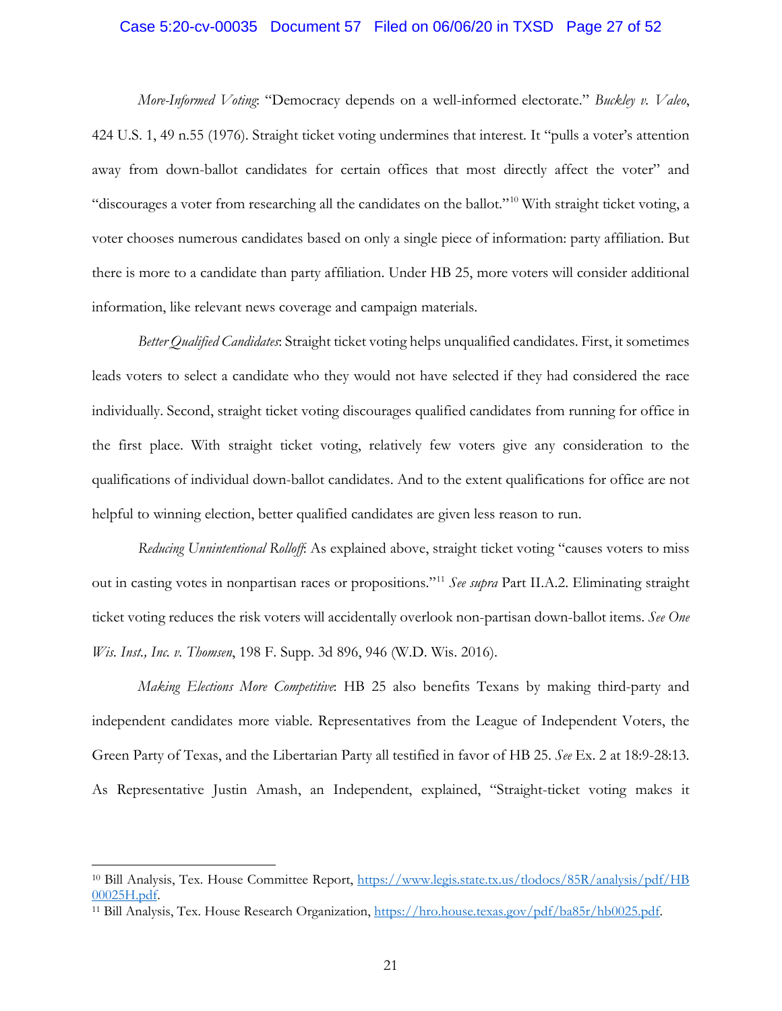#### Case 5:20-cv-00035 Document 57 Filed on 06/06/20 in TXSD Page 27 of 52

*More-Informed Voting*: "Democracy depends on a well-informed electorate." *Buckley v. Valeo*, 424 U.S. 1, 49 n.55 (1976). Straight ticket voting undermines that interest. It "pulls a voter's attention away from down-ballot candidates for certain offices that most directly affect the voter" and "discourages a voter from researching all the candidates on the ballot."10 With straight ticket voting, a voter chooses numerous candidates based on only a single piece of information: party affiliation. But there is more to a candidate than party affiliation. Under HB 25, more voters will consider additional information, like relevant news coverage and campaign materials.

*Better Qualified Candidates*: Straight ticket voting helps unqualified candidates. First, it sometimes leads voters to select a candidate who they would not have selected if they had considered the race individually. Second, straight ticket voting discourages qualified candidates from running for office in the first place. With straight ticket voting, relatively few voters give any consideration to the qualifications of individual down-ballot candidates. And to the extent qualifications for office are not helpful to winning election, better qualified candidates are given less reason to run.

*Reducing Unnintentional Rolloff*: As explained above, straight ticket voting "causes voters to miss out in casting votes in nonpartisan races or propositions."11 *See supra* Part II.A.2. Eliminating straight ticket voting reduces the risk voters will accidentally overlook non-partisan down-ballot items. *See One Wis. Inst., Inc. v. Thomsen*, 198 F. Supp. 3d 896, 946 (W.D. Wis. 2016).

*Making Elections More Competitive*: HB 25 also benefits Texans by making third-party and independent candidates more viable. Representatives from the League of Independent Voters, the Green Party of Texas, and the Libertarian Party all testified in favor of HB 25. *See* Ex. 2 at 18:9-28:13. As Representative Justin Amash, an Independent, explained, "Straight-ticket voting makes it

<sup>10</sup> Bill Analysis, Tex. House Committee Report, https://www.legis.state.tx.us/tlodocs/85R/analysis/pdf/HB 00025H.pdf.

<sup>11</sup> Bill Analysis, Tex. House Research Organization, https://hro.house.texas.gov/pdf/ba85r/hb0025.pdf.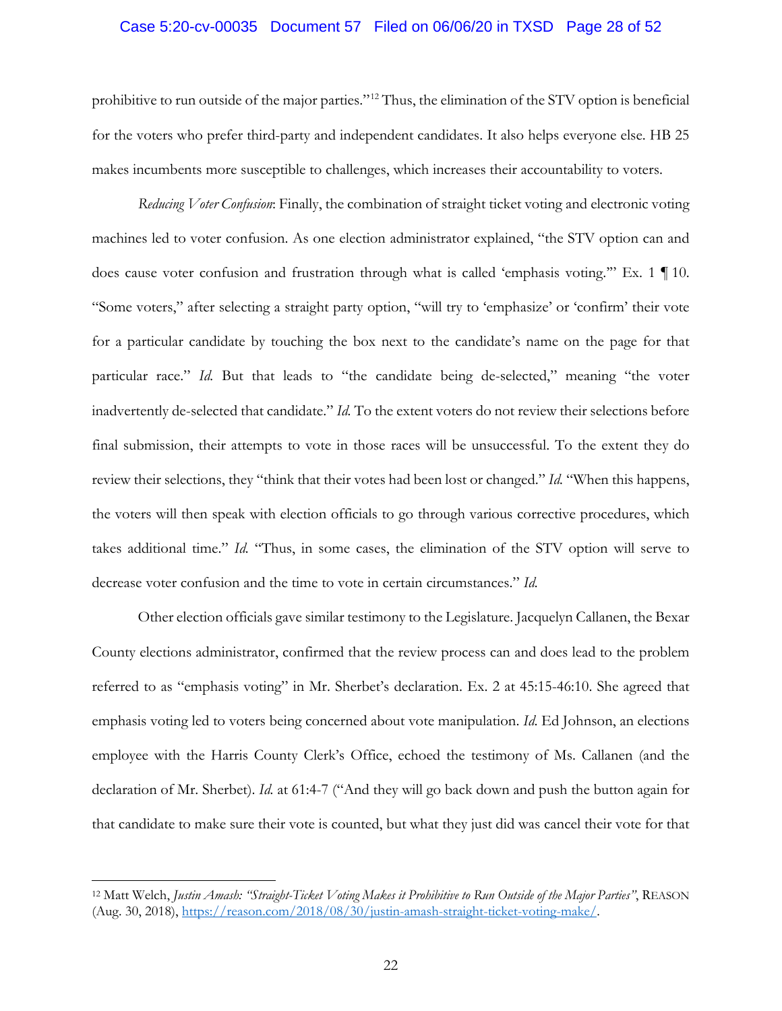#### Case 5:20-cv-00035 Document 57 Filed on 06/06/20 in TXSD Page 28 of 52

prohibitive to run outside of the major parties."12 Thus, the elimination of the STV option is beneficial for the voters who prefer third-party and independent candidates. It also helps everyone else. HB 25 makes incumbents more susceptible to challenges, which increases their accountability to voters.

*Reducing Voter Confusion*: Finally, the combination of straight ticket voting and electronic voting machines led to voter confusion. As one election administrator explained, "the STV option can and does cause voter confusion and frustration through what is called 'emphasis voting.'" Ex. 1 ¶ 10. "Some voters," after selecting a straight party option, "will try to 'emphasize' or 'confirm' their vote for a particular candidate by touching the box next to the candidate's name on the page for that particular race." *Id.* But that leads to "the candidate being de-selected," meaning "the voter inadvertently de-selected that candidate." *Id.* To the extent voters do not review their selections before final submission, their attempts to vote in those races will be unsuccessful. To the extent they do review their selections, they "think that their votes had been lost or changed." *Id.* "When this happens, the voters will then speak with election officials to go through various corrective procedures, which takes additional time." *Id.* "Thus, in some cases, the elimination of the STV option will serve to decrease voter confusion and the time to vote in certain circumstances." *Id.*

Other election officials gave similar testimony to the Legislature. Jacquelyn Callanen, the Bexar County elections administrator, confirmed that the review process can and does lead to the problem referred to as "emphasis voting" in Mr. Sherbet's declaration. Ex. 2 at 45:15-46:10. She agreed that emphasis voting led to voters being concerned about vote manipulation. *Id*. Ed Johnson, an elections employee with the Harris County Clerk's Office, echoed the testimony of Ms. Callanen (and the declaration of Mr. Sherbet). *Id.* at 61:4-7 ("And they will go back down and push the button again for that candidate to make sure their vote is counted, but what they just did was cancel their vote for that

<sup>12</sup> Matt Welch, *Justin Amash: "Straight-Ticket Voting Makes it Prohibitive to Run Outside of the Major Parties"*, REASON (Aug. 30, 2018), https://reason.com/2018/08/30/justin-amash-straight-ticket-voting-make/.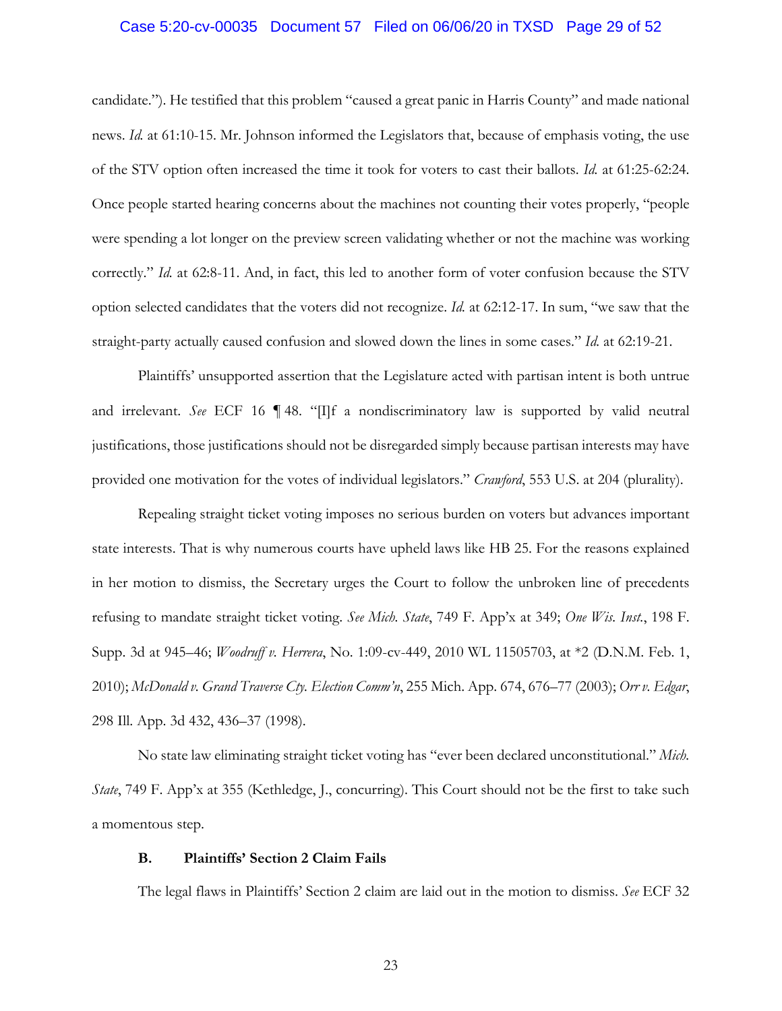#### Case 5:20-cv-00035 Document 57 Filed on 06/06/20 in TXSD Page 29 of 52

candidate."). He testified that this problem "caused a great panic in Harris County" and made national news. *Id.* at 61:10-15. Mr. Johnson informed the Legislators that, because of emphasis voting, the use of the STV option often increased the time it took for voters to cast their ballots. *Id.* at 61:25-62:24. Once people started hearing concerns about the machines not counting their votes properly, "people were spending a lot longer on the preview screen validating whether or not the machine was working correctly." *Id.* at 62:8-11. And, in fact, this led to another form of voter confusion because the STV option selected candidates that the voters did not recognize. *Id.* at 62:12-17. In sum, "we saw that the straight-party actually caused confusion and slowed down the lines in some cases." *Id.* at 62:19-21.

Plaintiffs' unsupported assertion that the Legislature acted with partisan intent is both untrue and irrelevant. *See* ECF 16 ¶ 48. "[I]f a nondiscriminatory law is supported by valid neutral justifications, those justifications should not be disregarded simply because partisan interests may have provided one motivation for the votes of individual legislators." *Crawford*, 553 U.S. at 204 (plurality).

Repealing straight ticket voting imposes no serious burden on voters but advances important state interests. That is why numerous courts have upheld laws like HB 25. For the reasons explained in her motion to dismiss, the Secretary urges the Court to follow the unbroken line of precedents refusing to mandate straight ticket voting. *See Mich. State*, 749 F. App'x at 349; *One Wis. Inst.*, 198 F. Supp. 3d at 945–46; *Woodruff v. Herrera*, No. 1:09-cv-449, 2010 WL 11505703, at \*2 (D.N.M. Feb. 1, 2010); *McDonald v. Grand Traverse Cty. Election Comm'n*, 255 Mich. App. 674, 676–77 (2003); *Orr v. Edgar*, 298 Ill. App. 3d 432, 436–37 (1998).

No state law eliminating straight ticket voting has "ever been declared unconstitutional." *Mich. State*, 749 F. App'x at 355 (Kethledge, J., concurring). This Court should not be the first to take such a momentous step.

## **B. Plaintiffs' Section 2 Claim Fails**

The legal flaws in Plaintiffs' Section 2 claim are laid out in the motion to dismiss. *See* ECF 32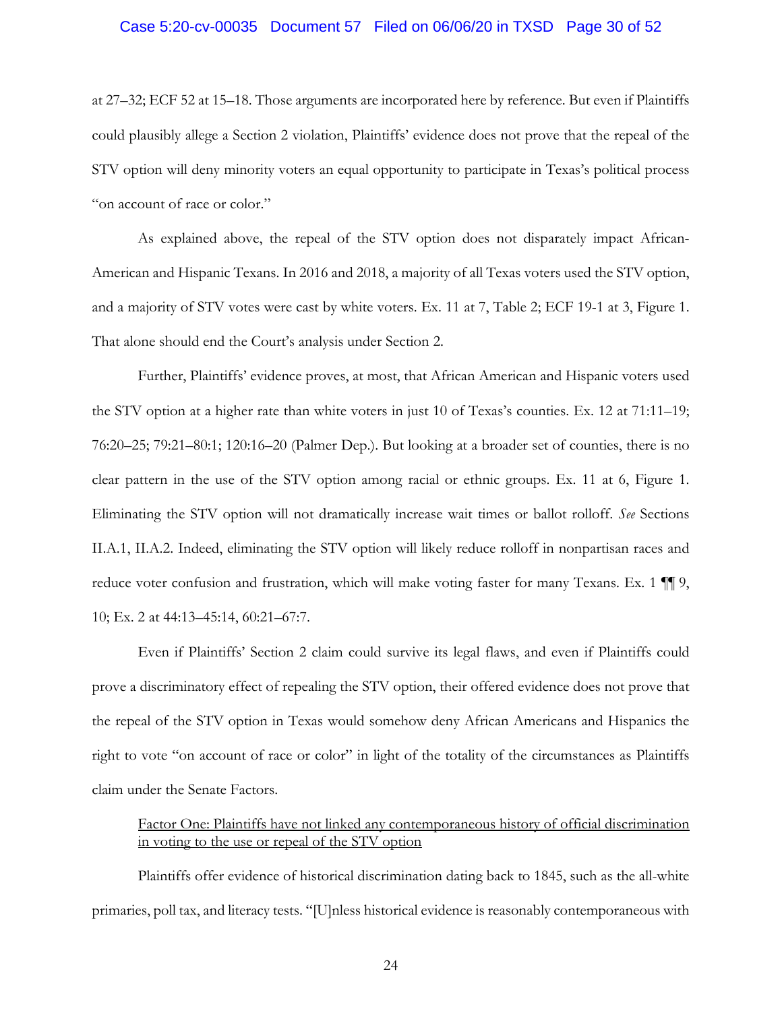#### Case 5:20-cv-00035 Document 57 Filed on 06/06/20 in TXSD Page 30 of 52

at 27–32; ECF 52 at 15–18. Those arguments are incorporated here by reference. But even if Plaintiffs could plausibly allege a Section 2 violation, Plaintiffs' evidence does not prove that the repeal of the STV option will deny minority voters an equal opportunity to participate in Texas's political process "on account of race or color."

As explained above, the repeal of the STV option does not disparately impact African-American and Hispanic Texans. In 2016 and 2018, a majority of all Texas voters used the STV option, and a majority of STV votes were cast by white voters. Ex. 11 at 7, Table 2; ECF 19-1 at 3, Figure 1. That alone should end the Court's analysis under Section 2.

Further, Plaintiffs' evidence proves, at most, that African American and Hispanic voters used the STV option at a higher rate than white voters in just 10 of Texas's counties. Ex. 12 at 71:11–19; 76:20–25; 79:21–80:1; 120:16–20 (Palmer Dep.). But looking at a broader set of counties, there is no clear pattern in the use of the STV option among racial or ethnic groups. Ex. 11 at 6, Figure 1. Eliminating the STV option will not dramatically increase wait times or ballot rolloff. *See* Sections II.A.1, II.A.2. Indeed, eliminating the STV option will likely reduce rolloff in nonpartisan races and reduce voter confusion and frustration, which will make voting faster for many Texans. Ex. 1  $\P$ , 10; Ex. 2 at 44:13–45:14, 60:21–67:7.

Even if Plaintiffs' Section 2 claim could survive its legal flaws, and even if Plaintiffs could prove a discriminatory effect of repealing the STV option, their offered evidence does not prove that the repeal of the STV option in Texas would somehow deny African Americans and Hispanics the right to vote "on account of race or color" in light of the totality of the circumstances as Plaintiffs claim under the Senate Factors.

# Factor One: Plaintiffs have not linked any contemporaneous history of official discrimination in voting to the use or repeal of the STV option

Plaintiffs offer evidence of historical discrimination dating back to 1845, such as the all-white primaries, poll tax, and literacy tests. "[U]nless historical evidence is reasonably contemporaneous with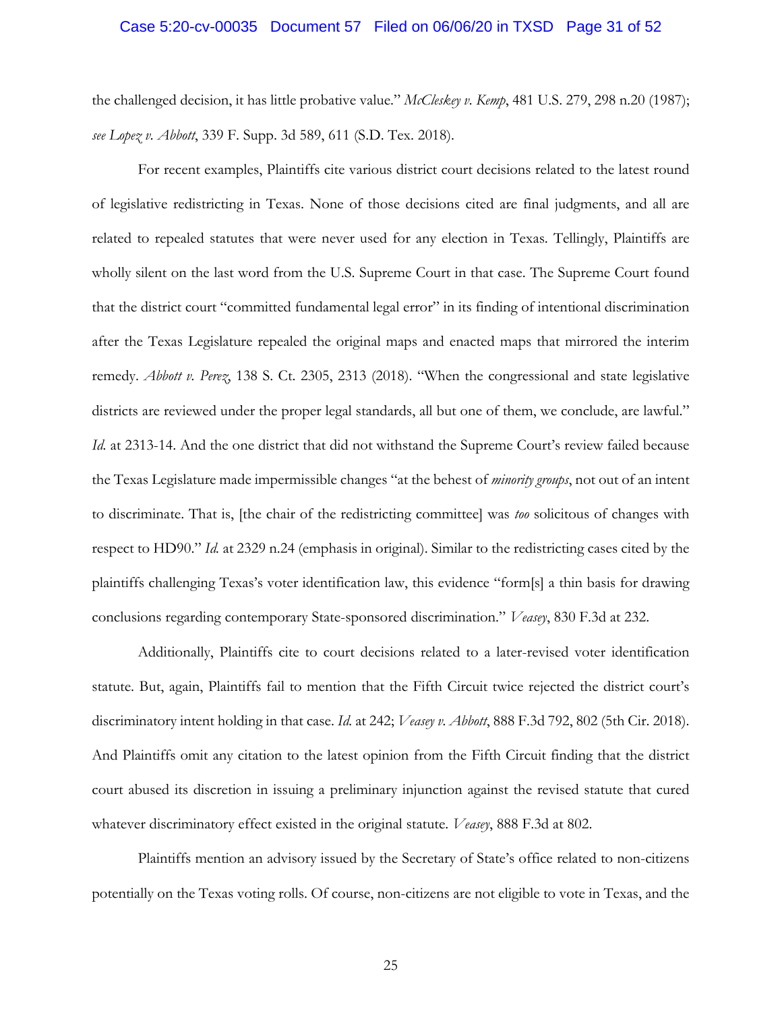#### Case 5:20-cv-00035 Document 57 Filed on 06/06/20 in TXSD Page 31 of 52

the challenged decision, it has little probative value." *McCleskey v. Kemp*, 481 U.S. 279, 298 n.20 (1987); *see Lopez v. Abbott*, 339 F. Supp. 3d 589, 611 (S.D. Tex. 2018).

For recent examples, Plaintiffs cite various district court decisions related to the latest round of legislative redistricting in Texas. None of those decisions cited are final judgments, and all are related to repealed statutes that were never used for any election in Texas. Tellingly, Plaintiffs are wholly silent on the last word from the U.S. Supreme Court in that case. The Supreme Court found that the district court "committed fundamental legal error" in its finding of intentional discrimination after the Texas Legislature repealed the original maps and enacted maps that mirrored the interim remedy. *Abbott v. Perez*, 138 S. Ct. 2305, 2313 (2018). "When the congressional and state legislative districts are reviewed under the proper legal standards, all but one of them, we conclude, are lawful." *Id.* at 2313-14. And the one district that did not withstand the Supreme Court's review failed because the Texas Legislature made impermissible changes "at the behest of *minority groups*, not out of an intent to discriminate. That is, [the chair of the redistricting committee] was *too* solicitous of changes with respect to HD90." *Id.* at 2329 n.24 (emphasis in original). Similar to the redistricting cases cited by the plaintiffs challenging Texas's voter identification law, this evidence "form[s] a thin basis for drawing conclusions regarding contemporary State-sponsored discrimination." *Veasey*, 830 F.3d at 232.

Additionally, Plaintiffs cite to court decisions related to a later-revised voter identification statute. But, again, Plaintiffs fail to mention that the Fifth Circuit twice rejected the district court's discriminatory intent holding in that case. *Id.* at 242; *Veasey v. Abbott*, 888 F.3d 792, 802 (5th Cir. 2018). And Plaintiffs omit any citation to the latest opinion from the Fifth Circuit finding that the district court abused its discretion in issuing a preliminary injunction against the revised statute that cured whatever discriminatory effect existed in the original statute. *Veasey*, 888 F.3d at 802.

Plaintiffs mention an advisory issued by the Secretary of State's office related to non-citizens potentially on the Texas voting rolls. Of course, non-citizens are not eligible to vote in Texas, and the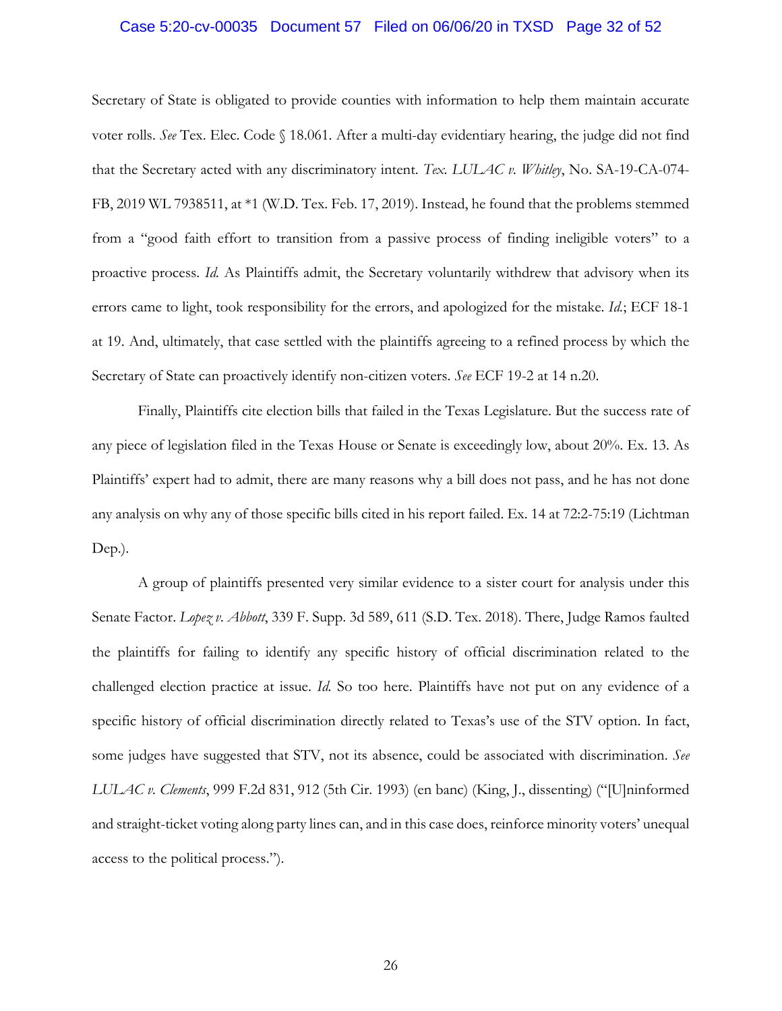#### Case 5:20-cv-00035 Document 57 Filed on 06/06/20 in TXSD Page 32 of 52

Secretary of State is obligated to provide counties with information to help them maintain accurate voter rolls. *See* Tex. Elec. Code § 18.061. After a multi-day evidentiary hearing, the judge did not find that the Secretary acted with any discriminatory intent. *Tex. LULAC v. Whitley*, No. SA-19-CA-074- FB, 2019 WL 7938511, at \*1 (W.D. Tex. Feb. 17, 2019). Instead, he found that the problems stemmed from a "good faith effort to transition from a passive process of finding ineligible voters" to a proactive process. *Id.* As Plaintiffs admit, the Secretary voluntarily withdrew that advisory when its errors came to light, took responsibility for the errors, and apologized for the mistake. *Id.*; ECF 18-1 at 19. And, ultimately, that case settled with the plaintiffs agreeing to a refined process by which the Secretary of State can proactively identify non-citizen voters. *See* ECF 19-2 at 14 n.20.

Finally, Plaintiffs cite election bills that failed in the Texas Legislature. But the success rate of any piece of legislation filed in the Texas House or Senate is exceedingly low, about 20%. Ex. 13. As Plaintiffs' expert had to admit, there are many reasons why a bill does not pass, and he has not done any analysis on why any of those specific bills cited in his report failed. Ex. 14 at 72:2-75:19 (Lichtman Dep.).

A group of plaintiffs presented very similar evidence to a sister court for analysis under this Senate Factor. *Lopez v. Abbott*, 339 F. Supp. 3d 589, 611 (S.D. Tex. 2018). There, Judge Ramos faulted the plaintiffs for failing to identify any specific history of official discrimination related to the challenged election practice at issue. *Id.* So too here. Plaintiffs have not put on any evidence of a specific history of official discrimination directly related to Texas's use of the STV option. In fact, some judges have suggested that STV, not its absence, could be associated with discrimination. *See LULAC v. Clements*, 999 F.2d 831, 912 (5th Cir. 1993) (en banc) (King, J., dissenting) ("[U]ninformed and straight-ticket voting along party lines can, and in this case does, reinforce minority voters' unequal access to the political process.").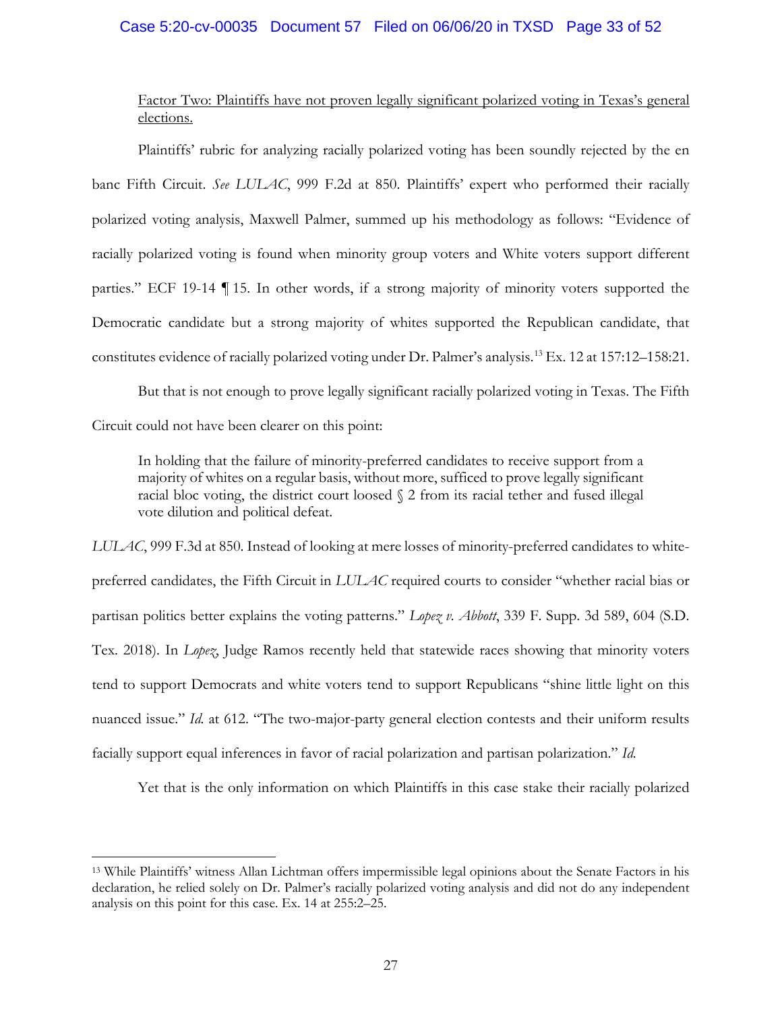## Case 5:20-cv-00035 Document 57 Filed on 06/06/20 in TXSD Page 33 of 52

# Factor Two: Plaintiffs have not proven legally significant polarized voting in Texas's general elections.

Plaintiffs' rubric for analyzing racially polarized voting has been soundly rejected by the en banc Fifth Circuit. *See LULAC*, 999 F.2d at 850. Plaintiffs' expert who performed their racially polarized voting analysis, Maxwell Palmer, summed up his methodology as follows: "Evidence of racially polarized voting is found when minority group voters and White voters support different parties." ECF 19-14 ¶ 15. In other words, if a strong majority of minority voters supported the Democratic candidate but a strong majority of whites supported the Republican candidate, that constitutes evidence of racially polarized voting under Dr. Palmer's analysis.13 Ex. 12 at 157:12–158:21.

But that is not enough to prove legally significant racially polarized voting in Texas. The Fifth Circuit could not have been clearer on this point:

In holding that the failure of minority-preferred candidates to receive support from a majority of whites on a regular basis, without more, sufficed to prove legally significant racial bloc voting, the district court loosed § 2 from its racial tether and fused illegal vote dilution and political defeat.

*LULAC*, 999 F.3d at 850. Instead of looking at mere losses of minority-preferred candidates to whitepreferred candidates, the Fifth Circuit in *LULAC* required courts to consider "whether racial bias or partisan politics better explains the voting patterns." *Lopez v. Abbott*, 339 F. Supp. 3d 589, 604 (S.D. Tex. 2018). In *Lopez*, Judge Ramos recently held that statewide races showing that minority voters tend to support Democrats and white voters tend to support Republicans "shine little light on this nuanced issue." *Id.* at 612. "The two-major-party general election contests and their uniform results facially support equal inferences in favor of racial polarization and partisan polarization." *Id.*

Yet that is the only information on which Plaintiffs in this case stake their racially polarized

<sup>13</sup> While Plaintiffs' witness Allan Lichtman offers impermissible legal opinions about the Senate Factors in his declaration, he relied solely on Dr. Palmer's racially polarized voting analysis and did not do any independent analysis on this point for this case. Ex. 14 at 255:2–25.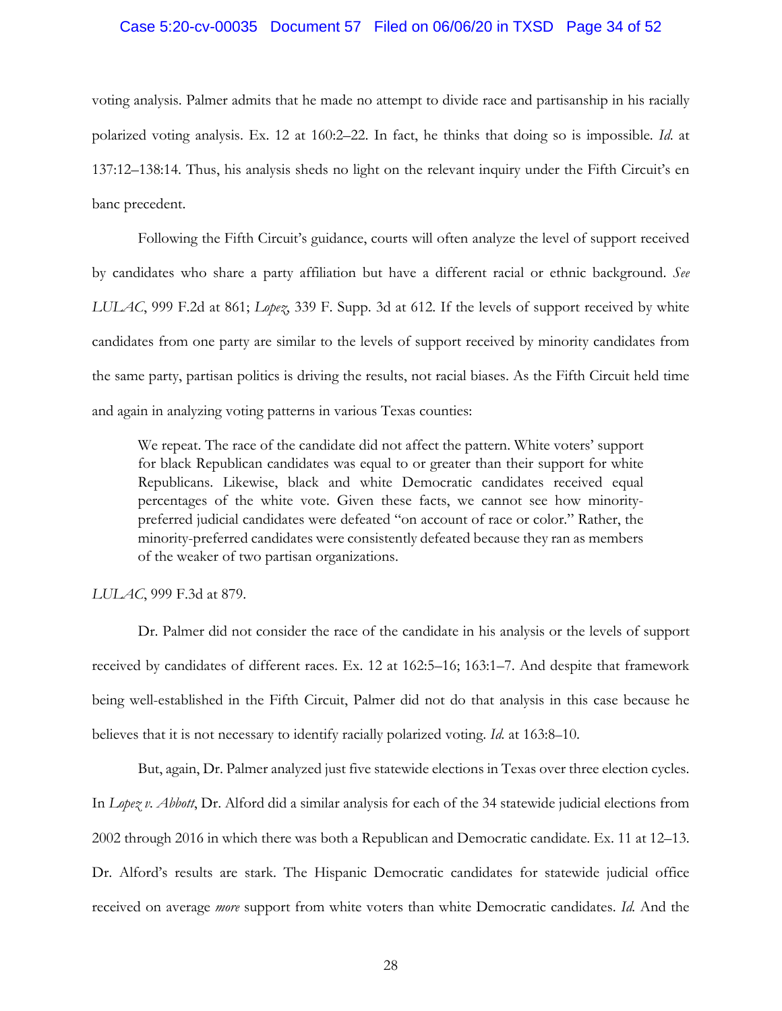#### Case 5:20-cv-00035 Document 57 Filed on 06/06/20 in TXSD Page 34 of 52

voting analysis. Palmer admits that he made no attempt to divide race and partisanship in his racially polarized voting analysis. Ex. 12 at 160:2–22. In fact, he thinks that doing so is impossible. *Id*. at 137:12–138:14. Thus, his analysis sheds no light on the relevant inquiry under the Fifth Circuit's en banc precedent.

Following the Fifth Circuit's guidance, courts will often analyze the level of support received by candidates who share a party affiliation but have a different racial or ethnic background. *See LULAC*, 999 F.2d at 861; *Lopez*, 339 F. Supp. 3d at 612. If the levels of support received by white candidates from one party are similar to the levels of support received by minority candidates from the same party, partisan politics is driving the results, not racial biases. As the Fifth Circuit held time and again in analyzing voting patterns in various Texas counties:

We repeat. The race of the candidate did not affect the pattern. White voters' support for black Republican candidates was equal to or greater than their support for white Republicans. Likewise, black and white Democratic candidates received equal percentages of the white vote. Given these facts, we cannot see how minoritypreferred judicial candidates were defeated "on account of race or color." Rather, the minority-preferred candidates were consistently defeated because they ran as members of the weaker of two partisan organizations.

#### *LULAC*, 999 F.3d at 879.

Dr. Palmer did not consider the race of the candidate in his analysis or the levels of support received by candidates of different races. Ex. 12 at 162:5–16; 163:1–7. And despite that framework being well-established in the Fifth Circuit, Palmer did not do that analysis in this case because he believes that it is not necessary to identify racially polarized voting. *Id.* at 163:8–10.

But, again, Dr. Palmer analyzed just five statewide elections in Texas over three election cycles. In *Lopez v. Abbott*, Dr. Alford did a similar analysis for each of the 34 statewide judicial elections from 2002 through 2016 in which there was both a Republican and Democratic candidate. Ex. 11 at 12–13. Dr. Alford's results are stark. The Hispanic Democratic candidates for statewide judicial office received on average *more* support from white voters than white Democratic candidates. *Id.* And the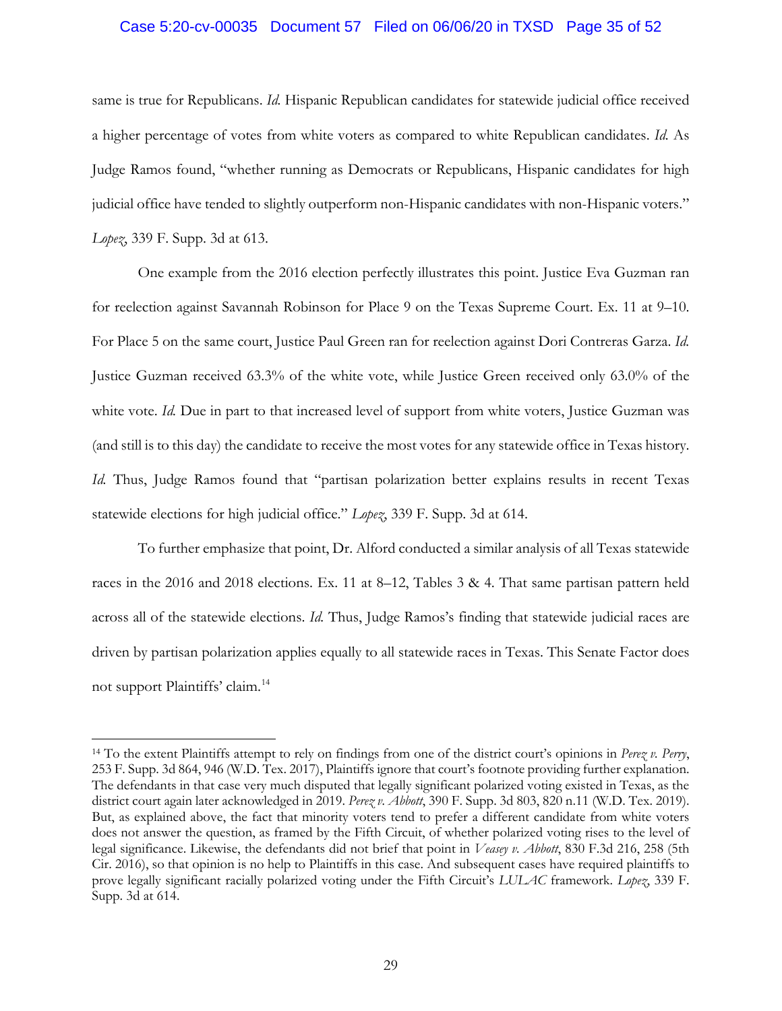#### Case 5:20-cv-00035 Document 57 Filed on 06/06/20 in TXSD Page 35 of 52

same is true for Republicans. *Id.* Hispanic Republican candidates for statewide judicial office received a higher percentage of votes from white voters as compared to white Republican candidates. *Id.* As Judge Ramos found, "whether running as Democrats or Republicans, Hispanic candidates for high judicial office have tended to slightly outperform non-Hispanic candidates with non-Hispanic voters." *Lopez*, 339 F. Supp. 3d at 613.

One example from the 2016 election perfectly illustrates this point. Justice Eva Guzman ran for reelection against Savannah Robinson for Place 9 on the Texas Supreme Court. Ex. 11 at 9–10. For Place 5 on the same court, Justice Paul Green ran for reelection against Dori Contreras Garza. *Id.*  Justice Guzman received 63.3% of the white vote, while Justice Green received only 63.0% of the white vote. *Id.* Due in part to that increased level of support from white voters, Justice Guzman was (and still is to this day) the candidate to receive the most votes for any statewide office in Texas history. *Id.* Thus, Judge Ramos found that "partisan polarization better explains results in recent Texas statewide elections for high judicial office." *Lopez*, 339 F. Supp. 3d at 614.

To further emphasize that point, Dr. Alford conducted a similar analysis of all Texas statewide races in the 2016 and 2018 elections. Ex. 11 at 8–12, Tables 3 & 4. That same partisan pattern held across all of the statewide elections. *Id.* Thus, Judge Ramos's finding that statewide judicial races are driven by partisan polarization applies equally to all statewide races in Texas. This Senate Factor does not support Plaintiffs' claim.14

<sup>14</sup> To the extent Plaintiffs attempt to rely on findings from one of the district court's opinions in *Perez v. Perry*, 253 F. Supp. 3d 864, 946 (W.D. Tex. 2017), Plaintiffs ignore that court's footnote providing further explanation. The defendants in that case very much disputed that legally significant polarized voting existed in Texas, as the district court again later acknowledged in 2019. *Perez v. Abbott*, 390 F. Supp. 3d 803, 820 n.11 (W.D. Tex. 2019). But, as explained above, the fact that minority voters tend to prefer a different candidate from white voters does not answer the question, as framed by the Fifth Circuit, of whether polarized voting rises to the level of legal significance. Likewise, the defendants did not brief that point in *Veasey v. Abbott*, 830 F.3d 216, 258 (5th Cir. 2016), so that opinion is no help to Plaintiffs in this case. And subsequent cases have required plaintiffs to prove legally significant racially polarized voting under the Fifth Circuit's *LULAC* framework. *Lopez*, 339 F. Supp. 3d at 614.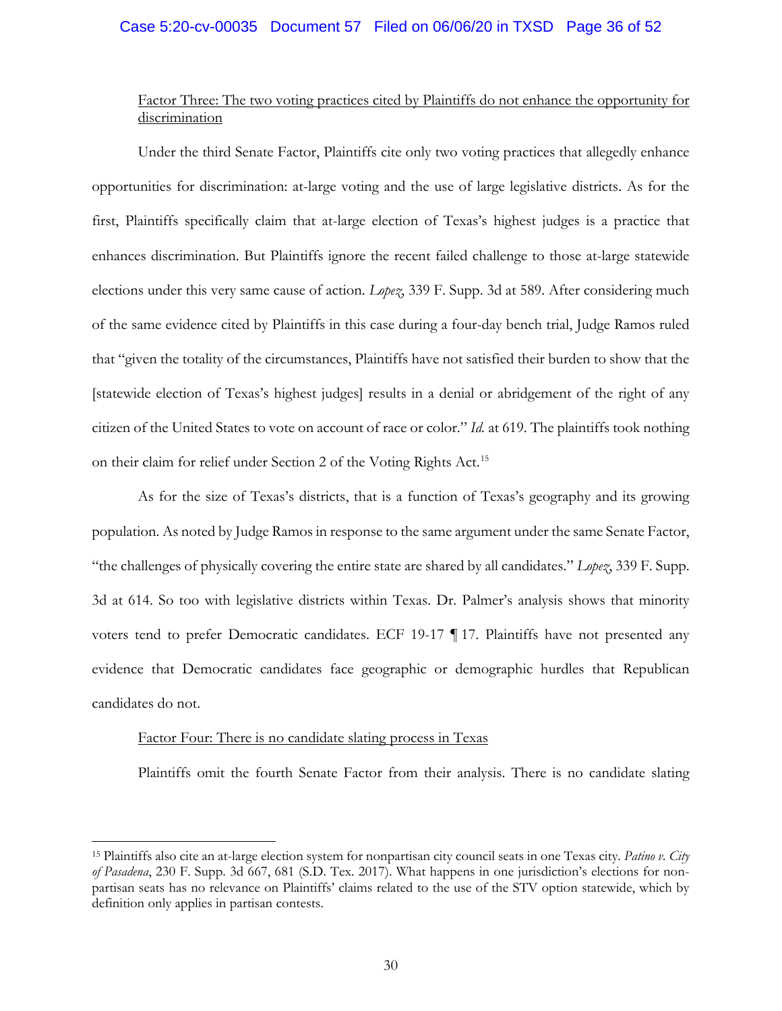## Case 5:20-cv-00035 Document 57 Filed on 06/06/20 in TXSD Page 36 of 52

# Factor Three: The two voting practices cited by Plaintiffs do not enhance the opportunity for discrimination

Under the third Senate Factor, Plaintiffs cite only two voting practices that allegedly enhance opportunities for discrimination: at-large voting and the use of large legislative districts. As for the first, Plaintiffs specifically claim that at-large election of Texas's highest judges is a practice that enhances discrimination. But Plaintiffs ignore the recent failed challenge to those at-large statewide elections under this very same cause of action. *Lopez*, 339 F. Supp. 3d at 589. After considering much of the same evidence cited by Plaintiffs in this case during a four-day bench trial, Judge Ramos ruled that "given the totality of the circumstances, Plaintiffs have not satisfied their burden to show that the [statewide election of Texas's highest judges] results in a denial or abridgement of the right of any citizen of the United States to vote on account of race or color." *Id.* at 619. The plaintiffs took nothing on their claim for relief under Section 2 of the Voting Rights Act.<sup>15</sup>

As for the size of Texas's districts, that is a function of Texas's geography and its growing population. As noted by Judge Ramos in response to the same argument under the same Senate Factor, "the challenges of physically covering the entire state are shared by all candidates." *Lopez*, 339 F. Supp. 3d at 614. So too with legislative districts within Texas. Dr. Palmer's analysis shows that minority voters tend to prefer Democratic candidates. ECF 19-17 ¶ 17. Plaintiffs have not presented any evidence that Democratic candidates face geographic or demographic hurdles that Republican candidates do not.

#### Factor Four: There is no candidate slating process in Texas

 $\overline{a}$ 

Plaintiffs omit the fourth Senate Factor from their analysis. There is no candidate slating

<sup>15</sup> Plaintiffs also cite an at-large election system for nonpartisan city council seats in one Texas city. *Patino v. City of Pasadena*, 230 F. Supp. 3d 667, 681 (S.D. Tex. 2017). What happens in one jurisdiction's elections for nonpartisan seats has no relevance on Plaintiffs' claims related to the use of the STV option statewide, which by definition only applies in partisan contests.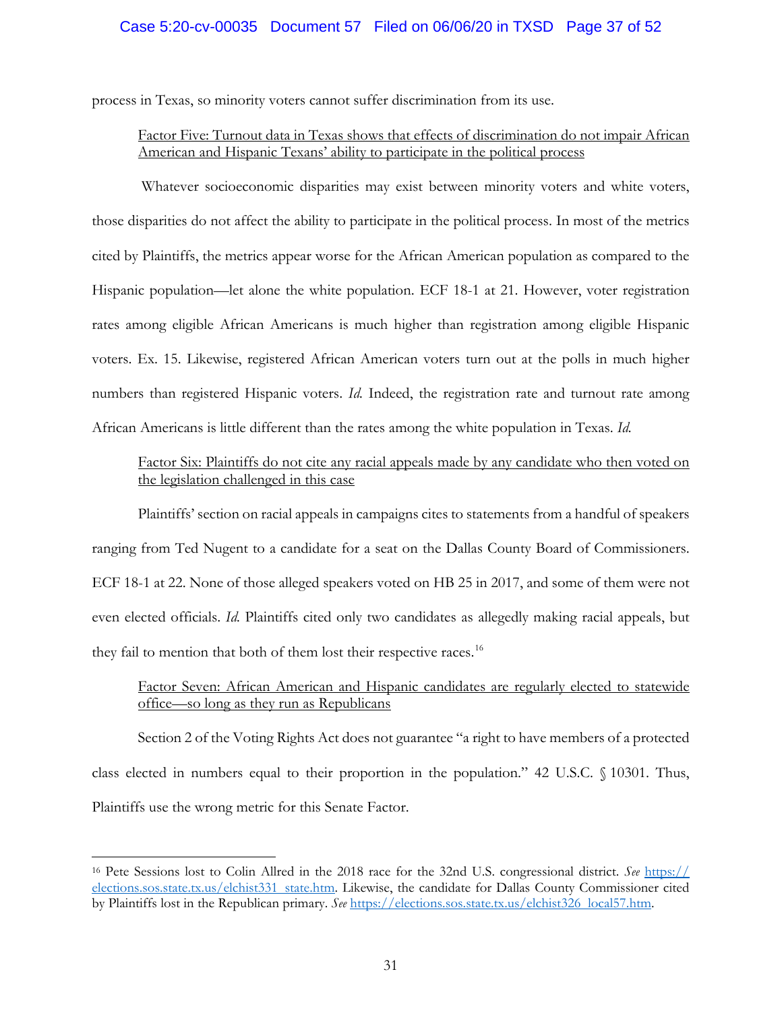# Case 5:20-cv-00035 Document 57 Filed on 06/06/20 in TXSD Page 37 of 52

process in Texas, so minority voters cannot suffer discrimination from its use.

# Factor Five: Turnout data in Texas shows that effects of discrimination do not impair African American and Hispanic Texans' ability to participate in the political process

Whatever socioeconomic disparities may exist between minority voters and white voters, those disparities do not affect the ability to participate in the political process. In most of the metrics cited by Plaintiffs, the metrics appear worse for the African American population as compared to the Hispanic population—let alone the white population. ECF 18-1 at 21. However, voter registration rates among eligible African Americans is much higher than registration among eligible Hispanic voters. Ex. 15. Likewise, registered African American voters turn out at the polls in much higher numbers than registered Hispanic voters. *Id.* Indeed, the registration rate and turnout rate among African Americans is little different than the rates among the white population in Texas. *Id.*

# Factor Six: Plaintiffs do not cite any racial appeals made by any candidate who then voted on the legislation challenged in this case

Plaintiffs' section on racial appeals in campaigns cites to statements from a handful of speakers ranging from Ted Nugent to a candidate for a seat on the Dallas County Board of Commissioners. ECF 18-1 at 22. None of those alleged speakers voted on HB 25 in 2017, and some of them were not even elected officials. *Id.* Plaintiffs cited only two candidates as allegedly making racial appeals, but they fail to mention that both of them lost their respective races.<sup>16</sup>

# Factor Seven: African American and Hispanic candidates are regularly elected to statewide office—so long as they run as Republicans

Section 2 of the Voting Rights Act does not guarantee "a right to have members of a protected class elected in numbers equal to their proportion in the population." 42 U.S.C. § 10301. Thus, Plaintiffs use the wrong metric for this Senate Factor.

<sup>16</sup> Pete Sessions lost to Colin Allred in the 2018 race for the 32nd U.S. congressional district. *See* https:// elections.sos.state.tx.us/elchist331 state.htm. Likewise, the candidate for Dallas County Commissioner cited by Plaintiffs lost in the Republican primary. *See* https://elections.sos.state.tx.us/elchist326 local57.htm.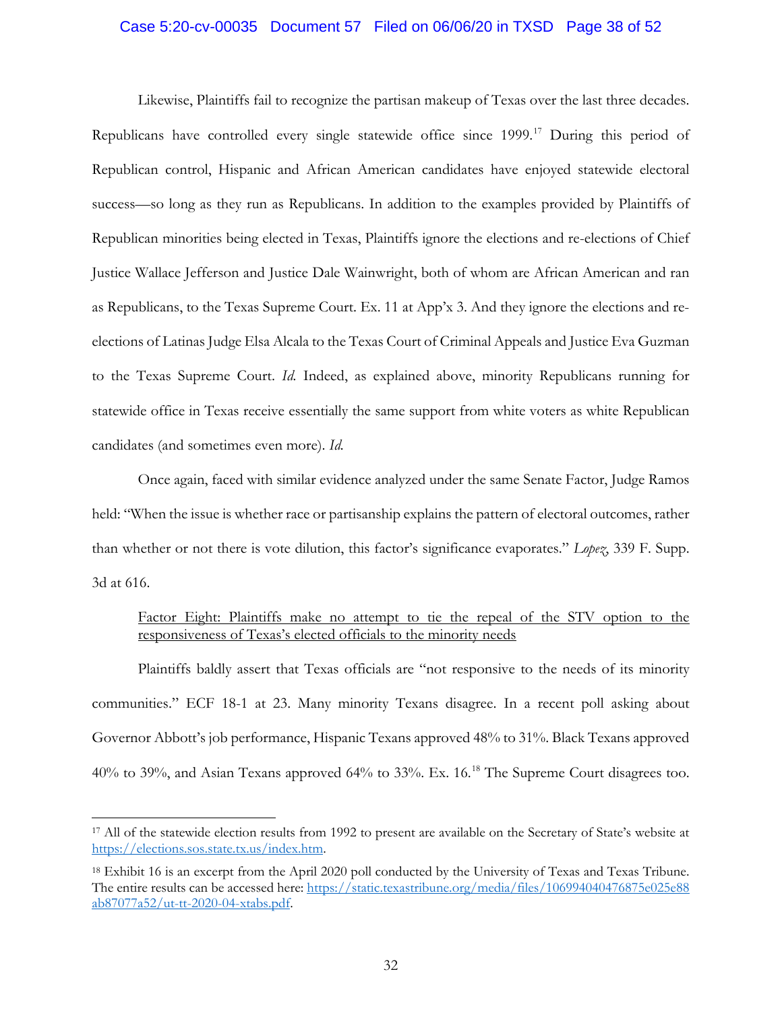### Case 5:20-cv-00035 Document 57 Filed on 06/06/20 in TXSD Page 38 of 52

Likewise, Plaintiffs fail to recognize the partisan makeup of Texas over the last three decades. Republicans have controlled every single statewide office since 1999. <sup>17</sup> During this period of Republican control, Hispanic and African American candidates have enjoyed statewide electoral success—so long as they run as Republicans. In addition to the examples provided by Plaintiffs of Republican minorities being elected in Texas, Plaintiffs ignore the elections and re-elections of Chief Justice Wallace Jefferson and Justice Dale Wainwright, both of whom are African American and ran as Republicans, to the Texas Supreme Court. Ex. 11 at App'x 3. And they ignore the elections and reelections of Latinas Judge Elsa Alcala to the Texas Court of Criminal Appeals and Justice Eva Guzman to the Texas Supreme Court. *Id.* Indeed, as explained above, minority Republicans running for statewide office in Texas receive essentially the same support from white voters as white Republican candidates (and sometimes even more). *Id.*

Once again, faced with similar evidence analyzed under the same Senate Factor, Judge Ramos held: "When the issue is whether race or partisanship explains the pattern of electoral outcomes, rather than whether or not there is vote dilution, this factor's significance evaporates." *Lopez*, 339 F. Supp. 3d at 616.

# Factor Eight: Plaintiffs make no attempt to tie the repeal of the STV option to the responsiveness of Texas's elected officials to the minority needs

Plaintiffs baldly assert that Texas officials are "not responsive to the needs of its minority communities." ECF 18-1 at 23. Many minority Texans disagree. In a recent poll asking about Governor Abbott's job performance, Hispanic Texans approved 48% to 31%. Black Texans approved 40% to 39%, and Asian Texans approved 64% to 33%. Ex. 16.18 The Supreme Court disagrees too.

<sup>17</sup> All of the statewide election results from 1992 to present are available on the Secretary of State's website at https://elections.sos.state.tx.us/index.htm.

<sup>18</sup> Exhibit 16 is an excerpt from the April 2020 poll conducted by the University of Texas and Texas Tribune. The entire results can be accessed here: https://static.texastribune.org/media/files/106994040476875e025e88 ab87077a52/ut-tt-2020-04-xtabs.pdf.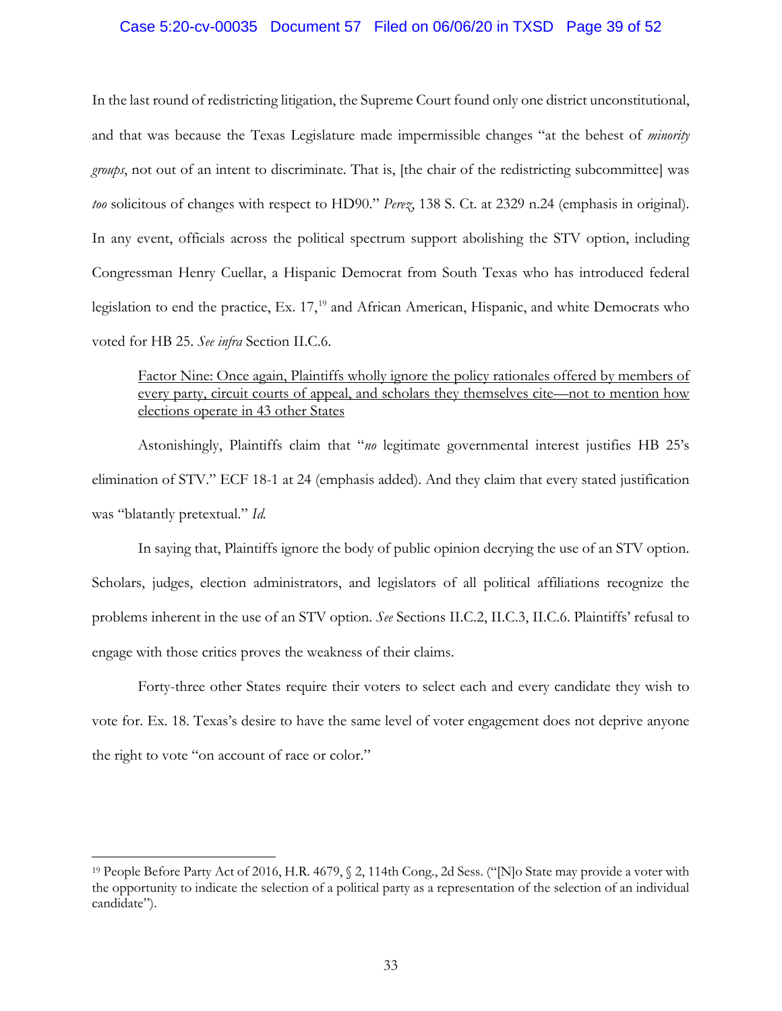### Case 5:20-cv-00035 Document 57 Filed on 06/06/20 in TXSD Page 39 of 52

In the last round of redistricting litigation, the Supreme Court found only one district unconstitutional, and that was because the Texas Legislature made impermissible changes "at the behest of *minority groups*, not out of an intent to discriminate. That is, [the chair of the redistricting subcommittee] was *too* solicitous of changes with respect to HD90." *Perez*, 138 S. Ct. at 2329 n.24 (emphasis in original). In any event, officials across the political spectrum support abolishing the STV option, including Congressman Henry Cuellar, a Hispanic Democrat from South Texas who has introduced federal legislation to end the practice, Ex. 17,<sup>19</sup> and African American, Hispanic, and white Democrats who voted for HB 25. *See infra* Section II.C.6.

# Factor Nine: Once again, Plaintiffs wholly ignore the policy rationales offered by members of every party, circuit courts of appeal, and scholars they themselves cite—not to mention how elections operate in 43 other States

Astonishingly, Plaintiffs claim that "*no* legitimate governmental interest justifies HB 25's elimination of STV." ECF 18-1 at 24 (emphasis added). And they claim that every stated justification was "blatantly pretextual." *Id.* 

In saying that, Plaintiffs ignore the body of public opinion decrying the use of an STV option. Scholars, judges, election administrators, and legislators of all political affiliations recognize the problems inherent in the use of an STV option. *See* Sections II.C.2, II.C.3, II.C.6. Plaintiffs' refusal to engage with those critics proves the weakness of their claims.

Forty-three other States require their voters to select each and every candidate they wish to vote for. Ex. 18. Texas's desire to have the same level of voter engagement does not deprive anyone the right to vote "on account of race or color."

<sup>19</sup> People Before Party Act of 2016, H.R. 4679, § 2, 114th Cong., 2d Sess. ("[N]o State may provide a voter with the opportunity to indicate the selection of a political party as a representation of the selection of an individual candidate").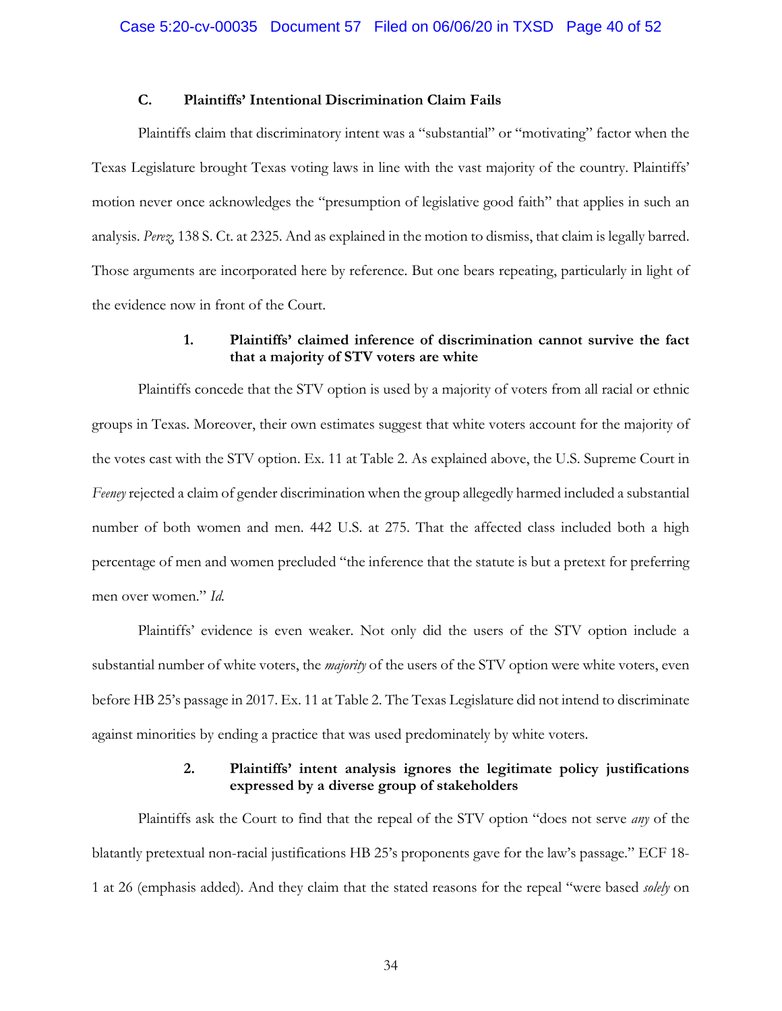## **C. Plaintiffs' Intentional Discrimination Claim Fails**

Plaintiffs claim that discriminatory intent was a "substantial" or "motivating" factor when the Texas Legislature brought Texas voting laws in line with the vast majority of the country. Plaintiffs' motion never once acknowledges the "presumption of legislative good faith" that applies in such an analysis. *Perez*, 138 S. Ct. at 2325. And as explained in the motion to dismiss, that claim is legally barred. Those arguments are incorporated here by reference. But one bears repeating, particularly in light of the evidence now in front of the Court.

## **1. Plaintiffs' claimed inference of discrimination cannot survive the fact that a majority of STV voters are white**

Plaintiffs concede that the STV option is used by a majority of voters from all racial or ethnic groups in Texas. Moreover, their own estimates suggest that white voters account for the majority of the votes cast with the STV option. Ex. 11 at Table 2. As explained above, the U.S. Supreme Court in *Feeney* rejected a claim of gender discrimination when the group allegedly harmed included a substantial number of both women and men. 442 U.S. at 275. That the affected class included both a high percentage of men and women precluded "the inference that the statute is but a pretext for preferring men over women." *Id.*

Plaintiffs' evidence is even weaker. Not only did the users of the STV option include a substantial number of white voters, the *majority* of the users of the STV option were white voters, even before HB 25's passage in 2017. Ex. 11 at Table 2. The Texas Legislature did not intend to discriminate against minorities by ending a practice that was used predominately by white voters.

## **2. Plaintiffs' intent analysis ignores the legitimate policy justifications expressed by a diverse group of stakeholders**

Plaintiffs ask the Court to find that the repeal of the STV option "does not serve *any* of the blatantly pretextual non-racial justifications HB 25's proponents gave for the law's passage." ECF 18- 1 at 26 (emphasis added). And they claim that the stated reasons for the repeal "were based *solely* on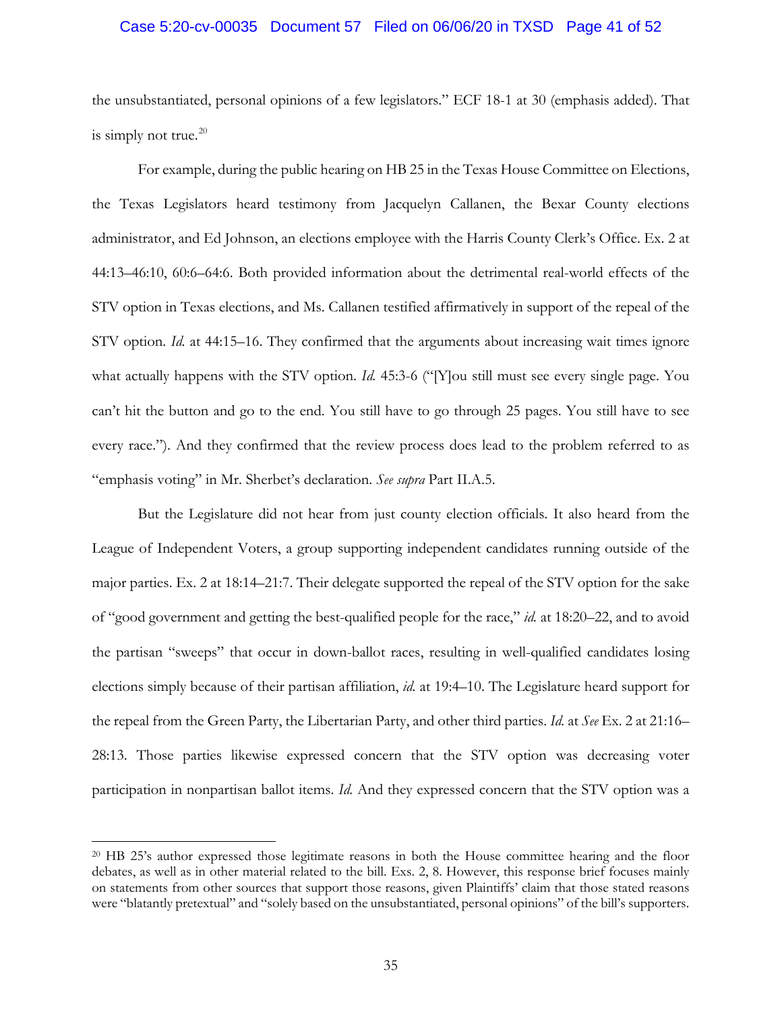#### Case 5:20-cv-00035 Document 57 Filed on 06/06/20 in TXSD Page 41 of 52

the unsubstantiated, personal opinions of a few legislators." ECF 18-1 at 30 (emphasis added). That is simply not true. $20$ 

For example, during the public hearing on HB 25 in the Texas House Committee on Elections, the Texas Legislators heard testimony from Jacquelyn Callanen, the Bexar County elections administrator, and Ed Johnson, an elections employee with the Harris County Clerk's Office. Ex. 2 at 44:13–46:10, 60:6–64:6. Both provided information about the detrimental real-world effects of the STV option in Texas elections, and Ms. Callanen testified affirmatively in support of the repeal of the STV option. *Id.* at 44:15–16. They confirmed that the arguments about increasing wait times ignore what actually happens with the STV option. *Id.* 45:3-6 ("[Y]ou still must see every single page. You can't hit the button and go to the end. You still have to go through 25 pages. You still have to see every race."). And they confirmed that the review process does lead to the problem referred to as "emphasis voting" in Mr. Sherbet's declaration. *See supra* Part II.A.5.

But the Legislature did not hear from just county election officials. It also heard from the League of Independent Voters, a group supporting independent candidates running outside of the major parties. Ex. 2 at 18:14–21:7. Their delegate supported the repeal of the STV option for the sake of "good government and getting the best-qualified people for the race," *id.* at 18:20–22, and to avoid the partisan "sweeps" that occur in down-ballot races, resulting in well-qualified candidates losing elections simply because of their partisan affiliation, *id.* at 19:4–10. The Legislature heard support for the repeal from the Green Party, the Libertarian Party, and other third parties. *Id.* at *See* Ex. 2 at 21:16– 28:13. Those parties likewise expressed concern that the STV option was decreasing voter participation in nonpartisan ballot items. *Id.* And they expressed concern that the STV option was a

<sup>20</sup> HB 25's author expressed those legitimate reasons in both the House committee hearing and the floor debates, as well as in other material related to the bill. Exs. 2, 8. However, this response brief focuses mainly on statements from other sources that support those reasons, given Plaintiffs' claim that those stated reasons were "blatantly pretextual" and "solely based on the unsubstantiated, personal opinions" of the bill's supporters.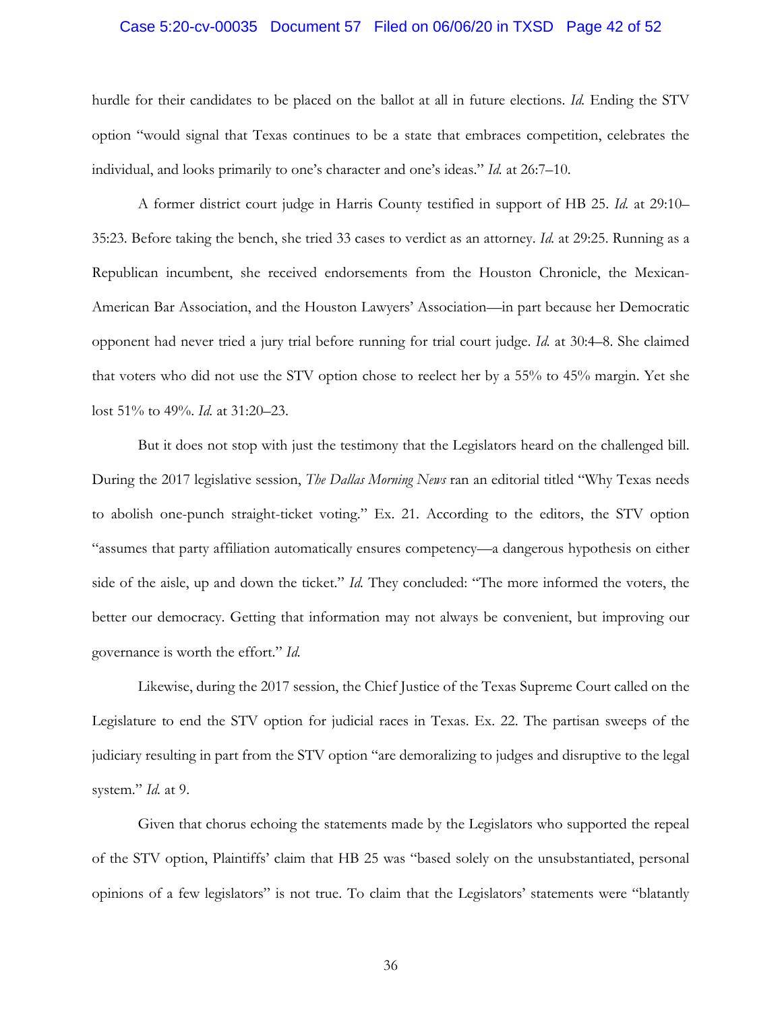#### Case 5:20-cv-00035 Document 57 Filed on 06/06/20 in TXSD Page 42 of 52

hurdle for their candidates to be placed on the ballot at all in future elections. *Id.* Ending the STV option "would signal that Texas continues to be a state that embraces competition, celebrates the individual, and looks primarily to one's character and one's ideas." *Id.* at 26:7–10.

A former district court judge in Harris County testified in support of HB 25. *Id.* at 29:10– 35:23. Before taking the bench, she tried 33 cases to verdict as an attorney. *Id.* at 29:25. Running as a Republican incumbent, she received endorsements from the Houston Chronicle, the Mexican-American Bar Association, and the Houston Lawyers' Association—in part because her Democratic opponent had never tried a jury trial before running for trial court judge. *Id.* at 30:4–8. She claimed that voters who did not use the STV option chose to reelect her by a 55% to 45% margin. Yet she lost 51% to 49%. *Id.* at 31:20–23.

But it does not stop with just the testimony that the Legislators heard on the challenged bill. During the 2017 legislative session, *The Dallas Morning News* ran an editorial titled "Why Texas needs to abolish one-punch straight-ticket voting." Ex. 21. According to the editors, the STV option "assumes that party affiliation automatically ensures competency—a dangerous hypothesis on either side of the aisle, up and down the ticket." *Id.* They concluded: "The more informed the voters, the better our democracy. Getting that information may not always be convenient, but improving our governance is worth the effort." *Id.* 

Likewise, during the 2017 session, the Chief Justice of the Texas Supreme Court called on the Legislature to end the STV option for judicial races in Texas. Ex. 22. The partisan sweeps of the judiciary resulting in part from the STV option "are demoralizing to judges and disruptive to the legal system." *Id.* at 9.

Given that chorus echoing the statements made by the Legislators who supported the repeal of the STV option, Plaintiffs' claim that HB 25 was "based solely on the unsubstantiated, personal opinions of a few legislators" is not true. To claim that the Legislators' statements were "blatantly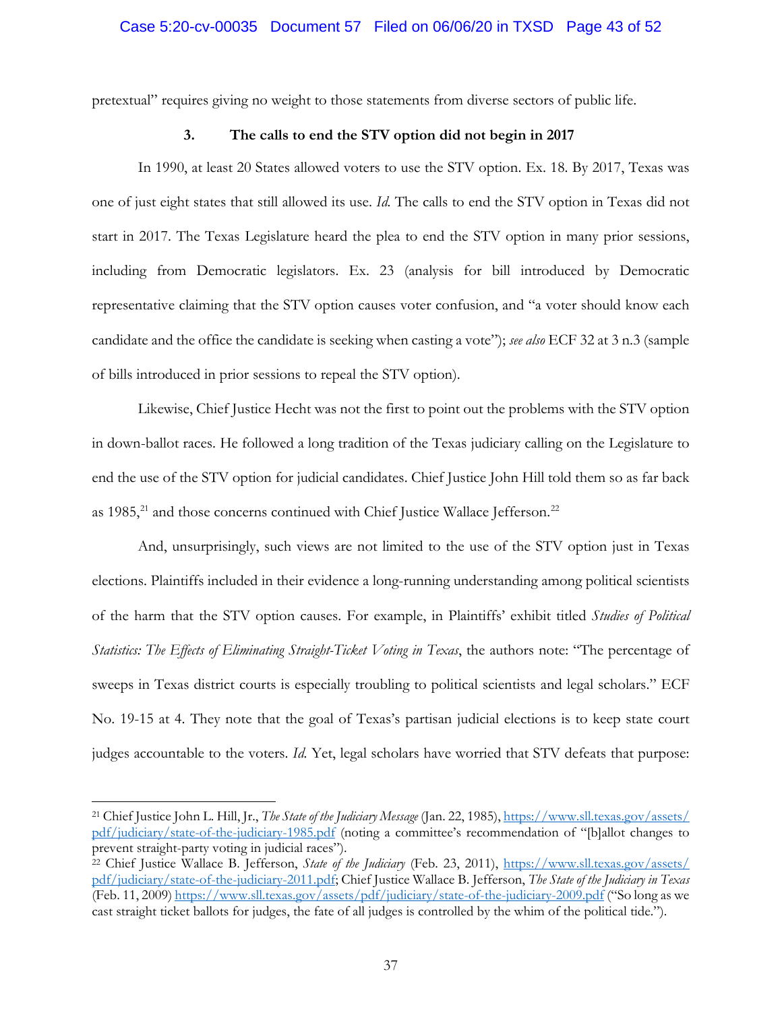pretextual" requires giving no weight to those statements from diverse sectors of public life.

## **3. The calls to end the STV option did not begin in 2017**

In 1990, at least 20 States allowed voters to use the STV option. Ex. 18. By 2017, Texas was one of just eight states that still allowed its use. *Id.* The calls to end the STV option in Texas did not start in 2017. The Texas Legislature heard the plea to end the STV option in many prior sessions, including from Democratic legislators. Ex. 23 (analysis for bill introduced by Democratic representative claiming that the STV option causes voter confusion, and "a voter should know each candidate and the office the candidate is seeking when casting a vote"); *see also* ECF 32 at 3 n.3 (sample of bills introduced in prior sessions to repeal the STV option).

Likewise, Chief Justice Hecht was not the first to point out the problems with the STV option in down-ballot races. He followed a long tradition of the Texas judiciary calling on the Legislature to end the use of the STV option for judicial candidates. Chief Justice John Hill told them so as far back as  $1985$ , $^{21}$  and those concerns continued with Chief Justice Wallace Jefferson.<sup>22</sup>

And, unsurprisingly, such views are not limited to the use of the STV option just in Texas elections. Plaintiffs included in their evidence a long-running understanding among political scientists of the harm that the STV option causes. For example, in Plaintiffs' exhibit titled *Studies of Political Statistics: The Effects of Eliminating Straight-Ticket Voting in Texas*, the authors note: "The percentage of sweeps in Texas district courts is especially troubling to political scientists and legal scholars." ECF No. 19-15 at 4. They note that the goal of Texas's partisan judicial elections is to keep state court judges accountable to the voters. *Id.* Yet, legal scholars have worried that STV defeats that purpose:

<sup>21</sup> Chief Justice John L. Hill, Jr., *The State of the Judiciary Message* (Jan. 22, 1985), https://www.sll.texas.gov/assets/ pdf/judiciary/state-of-the-judiciary-1985.pdf (noting a committee's recommendation of "[b]allot changes to prevent straight-party voting in judicial races").

<sup>22</sup> Chief Justice Wallace B. Jefferson, *State of the Judiciary* (Feb. 23, 2011), https://www.sll.texas.gov/assets/ pdf/judiciary/state-of-the-judiciary-2011.pdf; Chief Justice Wallace B. Jefferson, *The State of the Judiciary in Texas*  (Feb. 11, 2009) https://www.sll.texas.gov/assets/pdf/judiciary/state-of-the-judiciary-2009.pdf ("So long as we cast straight ticket ballots for judges, the fate of all judges is controlled by the whim of the political tide.").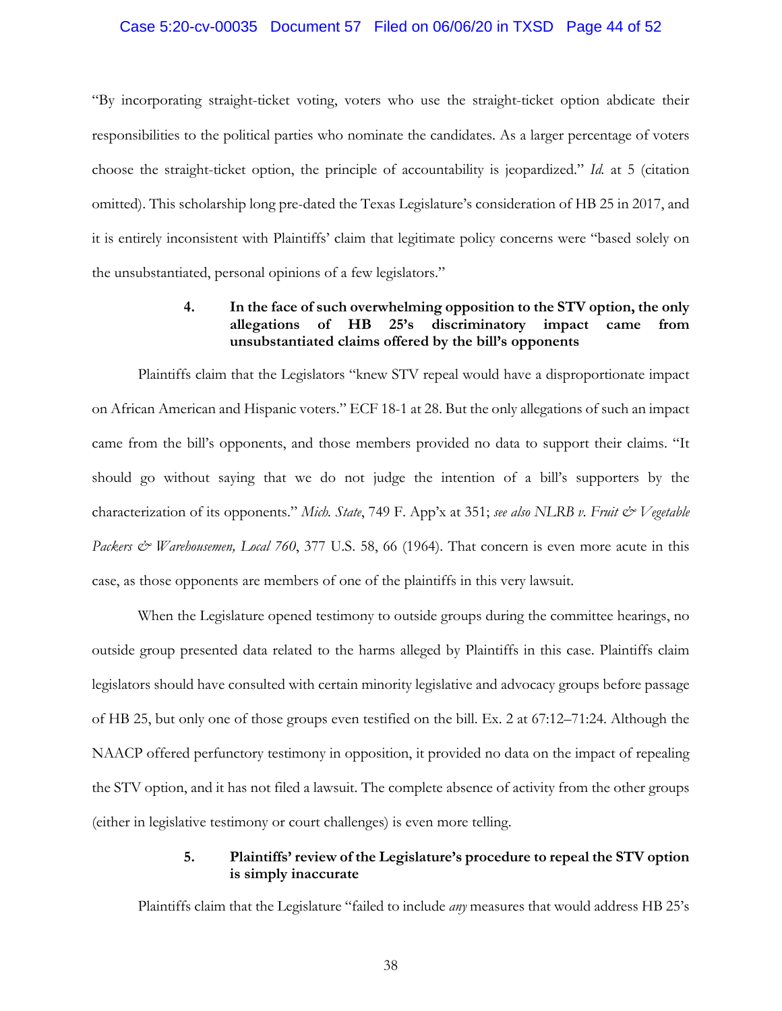#### Case 5:20-cv-00035 Document 57 Filed on 06/06/20 in TXSD Page 44 of 52

"By incorporating straight-ticket voting, voters who use the straight-ticket option abdicate their responsibilities to the political parties who nominate the candidates. As a larger percentage of voters choose the straight-ticket option, the principle of accountability is jeopardized." *Id.* at 5 (citation omitted). This scholarship long pre-dated the Texas Legislature's consideration of HB 25 in 2017, and it is entirely inconsistent with Plaintiffs' claim that legitimate policy concerns were "based solely on the unsubstantiated, personal opinions of a few legislators."

# **4. In the face of such overwhelming opposition to the STV option, the only allegations of HB 25's discriminatory impact came from unsubstantiated claims offered by the bill's opponents**

Plaintiffs claim that the Legislators "knew STV repeal would have a disproportionate impact on African American and Hispanic voters." ECF 18-1 at 28. But the only allegations of such an impact came from the bill's opponents, and those members provided no data to support their claims. "It should go without saying that we do not judge the intention of a bill's supporters by the characterization of its opponents." *Mich. State*, 749 F. App'x at 351; *see also NLRB v. Fruit & Vegetable*  Packers & Warehousemen, Local 760, 377 U.S. 58, 66 (1964). That concern is even more acute in this case, as those opponents are members of one of the plaintiffs in this very lawsuit.

When the Legislature opened testimony to outside groups during the committee hearings, no outside group presented data related to the harms alleged by Plaintiffs in this case. Plaintiffs claim legislators should have consulted with certain minority legislative and advocacy groups before passage of HB 25, but only one of those groups even testified on the bill. Ex. 2 at 67:12–71:24. Although the NAACP offered perfunctory testimony in opposition, it provided no data on the impact of repealing the STV option, and it has not filed a lawsuit. The complete absence of activity from the other groups (either in legislative testimony or court challenges) is even more telling.

## **5. Plaintiffs' review of the Legislature's procedure to repeal the STV option is simply inaccurate**

Plaintiffs claim that the Legislature "failed to include *any* measures that would address HB 25's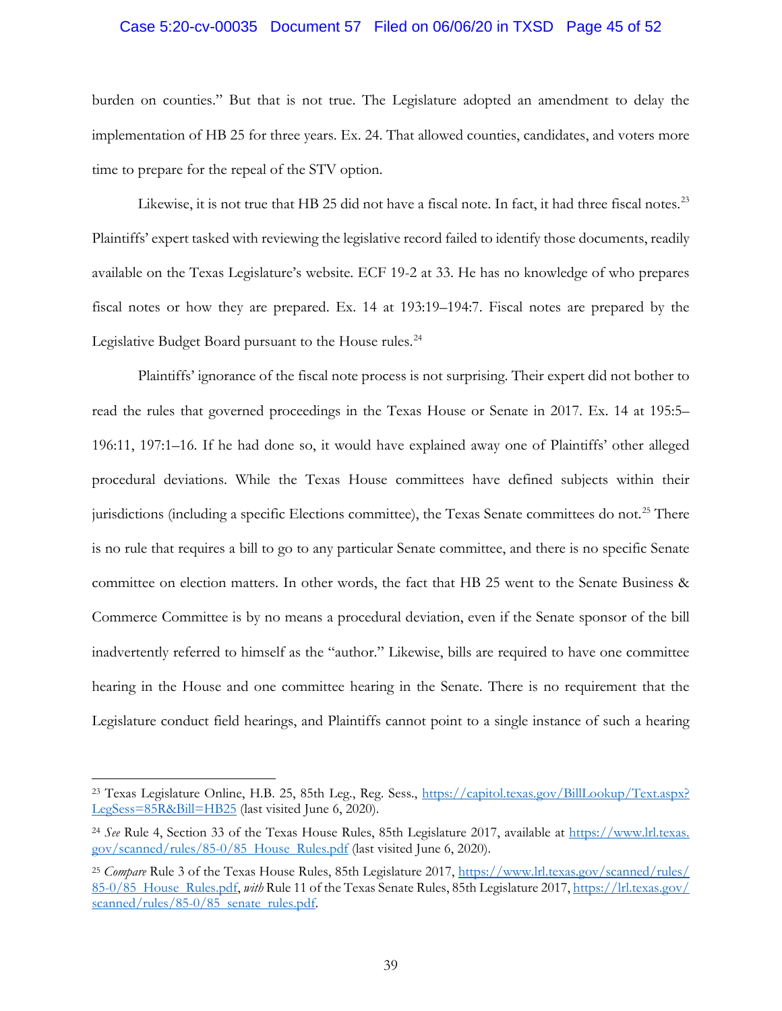#### Case 5:20-cv-00035 Document 57 Filed on 06/06/20 in TXSD Page 45 of 52

burden on counties." But that is not true. The Legislature adopted an amendment to delay the implementation of HB 25 for three years. Ex. 24. That allowed counties, candidates, and voters more time to prepare for the repeal of the STV option.

Likewise, it is not true that HB 25 did not have a fiscal note. In fact, it had three fiscal notes.<sup>23</sup> Plaintiffs' expert tasked with reviewing the legislative record failed to identify those documents, readily available on the Texas Legislature's website. ECF 19-2 at 33. He has no knowledge of who prepares fiscal notes or how they are prepared. Ex. 14 at 193:19–194:7. Fiscal notes are prepared by the Legislative Budget Board pursuant to the House rules.<sup>24</sup>

Plaintiffs' ignorance of the fiscal note process is not surprising. Their expert did not bother to read the rules that governed proceedings in the Texas House or Senate in 2017. Ex. 14 at 195:5– 196:11, 197:1–16. If he had done so, it would have explained away one of Plaintiffs' other alleged procedural deviations. While the Texas House committees have defined subjects within their jurisdictions (including a specific Elections committee), the Texas Senate committees do not.<sup>25</sup> There is no rule that requires a bill to go to any particular Senate committee, and there is no specific Senate committee on election matters. In other words, the fact that HB 25 went to the Senate Business & Commerce Committee is by no means a procedural deviation, even if the Senate sponsor of the bill inadvertently referred to himself as the "author." Likewise, bills are required to have one committee hearing in the House and one committee hearing in the Senate. There is no requirement that the Legislature conduct field hearings, and Plaintiffs cannot point to a single instance of such a hearing

<sup>23</sup> Texas Legislature Online, H.B. 25, 85th Leg., Reg. Sess., https://capitol.texas.gov/BillLookup/Text.aspx? LegSess=85R&Bill=HB25 (last visited June 6, 2020).

<sup>24</sup> *See* Rule 4, Section 33 of the Texas House Rules, 85th Legislature 2017, available at https://www.lrl.texas. gov/scanned/rules/85-0/85 House Rules.pdf (last visited June 6, 2020).

<sup>25</sup> *Compare* Rule 3 of the Texas House Rules, 85th Legislature 2017, https://www.lrl.texas.gov/scanned/rules/ 85-0/85 House Rules.pdf, *with* Rule 11 of the Texas Senate Rules, 85th Legislature 2017, https://lrl.texas.gov/ scanned/rules/85-0/85 senate rules.pdf.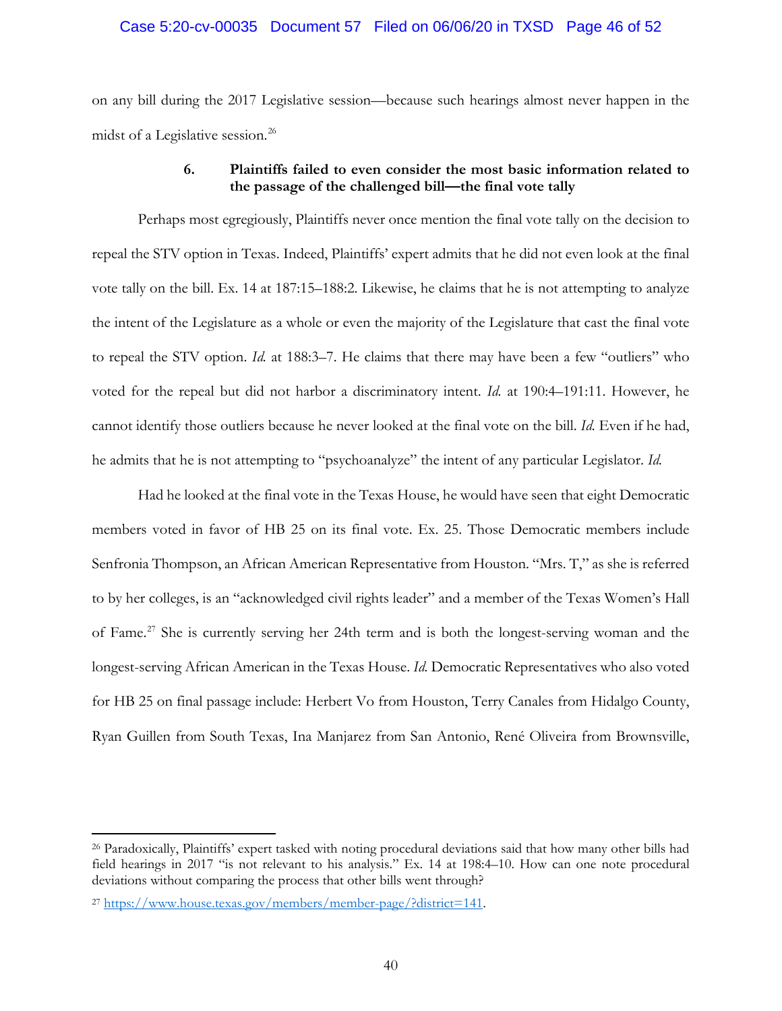## Case 5:20-cv-00035 Document 57 Filed on 06/06/20 in TXSD Page 46 of 52

on any bill during the 2017 Legislative session—because such hearings almost never happen in the midst of a Legislative session.<sup>26</sup>

## **6. Plaintiffs failed to even consider the most basic information related to the passage of the challenged bill—the final vote tally**

Perhaps most egregiously, Plaintiffs never once mention the final vote tally on the decision to repeal the STV option in Texas. Indeed, Plaintiffs' expert admits that he did not even look at the final vote tally on the bill. Ex. 14 at 187:15–188:2. Likewise, he claims that he is not attempting to analyze the intent of the Legislature as a whole or even the majority of the Legislature that cast the final vote to repeal the STV option. *Id.* at 188:3–7. He claims that there may have been a few "outliers" who voted for the repeal but did not harbor a discriminatory intent. *Id.* at 190:4–191:11. However, he cannot identify those outliers because he never looked at the final vote on the bill. *Id.* Even if he had, he admits that he is not attempting to "psychoanalyze" the intent of any particular Legislator. *Id.*

Had he looked at the final vote in the Texas House, he would have seen that eight Democratic members voted in favor of HB 25 on its final vote. Ex. 25. Those Democratic members include Senfronia Thompson, an African American Representative from Houston. "Mrs. T," as she is referred to by her colleges, is an "acknowledged civil rights leader" and a member of the Texas Women's Hall of Fame.<sup>27</sup> She is currently serving her 24th term and is both the longest-serving woman and the longest-serving African American in the Texas House. *Id.* Democratic Representatives who also voted for HB 25 on final passage include: Herbert Vo from Houston, Terry Canales from Hidalgo County, Ryan Guillen from South Texas, Ina Manjarez from San Antonio, René Oliveira from Brownsville,

<sup>26</sup> Paradoxically, Plaintiffs' expert tasked with noting procedural deviations said that how many other bills had field hearings in 2017 "is not relevant to his analysis." Ex. 14 at 198:4–10. How can one note procedural deviations without comparing the process that other bills went through?

<sup>27</sup> https://www.house.texas.gov/members/member-page/?district=141.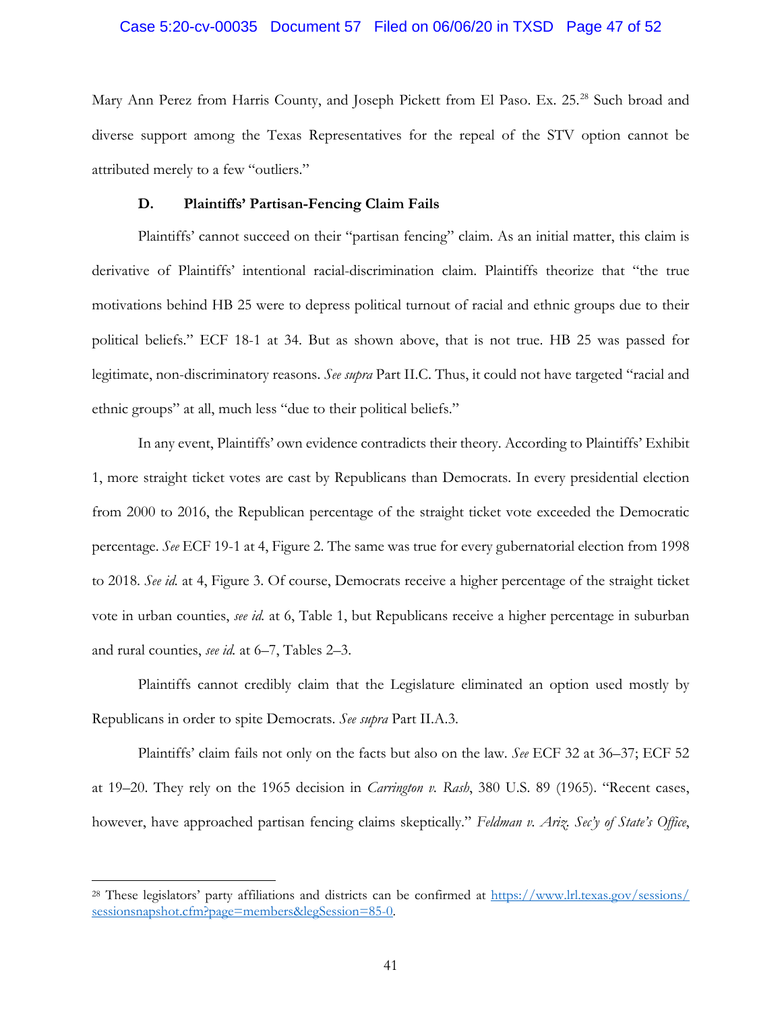#### Case 5:20-cv-00035 Document 57 Filed on 06/06/20 in TXSD Page 47 of 52

Mary Ann Perez from Harris County, and Joseph Pickett from El Paso. Ex. 25.<sup>28</sup> Such broad and diverse support among the Texas Representatives for the repeal of the STV option cannot be attributed merely to a few "outliers."

## **D. Plaintiffs' Partisan-Fencing Claim Fails**

Plaintiffs' cannot succeed on their "partisan fencing" claim. As an initial matter, this claim is derivative of Plaintiffs' intentional racial-discrimination claim. Plaintiffs theorize that "the true motivations behind HB 25 were to depress political turnout of racial and ethnic groups due to their political beliefs." ECF 18-1 at 34. But as shown above, that is not true. HB 25 was passed for legitimate, non-discriminatory reasons. *See supra* Part II.C. Thus, it could not have targeted "racial and ethnic groups" at all, much less "due to their political beliefs."

In any event, Plaintiffs' own evidence contradicts their theory. According to Plaintiffs' Exhibit 1, more straight ticket votes are cast by Republicans than Democrats. In every presidential election from 2000 to 2016, the Republican percentage of the straight ticket vote exceeded the Democratic percentage. *See* ECF 19-1 at 4, Figure 2. The same was true for every gubernatorial election from 1998 to 2018. *See id.* at 4, Figure 3. Of course, Democrats receive a higher percentage of the straight ticket vote in urban counties, *see id.* at 6, Table 1, but Republicans receive a higher percentage in suburban and rural counties, *see id.* at 6–7, Tables 2–3.

Plaintiffs cannot credibly claim that the Legislature eliminated an option used mostly by Republicans in order to spite Democrats. *See supra* Part II.A.3.

Plaintiffs' claim fails not only on the facts but also on the law. *See* ECF 32 at 36–37; ECF 52 at 19–20. They rely on the 1965 decision in *Carrington v. Rash*, 380 U.S. 89 (1965). "Recent cases, however, have approached partisan fencing claims skeptically." *Feldman v. Ariz. Sec'y of State's Office*,

<sup>28</sup> These legislators' party affiliations and districts can be confirmed at https://www.lrl.texas.gov/sessions/ sessionsnapshot.cfm?page=members&legSession=85-0.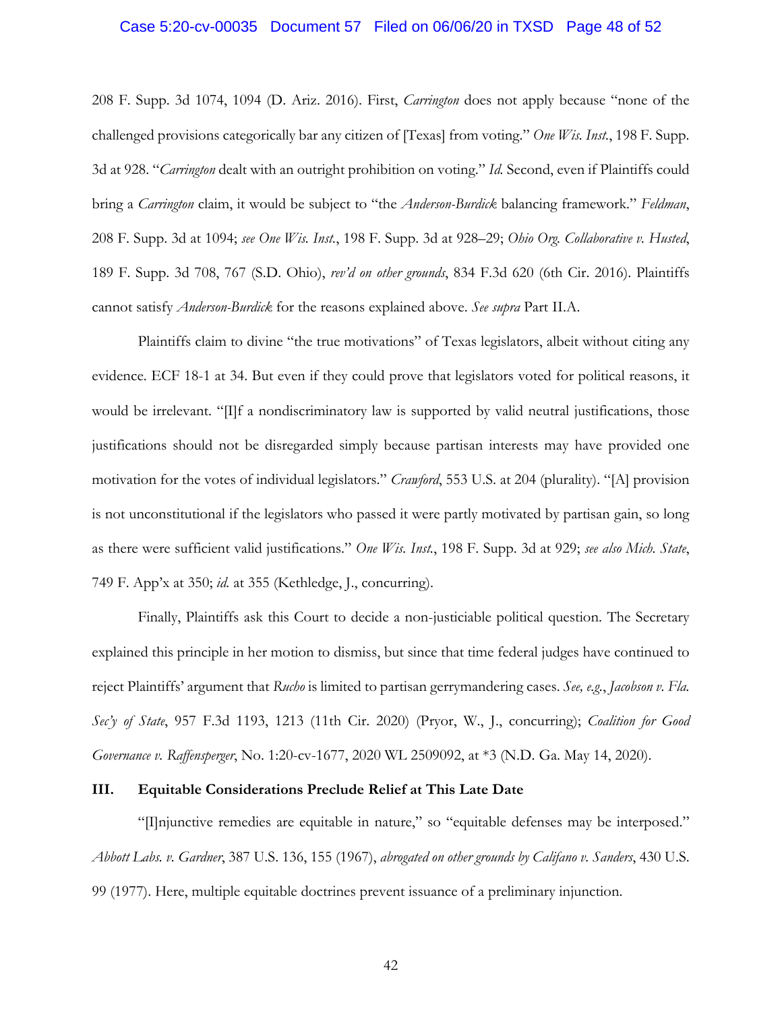#### Case 5:20-cv-00035 Document 57 Filed on 06/06/20 in TXSD Page 48 of 52

208 F. Supp. 3d 1074, 1094 (D. Ariz. 2016). First, *Carrington* does not apply because "none of the challenged provisions categorically bar any citizen of [Texas] from voting." *One Wis. Inst.*, 198 F. Supp. 3d at 928. "*Carrington* dealt with an outright prohibition on voting." *Id.* Second, even if Plaintiffs could bring a *Carrington* claim, it would be subject to "the *Anderson-Burdick* balancing framework." *Feldman*, 208 F. Supp. 3d at 1094; *see One Wis. Inst.*, 198 F. Supp. 3d at 928–29; *Ohio Org. Collaborative v. Husted*, 189 F. Supp. 3d 708, 767 (S.D. Ohio), *rev'd on other grounds*, 834 F.3d 620 (6th Cir. 2016). Plaintiffs cannot satisfy *Anderson-Burdick* for the reasons explained above. *See supra* Part II.A.

Plaintiffs claim to divine "the true motivations" of Texas legislators, albeit without citing any evidence. ECF 18-1 at 34. But even if they could prove that legislators voted for political reasons, it would be irrelevant. "[I]f a nondiscriminatory law is supported by valid neutral justifications, those justifications should not be disregarded simply because partisan interests may have provided one motivation for the votes of individual legislators." *Crawford*, 553 U.S. at 204 (plurality). "[A] provision is not unconstitutional if the legislators who passed it were partly motivated by partisan gain, so long as there were sufficient valid justifications." *One Wis. Inst.*, 198 F. Supp. 3d at 929; *see also Mich. State*, 749 F. App'x at 350; *id.* at 355 (Kethledge, J., concurring).

Finally, Plaintiffs ask this Court to decide a non-justiciable political question. The Secretary explained this principle in her motion to dismiss, but since that time federal judges have continued to reject Plaintiffs' argument that *Rucho* is limited to partisan gerrymandering cases. *See, e.g.*, *Jacobson v. Fla. Sec'y of State*, 957 F.3d 1193, 1213 (11th Cir. 2020) (Pryor, W., J., concurring); *Coalition for Good Governance v. Raffensperger*, No. 1:20-cv-1677, 2020 WL 2509092, at \*3 (N.D. Ga. May 14, 2020).

## **III. Equitable Considerations Preclude Relief at This Late Date**

"[I]njunctive remedies are equitable in nature," so "equitable defenses may be interposed." *Abbott Labs. v. Gardner*, 387 U.S. 136, 155 (1967), *abrogated on other grounds by Califano v. Sanders*, 430 U.S. 99 (1977). Here, multiple equitable doctrines prevent issuance of a preliminary injunction.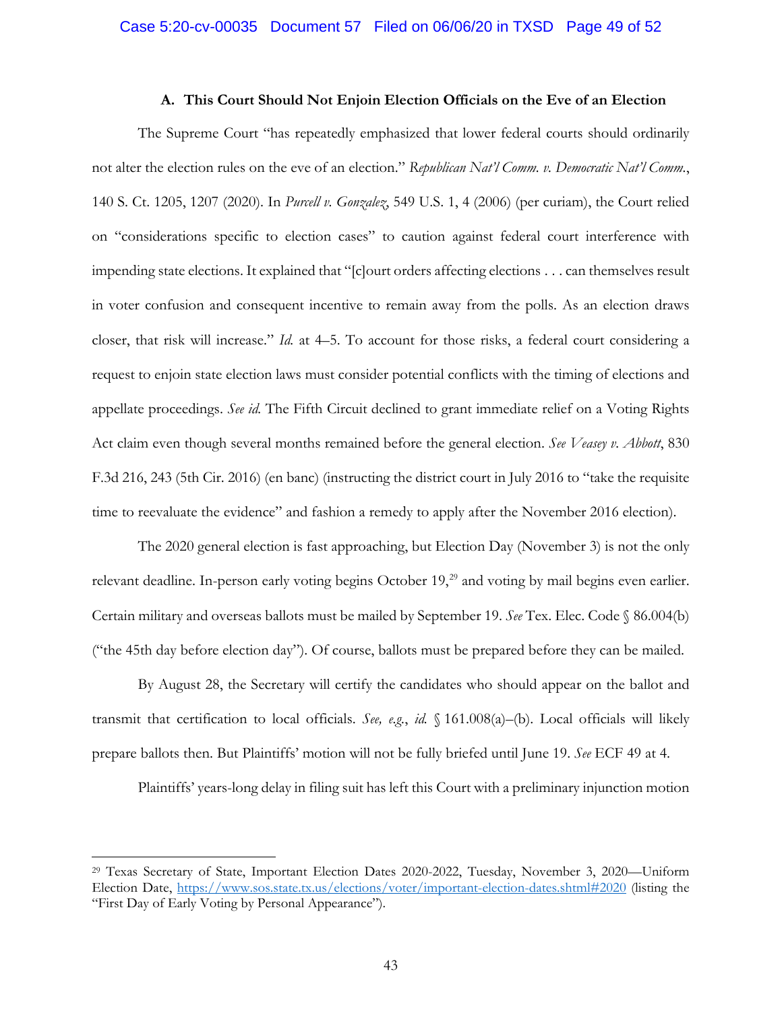#### **A. This Court Should Not Enjoin Election Officials on the Eve of an Election**

The Supreme Court "has repeatedly emphasized that lower federal courts should ordinarily not alter the election rules on the eve of an election." *Republican Nat'l Comm. v. Democratic Nat'l Comm.*, 140 S. Ct. 1205, 1207 (2020). In *Purcell v. Gonzalez*, 549 U.S. 1, 4 (2006) (per curiam), the Court relied on "considerations specific to election cases" to caution against federal court interference with impending state elections. It explained that "[c]ourt orders affecting elections . . . can themselves result in voter confusion and consequent incentive to remain away from the polls. As an election draws closer, that risk will increase." *Id.* at 4–5. To account for those risks, a federal court considering a request to enjoin state election laws must consider potential conflicts with the timing of elections and appellate proceedings. *See id.* The Fifth Circuit declined to grant immediate relief on a Voting Rights Act claim even though several months remained before the general election. *See Veasey v. Abbott*, 830 F.3d 216, 243 (5th Cir. 2016) (en banc) (instructing the district court in July 2016 to "take the requisite time to reevaluate the evidence" and fashion a remedy to apply after the November 2016 election).

The 2020 general election is fast approaching, but Election Day (November 3) is not the only relevant deadline. In-person early voting begins October 19,<sup>29</sup> and voting by mail begins even earlier. Certain military and overseas ballots must be mailed by September 19. *See* Tex. Elec. Code § 86.004(b) ("the 45th day before election day"). Of course, ballots must be prepared before they can be mailed.

By August 28, the Secretary will certify the candidates who should appear on the ballot and transmit that certification to local officials. *See, e.g.*, *id.* § 161.008(a)–(b). Local officials will likely prepare ballots then. But Plaintiffs' motion will not be fully briefed until June 19. *See* ECF 49 at 4.

Plaintiffs' years-long delay in filing suit has left this Court with a preliminary injunction motion

<sup>29</sup> Texas Secretary of State, Important Election Dates 2020-2022, Tuesday, November 3, 2020—Uniform Election Date, https://www.sos.state.tx.us/elections/voter/important-election-dates.shtml#2020 (listing the "First Day of Early Voting by Personal Appearance").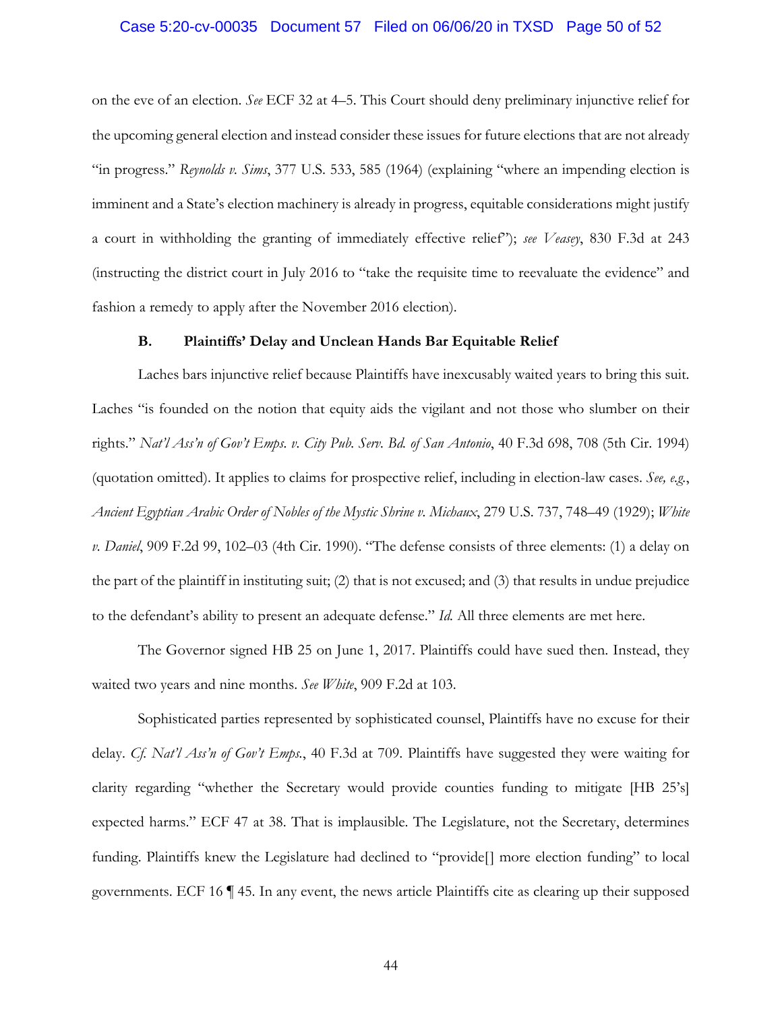#### Case 5:20-cv-00035 Document 57 Filed on 06/06/20 in TXSD Page 50 of 52

on the eve of an election. *See* ECF 32 at 4–5. This Court should deny preliminary injunctive relief for the upcoming general election and instead consider these issues for future elections that are not already "in progress." *Reynolds v. Sims*, 377 U.S. 533, 585 (1964) (explaining "where an impending election is imminent and a State's election machinery is already in progress, equitable considerations might justify a court in withholding the granting of immediately effective relief"); *see Veasey*, 830 F.3d at 243 (instructing the district court in July 2016 to "take the requisite time to reevaluate the evidence" and fashion a remedy to apply after the November 2016 election).

#### **B. Plaintiffs' Delay and Unclean Hands Bar Equitable Relief**

Laches bars injunctive relief because Plaintiffs have inexcusably waited years to bring this suit. Laches "is founded on the notion that equity aids the vigilant and not those who slumber on their rights." *Nat'l Ass'n of Gov't Emps. v. City Pub. Serv. Bd. of San Antonio*, 40 F.3d 698, 708 (5th Cir. 1994) (quotation omitted). It applies to claims for prospective relief, including in election-law cases. *See, e.g.*, *Ancient Egyptian Arabic Order of Nobles of the Mystic Shrine v. Michaux*, 279 U.S. 737, 748–49 (1929); *White v. Daniel*, 909 F.2d 99, 102–03 (4th Cir. 1990). "The defense consists of three elements: (1) a delay on the part of the plaintiff in instituting suit; (2) that is not excused; and (3) that results in undue prejudice to the defendant's ability to present an adequate defense." *Id.* All three elements are met here.

The Governor signed HB 25 on June 1, 2017. Plaintiffs could have sued then. Instead, they waited two years and nine months. *See White*, 909 F.2d at 103.

Sophisticated parties represented by sophisticated counsel, Plaintiffs have no excuse for their delay. *Cf. Nat'l Ass'n of Gov't Emps.*, 40 F.3d at 709. Plaintiffs have suggested they were waiting for clarity regarding "whether the Secretary would provide counties funding to mitigate [HB 25's] expected harms." ECF 47 at 38. That is implausible. The Legislature, not the Secretary, determines funding. Plaintiffs knew the Legislature had declined to "provide[] more election funding" to local governments. ECF 16 ¶ 45. In any event, the news article Plaintiffs cite as clearing up their supposed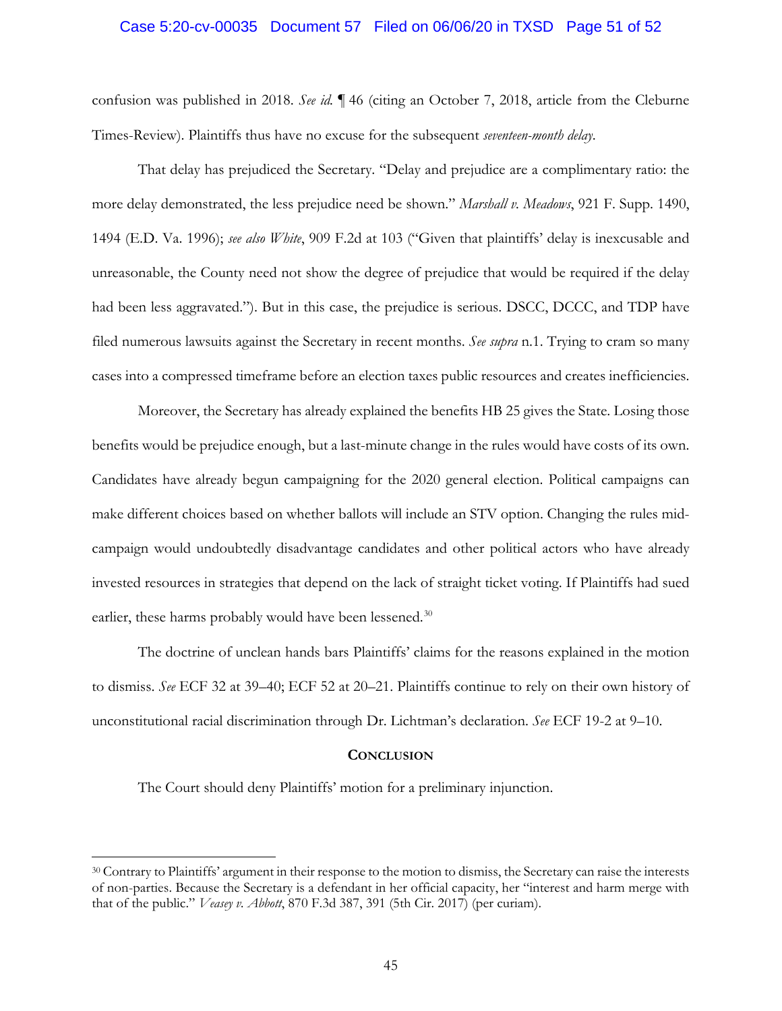#### Case 5:20-cv-00035 Document 57 Filed on 06/06/20 in TXSD Page 51 of 52

confusion was published in 2018. *See id.* ¶ 46 (citing an October 7, 2018, article from the Cleburne Times-Review). Plaintiffs thus have no excuse for the subsequent *seventeen-month delay*.

That delay has prejudiced the Secretary. "Delay and prejudice are a complimentary ratio: the more delay demonstrated, the less prejudice need be shown." *Marshall v. Meadows*, 921 F. Supp. 1490, 1494 (E.D. Va. 1996); *see also White*, 909 F.2d at 103 ("Given that plaintiffs' delay is inexcusable and unreasonable, the County need not show the degree of prejudice that would be required if the delay had been less aggravated."). But in this case, the prejudice is serious. DSCC, DCCC, and TDP have filed numerous lawsuits against the Secretary in recent months. *See supra* n.1. Trying to cram so many cases into a compressed timeframe before an election taxes public resources and creates inefficiencies.

Moreover, the Secretary has already explained the benefits HB 25 gives the State. Losing those benefits would be prejudice enough, but a last-minute change in the rules would have costs of its own. Candidates have already begun campaigning for the 2020 general election. Political campaigns can make different choices based on whether ballots will include an STV option. Changing the rules midcampaign would undoubtedly disadvantage candidates and other political actors who have already invested resources in strategies that depend on the lack of straight ticket voting. If Plaintiffs had sued earlier, these harms probably would have been lessened.<sup>30</sup>

The doctrine of unclean hands bars Plaintiffs' claims for the reasons explained in the motion to dismiss. *See* ECF 32 at 39–40; ECF 52 at 20–21. Plaintiffs continue to rely on their own history of unconstitutional racial discrimination through Dr. Lichtman's declaration. *See* ECF 19-2 at 9–10.

#### **CONCLUSION**

The Court should deny Plaintiffs' motion for a preliminary injunction.

<sup>30</sup> Contrary to Plaintiffs' argument in their response to the motion to dismiss, the Secretary can raise the interests of non-parties. Because the Secretary is a defendant in her official capacity, her "interest and harm merge with that of the public." *Veasey v. Abbott*, 870 F.3d 387, 391 (5th Cir. 2017) (per curiam).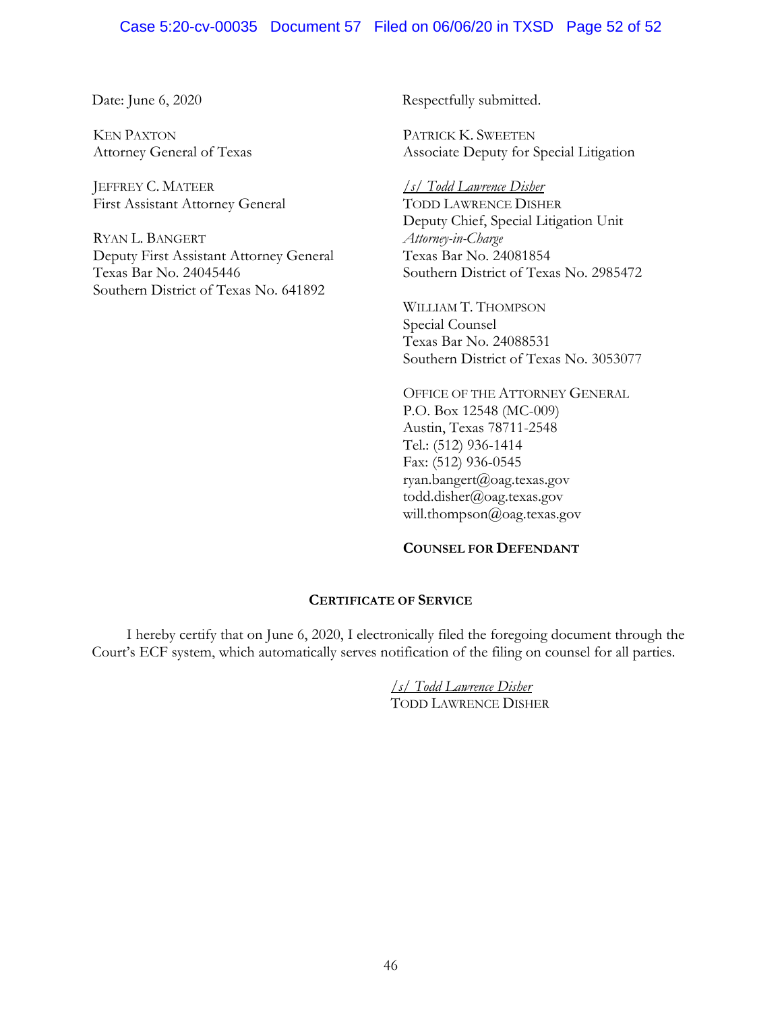# Case 5:20-cv-00035 Document 57 Filed on 06/06/20 in TXSD Page 52 of 52

KEN PAXTON Attorney General of Texas

JEFFREY C. MATEER First Assistant Attorney General

RYAN L. BANGERT Deputy First Assistant Attorney General Texas Bar No. 24045446 Southern District of Texas No. 641892

Date: June 6, 2020 Respectfully submitted.

PATRICK K. SWEETEN Associate Deputy for Special Litigation

*/s/ Todd Lawrence Disher* TODD LAWRENCE DISHER Deputy Chief, Special Litigation Unit *Attorney-in-Charge* Texas Bar No. 24081854 Southern District of Texas No. 2985472

WILLIAM T. THOMPSON Special Counsel Texas Bar No. 24088531 Southern District of Texas No. 3053077

OFFICE OF THE ATTORNEY GENERAL P.O. Box 12548 (MC-009) Austin, Texas 78711-2548 Tel.: (512) 936-1414 Fax: (512) 936-0545 ryan.bangert@oag.texas.gov todd.disher@oag.texas.gov will.thompson@oag.texas.gov

### **COUNSEL FOR DEFENDANT**

#### **CERTIFICATE OF SERVICE**

I hereby certify that on June 6, 2020, I electronically filed the foregoing document through the Court's ECF system, which automatically serves notification of the filing on counsel for all parties.

> */s/ Todd Lawrence Disher* TODD LAWRENCE DISHER